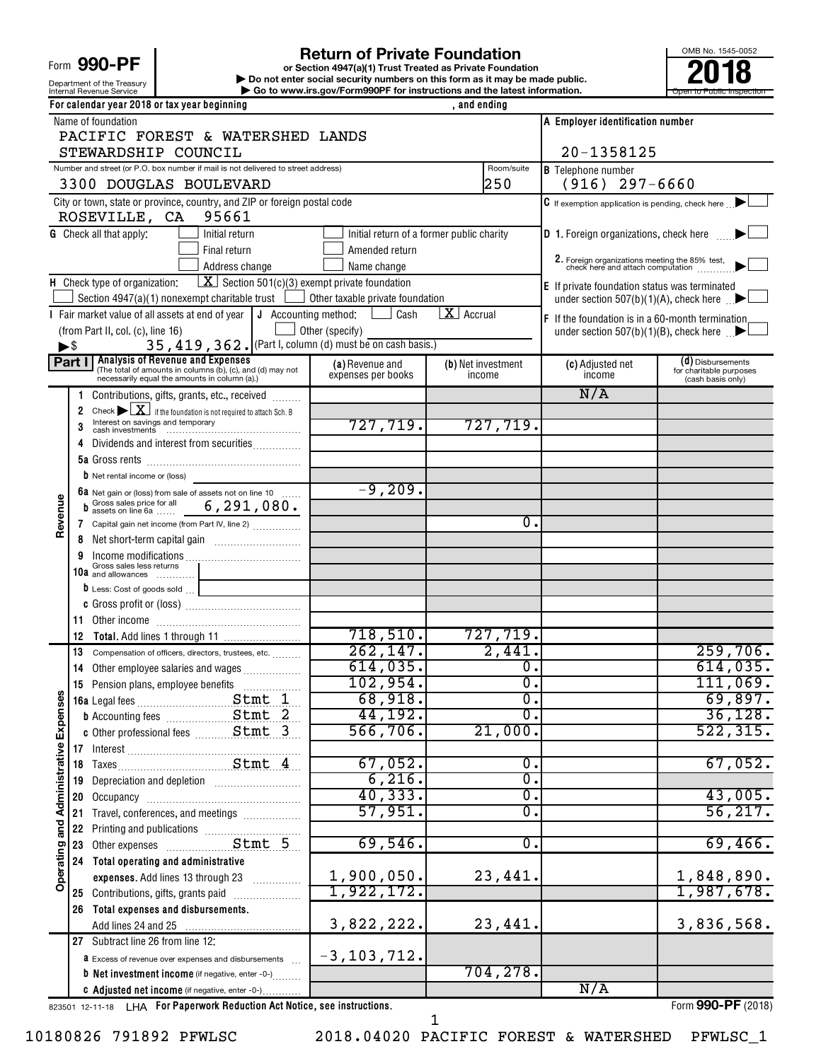# Form 990-PF

Department of the Treasury<br>Internal Revenue Service

Internal Revenue Service **Internal Revenue Service Concernation** Go to www.irs.gov/Form990PF for instructions and the latest information. **or Section 4947(a)(1) Trust Treated as Private Foundation | Do not enter social security numbers on this form as it may be made public. POO-PF**<br> **Return of Private Foundation**<br> **Pound the Treasury Private Foundation**<br> **Revenue Service**<br> **Pound terms and the latest information.**<br> **Revenue Service**<br> **Pound terms and the latest information.** 

OMB No. 1545-0052

| For calendar year 2018 or tax year beginning<br>, and ending |                |                                                                                                                                                                                                                                      |                                           |                              |                                                                                  |                                              |  |
|--------------------------------------------------------------|----------------|--------------------------------------------------------------------------------------------------------------------------------------------------------------------------------------------------------------------------------------|-------------------------------------------|------------------------------|----------------------------------------------------------------------------------|----------------------------------------------|--|
|                                                              |                | Name of foundation                                                                                                                                                                                                                   | A Employer identification number          |                              |                                                                                  |                                              |  |
|                                                              |                | PACIFIC FOREST & WATERSHED LANDS                                                                                                                                                                                                     |                                           |                              |                                                                                  |                                              |  |
|                                                              |                | STEWARDSHIP COUNCIL                                                                                                                                                                                                                  |                                           |                              | 20-1358125                                                                       |                                              |  |
|                                                              |                | Number and street (or P.O. box number if mail is not delivered to street address)                                                                                                                                                    |                                           | Room/suite                   | <b>B</b> Telephone number                                                        |                                              |  |
|                                                              |                | 3300 DOUGLAS BOULEVARD                                                                                                                                                                                                               |                                           | 250                          | $(916)$ 297-6660                                                                 |                                              |  |
|                                                              |                | City or town, state or province, country, and ZIP or foreign postal code<br>95661<br>ROSEVILLE, CA                                                                                                                                   |                                           |                              | C If exemption application is pending, check here                                |                                              |  |
|                                                              |                |                                                                                                                                                                                                                                      |                                           |                              |                                                                                  |                                              |  |
|                                                              |                | <b>G</b> Check all that apply:<br>Initial return                                                                                                                                                                                     | Initial return of a former public charity |                              | <b>D</b> 1. Foreign organizations, check here                                    |                                              |  |
|                                                              |                | Final return                                                                                                                                                                                                                         | Amended return                            |                              | 2. Foreign organizations meeting the 85% test, check here and attach computation |                                              |  |
|                                                              |                | Address change<br>$\boxed{\mathbf{X}}$ Section 501(c)(3) exempt private foundation                                                                                                                                                   | Name change                               |                              |                                                                                  |                                              |  |
|                                                              |                | H Check type of organization:<br>Section 4947(a)(1) nonexempt charitable trust                                                                                                                                                       | $\Box$ Other taxable private foundation   |                              | E If private foundation status was terminated                                    |                                              |  |
|                                                              |                | I Fair market value of all assets at end of year<br>$\vert$ J Accounting method:                                                                                                                                                     | Cash                                      | $X$ Accrual                  | under section 507(b)(1)(A), check here $\Box$                                    |                                              |  |
|                                                              |                | (from Part II, col. (c), line 16)                                                                                                                                                                                                    | Other (specify)                           |                              | F If the foundation is in a 60-month termination                                 |                                              |  |
| $\blacktriangleright$ \$                                     |                | 35, 419, 362. (Part I, column (d) must be on cash basis.)                                                                                                                                                                            |                                           |                              | under section 507(b)(1)(B), check here $\mathbb{R}$                              |                                              |  |
|                                                              | Part I         | <b>Analysis of Revenue and Expenses</b>                                                                                                                                                                                              |                                           |                              |                                                                                  | (d) Disbursements                            |  |
|                                                              |                | (The total of amounts in columns (b), (c), and (d) may not<br>necessarily equal the amounts in column (a).)                                                                                                                          | (a) Revenue and<br>expenses per books     | (b) Net investment<br>income | (c) Adjusted net<br>income                                                       | for charitable purposes<br>(cash basis only) |  |
|                                                              |                | Contributions, gifts, grants, etc., received                                                                                                                                                                                         |                                           |                              | N/A                                                                              |                                              |  |
|                                                              | $\overline{2}$ | Check $\triangleright \boxed{\mathbf{X}}$ if the foundation is not required to attach Sch. B                                                                                                                                         |                                           |                              |                                                                                  |                                              |  |
|                                                              | 3              | Interest on savings and temporary                                                                                                                                                                                                    | 727,719.                                  | 727,719.                     |                                                                                  |                                              |  |
|                                                              | 4              | Dividends and interest from securities                                                                                                                                                                                               |                                           |                              |                                                                                  |                                              |  |
|                                                              |                |                                                                                                                                                                                                                                      |                                           |                              |                                                                                  |                                              |  |
|                                                              |                | <b>b</b> Net rental income or (loss)                                                                                                                                                                                                 |                                           |                              |                                                                                  |                                              |  |
|                                                              |                |                                                                                                                                                                                                                                      | $-9,209.$                                 |                              |                                                                                  |                                              |  |
| Revenue                                                      |                | 6a Net gain or (loss) from sale of assets not on line 10<br>b Gross sales price for all 6, 291, 080.                                                                                                                                 |                                           |                              |                                                                                  |                                              |  |
|                                                              |                | 7 Capital gain net income (from Part IV, line 2)                                                                                                                                                                                     |                                           | $\mathbf{0}$ .               |                                                                                  |                                              |  |
|                                                              | 8              |                                                                                                                                                                                                                                      |                                           |                              |                                                                                  |                                              |  |
|                                                              |                |                                                                                                                                                                                                                                      |                                           |                              |                                                                                  |                                              |  |
|                                                              |                | Gross sales less returns<br>10a and allowances                                                                                                                                                                                       |                                           |                              |                                                                                  |                                              |  |
|                                                              |                | D Less: Cost of goods sold                                                                                                                                                                                                           |                                           |                              |                                                                                  |                                              |  |
|                                                              |                |                                                                                                                                                                                                                                      |                                           |                              |                                                                                  |                                              |  |
|                                                              | 11             |                                                                                                                                                                                                                                      |                                           |                              |                                                                                  |                                              |  |
|                                                              | 12             |                                                                                                                                                                                                                                      | 718,510.                                  | 727,719.                     |                                                                                  |                                              |  |
|                                                              | 13             | Compensation of officers, directors, trustees, etc.                                                                                                                                                                                  | 262, 147.                                 | 2,441.                       |                                                                                  | 259,706.                                     |  |
|                                                              | 14             | Other employee salaries and wages                                                                                                                                                                                                    | 614,035.                                  | $\overline{0}$ .             |                                                                                  | 614,035.                                     |  |
|                                                              |                | 15 Pension plans, employee benefits                                                                                                                                                                                                  | 102,954.                                  | σ.                           |                                                                                  | 111,069.                                     |  |
| ဖ                                                            |                |                                                                                                                                                                                                                                      | 68,918.                                   | $\overline{0}$ .             |                                                                                  | 69,897.                                      |  |
|                                                              |                | <b>b</b> Accounting fees Stmt 2                                                                                                                                                                                                      | 44,192.                                   | σ.                           |                                                                                  | 36,128.                                      |  |
|                                                              |                |                                                                                                                                                                                                                                      | 566, 706.                                 | 21,000.                      |                                                                                  | 522, 315.                                    |  |
|                                                              |                |                                                                                                                                                                                                                                      |                                           |                              |                                                                                  |                                              |  |
| Operating and Administrative Expense                         |                |                                                                                                                                                                                                                                      | 67,052.                                   | 0.                           |                                                                                  | 67,052.                                      |  |
|                                                              | 19             |                                                                                                                                                                                                                                      | 6, 216.                                   | σ.                           |                                                                                  |                                              |  |
|                                                              | 20             |                                                                                                                                                                                                                                      | 40, 333.                                  | σ.                           |                                                                                  | 43,005.                                      |  |
|                                                              | 21             | Travel, conferences, and meetings                                                                                                                                                                                                    | 57,951.                                   | $\overline{0}$ .             |                                                                                  | 56, 217.                                     |  |
|                                                              | 22             |                                                                                                                                                                                                                                      |                                           |                              |                                                                                  |                                              |  |
|                                                              | 23             | Printing and publications<br>Other expenses<br>CLERT Standard Standard Standard Standard Standard Standard Standard Standard Standard Standard Standard Standard Standard Standard Standard Standard Standard Standard Standard Stan | 69,546.                                   | $\overline{0}$ .             |                                                                                  | 69,466.                                      |  |
|                                                              | 24             | Total operating and administrative                                                                                                                                                                                                   |                                           |                              |                                                                                  |                                              |  |
|                                                              |                | expenses. Add lines 13 through 23                                                                                                                                                                                                    | 1,900,050.                                | 23,441.                      |                                                                                  | 1,848,890.                                   |  |
|                                                              |                | 25 Contributions, gifts, grants paid                                                                                                                                                                                                 | 1,922,172.                                |                              |                                                                                  | 1,987,678.                                   |  |
|                                                              | 26             | Total expenses and disbursements.                                                                                                                                                                                                    |                                           |                              |                                                                                  |                                              |  |
|                                                              |                |                                                                                                                                                                                                                                      | 3,822,222.                                | 23,441.                      |                                                                                  | 3,836,568.                                   |  |
|                                                              |                | 27 Subtract line 26 from line 12:                                                                                                                                                                                                    |                                           |                              |                                                                                  |                                              |  |
|                                                              |                | <b>a</b> Excess of revenue over expenses and disbursements                                                                                                                                                                           | $-3, 103, 712.$                           |                              |                                                                                  |                                              |  |
|                                                              |                | <b>b</b> Net investment income (if negative, enter -0-)                                                                                                                                                                              |                                           | 704, 278.                    |                                                                                  |                                              |  |
|                                                              |                | C Adjusted net income (if negative, enter -0-)                                                                                                                                                                                       |                                           |                              | N/A                                                                              |                                              |  |

823501 12-11-18 **For Paperwork Reduction Act Notice, see instructions.** LHA Form (2018)

10180826 791892 PFWLSC 2018.04020 PACIFIC FOREST & WATERSHED PFWLSC\_1

1

**990-PF**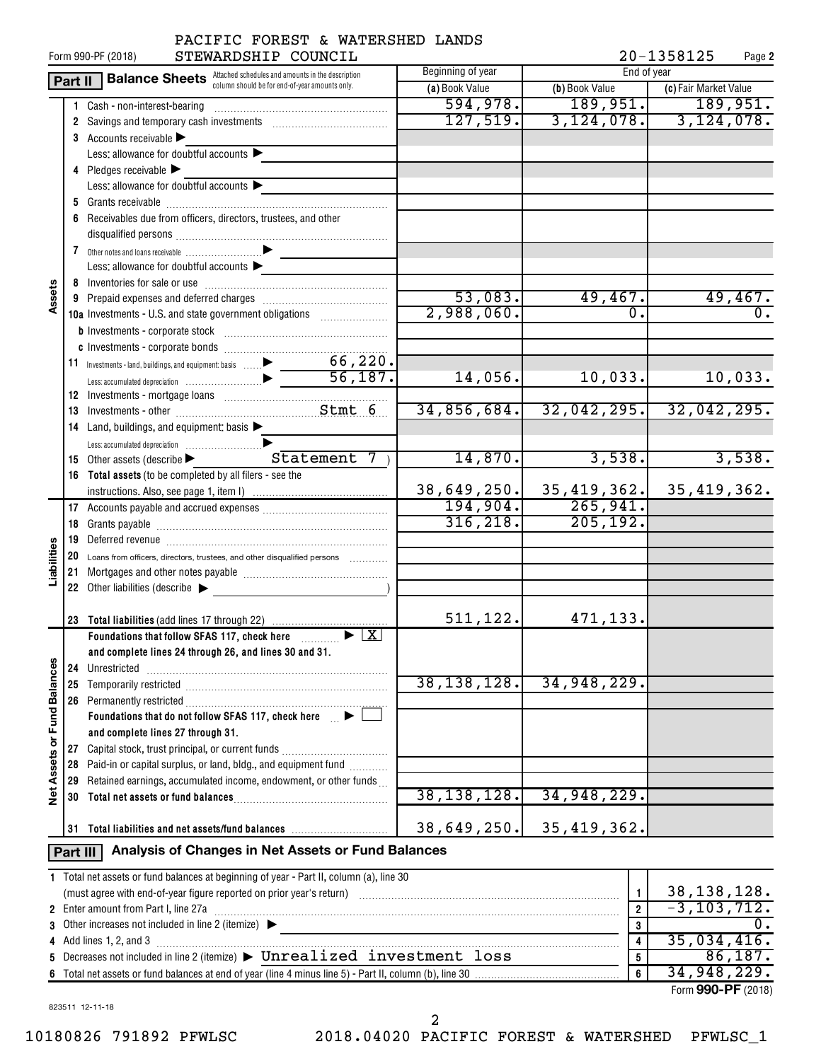|                                                                                           |          | STEWARDSHIP COUNCIL<br>Form 990-PF (2018)                                                              |                   |                         | 20-1358125<br>Page 2              |
|-------------------------------------------------------------------------------------------|----------|--------------------------------------------------------------------------------------------------------|-------------------|-------------------------|-----------------------------------|
| <b>Balance Sheets</b> Attached schedules and amounts in the description<br><b>Part II</b> |          |                                                                                                        | Beginning of year | End of year             |                                   |
|                                                                                           |          | column should be for end-of-year amounts only.                                                         | (a) Book Value    | (b) Book Value          | (c) Fair Market Value             |
|                                                                                           | 1.       | Cash - non-interest-bearing                                                                            | 594,978.          | 189,951.                | 189,951.                          |
|                                                                                           |          |                                                                                                        | 127,519.          | 3, 124, 078.            | 3,124,078.                        |
|                                                                                           |          | 3 Accounts receivable                                                                                  |                   |                         |                                   |
|                                                                                           |          | Less: allowance for doubtful accounts $\blacktriangleright$                                            |                   |                         |                                   |
|                                                                                           |          | 4 Pledges receivable                                                                                   |                   |                         |                                   |
|                                                                                           |          | Less: allowance for doubtful accounts                                                                  |                   |                         |                                   |
|                                                                                           |          |                                                                                                        |                   |                         |                                   |
|                                                                                           |          | 6 Receivables due from officers, directors, trustees, and other                                        |                   |                         |                                   |
|                                                                                           |          |                                                                                                        |                   |                         |                                   |
|                                                                                           |          |                                                                                                        |                   |                         |                                   |
|                                                                                           |          | Less: allowance for doubtful accounts $\blacktriangleright$                                            |                   |                         |                                   |
|                                                                                           |          |                                                                                                        |                   |                         |                                   |
| Assets                                                                                    |          |                                                                                                        | 53,083.           | 49,467.                 | 49,467.                           |
|                                                                                           |          | 10a Investments - U.S. and state government obligations                                                | 2,988,060.        | 0.                      | $\overline{0}$ .                  |
|                                                                                           |          |                                                                                                        |                   |                         |                                   |
|                                                                                           |          |                                                                                                        |                   |                         |                                   |
|                                                                                           |          |                                                                                                        |                   |                         |                                   |
|                                                                                           |          |                                                                                                        | 14,056.           | 10,033.                 | 10,033.                           |
|                                                                                           |          |                                                                                                        |                   |                         |                                   |
|                                                                                           |          |                                                                                                        | 34,856,684.       | 32,042,295.             | 32,042,295.                       |
|                                                                                           |          | 14 Land, buildings, and equipment: basis >                                                             |                   |                         |                                   |
|                                                                                           |          |                                                                                                        |                   |                         |                                   |
|                                                                                           |          | 15 Other assets (describe > Statement 7)                                                               | 14,870.           | 3,538.                  | 3,538.                            |
|                                                                                           |          | 16 Total assets (to be completed by all filers - see the                                               |                   |                         |                                   |
|                                                                                           |          |                                                                                                        | 38,649,250.       | 35,419,362.             | 35, 419, 362.                     |
|                                                                                           |          |                                                                                                        | 194, 904.         | 265,941.                |                                   |
|                                                                                           |          |                                                                                                        | 316, 218.         | 205, 192.               |                                   |
|                                                                                           |          |                                                                                                        |                   |                         |                                   |
| Liabilities                                                                               |          | 20 Loans from officers, directors, trustees, and other disqualified persons                            |                   |                         |                                   |
|                                                                                           |          |                                                                                                        |                   |                         |                                   |
|                                                                                           |          | 22 Other liabilities (describe                                                                         |                   |                         |                                   |
|                                                                                           |          |                                                                                                        |                   |                         |                                   |
|                                                                                           |          |                                                                                                        | 511,122.          | 471,133.                |                                   |
|                                                                                           |          | Foundations that follow SFAS 117, check here <b>Fig. 120 Fig. 120</b>                                  |                   |                         |                                   |
|                                                                                           |          | and complete lines 24 through 26, and lines 30 and 31.                                                 |                   |                         |                                   |
|                                                                                           | 24       | Unrestricted                                                                                           | 38, 138, 128.     | 34,948,229.             |                                   |
|                                                                                           | 25       |                                                                                                        |                   |                         |                                   |
| Net Assets or Fund Balances                                                               |          | 26 Permanently restricted<br>Foundations that do not follow SFAS 117, check here $\blacktriangleright$ |                   |                         |                                   |
|                                                                                           |          |                                                                                                        |                   |                         |                                   |
|                                                                                           | 27       | and complete lines 27 through 31.<br>Capital stock, trust principal, or current funds                  |                   |                         |                                   |
|                                                                                           |          | Paid-in or capital surplus, or land, bldg., and equipment fund                                         |                   |                         |                                   |
|                                                                                           | 28       | 29 Retained earnings, accumulated income, endowment, or other funds                                    |                   |                         |                                   |
|                                                                                           |          |                                                                                                        | 38, 138, 128.     | 34,948,229.             |                                   |
|                                                                                           |          |                                                                                                        |                   |                         |                                   |
|                                                                                           |          | 31 Total liabilities and net assets/fund balances                                                      | 38,649,250.       | 35, 419, 362.           |                                   |
|                                                                                           |          |                                                                                                        |                   |                         |                                   |
|                                                                                           | Part III | Analysis of Changes in Net Assets or Fund Balances                                                     |                   |                         |                                   |
|                                                                                           |          | 1 Total net assets or fund balances at beginning of year - Part II, column (a), line 30                |                   |                         |                                   |
|                                                                                           |          |                                                                                                        |                   | $\mathbf{1}$            | $\frac{38,138,128.}{-3,103,712.}$ |
|                                                                                           |          | 2 Enter amount from Part I, line 27a                                                                   |                   | $\boldsymbol{2}$        |                                   |
| 3                                                                                         |          | Other increases not included in line 2 (itemize)                                                       | 3                 | $\overline{0}$ .        |                                   |
|                                                                                           |          | 4 Add lines 1, 2, and 3                                                                                |                   | $\overline{\mathbf{4}}$ | 35,034,416.                       |
|                                                                                           |          | 5 Decreases not included in line 2 (itemize) > Unrealized investment loss                              |                   | 5                       | 86,187.                           |
|                                                                                           |          |                                                                                                        |                   | 6                       | 34,948,229.                       |

| 1 Total net assets or fund balances at beginning of year - Part II, column (a), line 30 |   |                    |
|-----------------------------------------------------------------------------------------|---|--------------------|
| (must agree with end-of-year figure reported on prior year's return)                    |   | 38, 138, 128.      |
| 2 Enter amount from Part I, line 27a                                                    |   | $-3, 103, 712.$    |
| 3 Other increases not included in line 2 (itemize) >                                    |   |                    |
| 4 Add lines 1, 2, and 3                                                                 |   | 35,034,416.        |
| 5 Decreases not included in line 2 (itemize) > Unrealized investment loss               |   | $86,187$ .         |
|                                                                                         | 6 | 34,948,229.        |
|                                                                                         |   | Form 990-PF (2018) |

823511 12-11-18

10180826 791892 PFWLSC 2018.04020 PACIFIC FOREST & WATERSHED PFWLSC\_1 2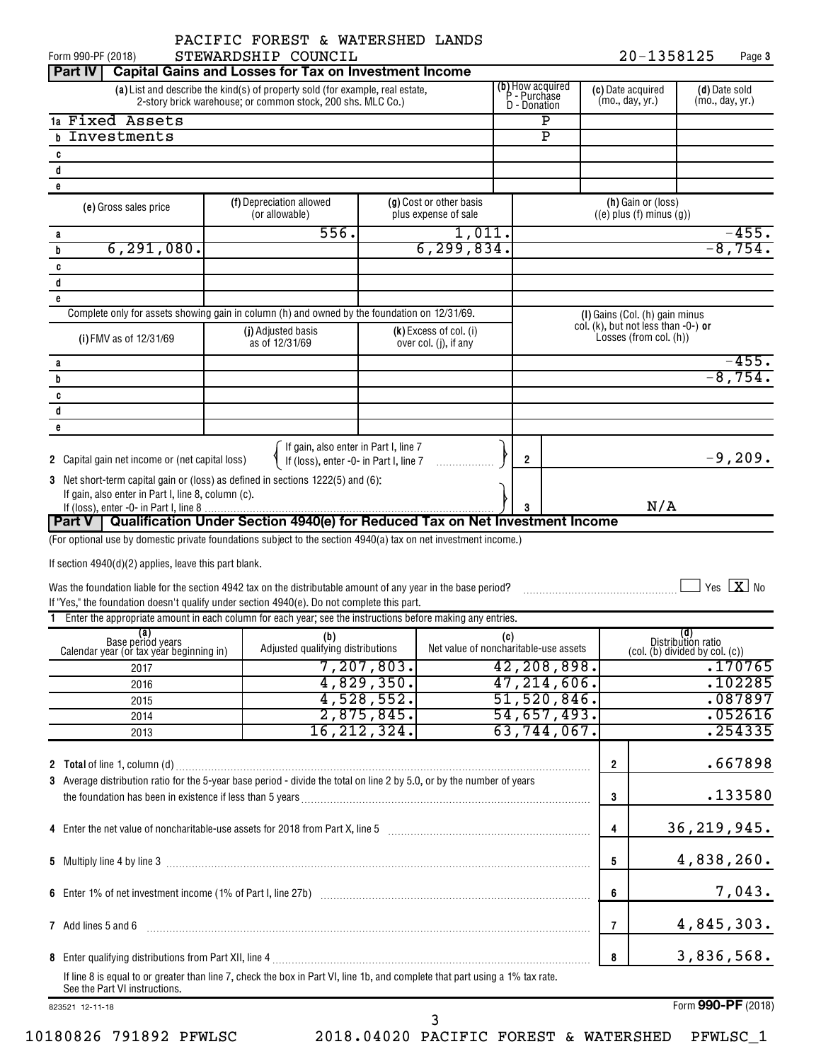20-1358125 Page 3

| Form 990-PF (2018)                                                                                                                                                                                             | STEWARDSHIP COUNCIL                                                                                        |               |                                                 |     |                                       |                   | 20-1358125                                                                  |                    | Page 3                                |
|----------------------------------------------------------------------------------------------------------------------------------------------------------------------------------------------------------------|------------------------------------------------------------------------------------------------------------|---------------|-------------------------------------------------|-----|---------------------------------------|-------------------|-----------------------------------------------------------------------------|--------------------|---------------------------------------|
| Part IV                                                                                                                                                                                                        | <b>Capital Gains and Losses for Tax on Investment Income</b>                                               |               |                                                 |     |                                       |                   |                                                                             |                    |                                       |
| <b>(b)</b> How acquired<br>P - Purchase<br>(a) List and describe the kind(s) of property sold (for example, real estate,<br>2-story brick warehouse; or common stock, 200 shs. MLC Co.)<br><b>D</b> - Donation |                                                                                                            |               |                                                 |     | (mo., day, yr.)                       | (c) Date acquired | (d) Date sold<br>(mo., day, yr.)                                            |                    |                                       |
| 1a Fixed Assets                                                                                                                                                                                                |                                                                                                            |               |                                                 |     | $\mathbf P$                           |                   |                                                                             |                    |                                       |
| Investments<br>h                                                                                                                                                                                               |                                                                                                            |               |                                                 |     | $\overline{\texttt{P}}$               |                   |                                                                             |                    |                                       |
| C                                                                                                                                                                                                              |                                                                                                            |               |                                                 |     |                                       |                   |                                                                             |                    |                                       |
| d                                                                                                                                                                                                              |                                                                                                            |               |                                                 |     |                                       |                   |                                                                             |                    |                                       |
| e                                                                                                                                                                                                              |                                                                                                            |               |                                                 |     |                                       |                   |                                                                             |                    |                                       |
| (e) Gross sales price                                                                                                                                                                                          | (f) Depreciation allowed<br>(or allowable)                                                                 |               | (g) Cost or other basis<br>plus expense of sale |     |                                       |                   | (h) Gain or (loss)<br>$((e)$ plus $(f)$ minus $(g)$ )                       |                    |                                       |
| а                                                                                                                                                                                                              | 556.                                                                                                       |               | 1,011.                                          |     |                                       |                   |                                                                             |                    | $-455.$                               |
| 6, 291, 080.<br>b                                                                                                                                                                                              |                                                                                                            |               | 6, 299, 834.                                    |     |                                       |                   |                                                                             |                    | $-8,754.$                             |
| C                                                                                                                                                                                                              |                                                                                                            |               |                                                 |     |                                       |                   |                                                                             |                    |                                       |
| d                                                                                                                                                                                                              |                                                                                                            |               |                                                 |     |                                       |                   |                                                                             |                    |                                       |
| e                                                                                                                                                                                                              |                                                                                                            |               |                                                 |     |                                       |                   |                                                                             |                    |                                       |
|                                                                                                                                                                                                                | Complete only for assets showing gain in column (h) and owned by the foundation on 12/31/69.               |               |                                                 |     |                                       |                   | (I) Gains (Col. (h) gain minus                                              |                    |                                       |
|                                                                                                                                                                                                                | (j) Adjusted basis                                                                                         |               | (k) Excess of col. (i)                          |     |                                       |                   | col. (k), but not less than $-0$ -) or                                      |                    |                                       |
| (i) FMV as of 12/31/69                                                                                                                                                                                         | as of 12/31/69                                                                                             |               | over col. (j), if any                           |     |                                       |                   | Losses (from col. (h))                                                      |                    |                                       |
|                                                                                                                                                                                                                |                                                                                                            |               |                                                 |     |                                       |                   |                                                                             |                    | $-455.$                               |
| а                                                                                                                                                                                                              |                                                                                                            |               |                                                 |     |                                       |                   |                                                                             |                    | $-8,754.$                             |
| b                                                                                                                                                                                                              |                                                                                                            |               |                                                 |     |                                       |                   |                                                                             |                    |                                       |
| C                                                                                                                                                                                                              |                                                                                                            |               |                                                 |     |                                       |                   |                                                                             |                    |                                       |
| d                                                                                                                                                                                                              |                                                                                                            |               |                                                 |     |                                       |                   |                                                                             |                    |                                       |
| e                                                                                                                                                                                                              |                                                                                                            |               |                                                 |     |                                       |                   |                                                                             |                    |                                       |
|                                                                                                                                                                                                                |                                                                                                            |               |                                                 |     |                                       |                   |                                                                             |                    |                                       |
| 2 Capital gain net income or (net capital loss)                                                                                                                                                                | If gain, also enter in Part I, line 7<br>If (loss), enter -0- in Part I, line 7                            |               |                                                 |     | $\overline{2}$                        |                   |                                                                             |                    | $-9,209.$                             |
| 3 Net short-term capital gain or (loss) as defined in sections 1222(5) and (6):                                                                                                                                |                                                                                                            |               |                                                 |     |                                       |                   |                                                                             |                    |                                       |
| If gain, also enter in Part I, line 8, column (c).                                                                                                                                                             |                                                                                                            |               |                                                 |     |                                       |                   |                                                                             |                    |                                       |
|                                                                                                                                                                                                                |                                                                                                            |               |                                                 |     |                                       |                   | N/A                                                                         |                    |                                       |
| Part V                                                                                                                                                                                                         | Qualification Under Section 4940(e) for Reduced Tax on Net Investment Income                               |               |                                                 |     |                                       |                   |                                                                             |                    |                                       |
| (For optional use by domestic private foundations subject to the section 4940(a) tax on net investment income.)                                                                                                |                                                                                                            |               |                                                 |     |                                       |                   |                                                                             |                    |                                       |
|                                                                                                                                                                                                                |                                                                                                            |               |                                                 |     |                                       |                   |                                                                             |                    |                                       |
| If section $4940(d)(2)$ applies, leave this part blank.                                                                                                                                                        |                                                                                                            |               |                                                 |     |                                       |                   |                                                                             |                    |                                       |
|                                                                                                                                                                                                                |                                                                                                            |               |                                                 |     |                                       |                   |                                                                             |                    | $\sqrt{}$ Yes $\boxed{\mathbf{X}}$ No |
| Was the foundation liable for the section 4942 tax on the distributable amount of any year in the base period?<br>If "Yes," the foundation doesn't qualify under section 4940(e). Do not complete this part.   |                                                                                                            |               |                                                 |     |                                       |                   |                                                                             |                    |                                       |
|                                                                                                                                                                                                                | Enter the appropriate amount in each column for each year; see the instructions before making any entries. |               |                                                 |     |                                       |                   |                                                                             |                    |                                       |
|                                                                                                                                                                                                                |                                                                                                            |               |                                                 |     |                                       |                   |                                                                             | (d)                |                                       |
| (a)<br>Base period years                                                                                                                                                                                       | (b)<br>Adjusted qualifying distributions                                                                   |               |                                                 | (C) | Net value of noncharitable-use assets |                   |                                                                             | Distribution ratio |                                       |
| Calendar year (or tax year beginning in)                                                                                                                                                                       |                                                                                                            |               |                                                 |     |                                       |                   | $\left(\text{col.}~(\text{b})\right)$ divided by $\text{col.}~(\text{c})$ ) |                    |                                       |
| 2017                                                                                                                                                                                                           |                                                                                                            | 7, 207, 803.  |                                                 |     | 42,208,898.                           |                   |                                                                             |                    | .170765                               |
| 2016                                                                                                                                                                                                           |                                                                                                            | 4,829,350.    |                                                 |     | 47, 214, 606.                         |                   |                                                                             |                    | .102285                               |
| 2015                                                                                                                                                                                                           |                                                                                                            | 4,528,552.    |                                                 |     | 51,520,846.                           |                   |                                                                             |                    | .087897                               |
| 2014                                                                                                                                                                                                           |                                                                                                            | 2,875,845.    |                                                 |     | 54,657,493.                           |                   |                                                                             |                    | .052616                               |
| 2013                                                                                                                                                                                                           |                                                                                                            | 16, 212, 324. |                                                 |     | 63, 744, 067.                         |                   |                                                                             |                    | .254335                               |
|                                                                                                                                                                                                                |                                                                                                            |               |                                                 |     |                                       |                   |                                                                             |                    |                                       |
|                                                                                                                                                                                                                |                                                                                                            |               |                                                 |     |                                       | $\overline{2}$    |                                                                             |                    | .667898                               |
| 3 Average distribution ratio for the 5-year base period - divide the total on line 2 by 5.0, or by the number of years                                                                                         |                                                                                                            |               |                                                 |     |                                       |                   |                                                                             |                    |                                       |
|                                                                                                                                                                                                                |                                                                                                            |               |                                                 |     |                                       | 3                 |                                                                             |                    | .133580                               |
|                                                                                                                                                                                                                |                                                                                                            |               |                                                 |     |                                       |                   |                                                                             |                    |                                       |
|                                                                                                                                                                                                                |                                                                                                            |               |                                                 |     |                                       |                   |                                                                             |                    |                                       |
| 4 Enter the net value of noncharitable-use assets for 2018 from Part X, line 5 [11] [11] [12] [12] [12] [12] Enter the net value of noncharitable-use assets for 2018 from Part X, line 5                      |                                                                                                            |               |                                                 |     |                                       | $\overline{4}$    |                                                                             | 36, 219, 945.      |                                       |
|                                                                                                                                                                                                                |                                                                                                            |               |                                                 |     |                                       |                   |                                                                             |                    |                                       |
|                                                                                                                                                                                                                |                                                                                                            |               |                                                 |     |                                       | 5                 |                                                                             | 4,838,260.         |                                       |
|                                                                                                                                                                                                                |                                                                                                            |               |                                                 |     |                                       |                   |                                                                             |                    |                                       |
|                                                                                                                                                                                                                |                                                                                                            |               |                                                 |     |                                       | 6                 |                                                                             |                    | 7,043.                                |
|                                                                                                                                                                                                                |                                                                                                            |               |                                                 |     |                                       |                   |                                                                             |                    |                                       |
| 7 Add lines 5 and 6                                                                                                                                                                                            |                                                                                                            |               |                                                 |     |                                       | $\overline{7}$    |                                                                             | 4,845,303.         |                                       |
|                                                                                                                                                                                                                |                                                                                                            |               |                                                 |     |                                       |                   |                                                                             |                    |                                       |
|                                                                                                                                                                                                                |                                                                                                            |               |                                                 |     | 8                                     |                   | 3,836,568.                                                                  |                    |                                       |
| If line 8 is equal to or greater than line 7, check the box in Part VI, line 1b, and complete that part using a 1% tax rate.                                                                                   |                                                                                                            |               |                                                 |     |                                       |                   |                                                                             |                    |                                       |
| See the Part VI instructions.                                                                                                                                                                                  |                                                                                                            |               |                                                 |     |                                       |                   |                                                                             |                    |                                       |
|                                                                                                                                                                                                                |                                                                                                            |               |                                                 |     |                                       |                   |                                                                             |                    | Form 990-PF (2018)                    |
| 823521 12-11-18                                                                                                                                                                                                |                                                                                                            |               |                                                 |     |                                       |                   |                                                                             |                    |                                       |

10180826 791892 PFWLSC 2018.04020 PACIFIC FOREST & WATERSHED PFWLSC\_1

3

Form 990-PF (2018)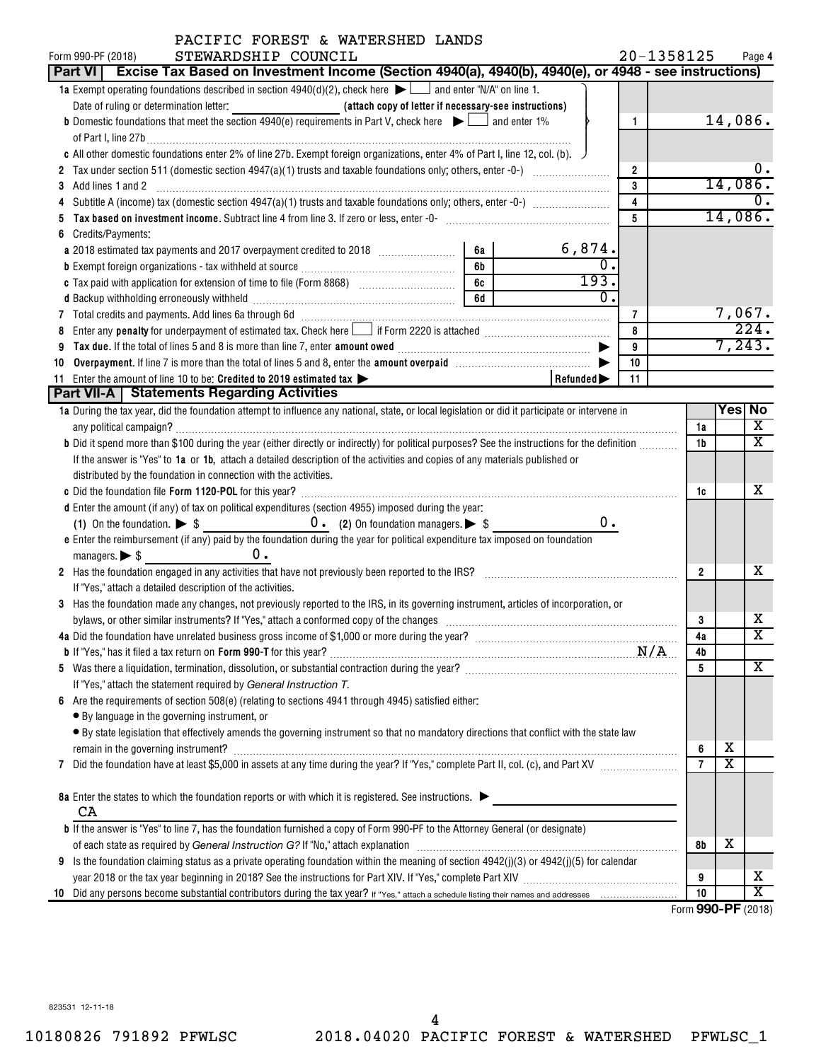| PACIFIC FOREST & WATERSHED LANDS                                                                                                                                                                                               |    |                       |                |                |                                               |                             |
|--------------------------------------------------------------------------------------------------------------------------------------------------------------------------------------------------------------------------------|----|-----------------------|----------------|----------------|-----------------------------------------------|-----------------------------|
| STEWARDSHIP COUNCIL<br>Form 990-PF (2018)<br>Part VI   Excise Tax Based on Investment Income (Section 4940(a), 4940(b), 4940(e), or 4948 - see instructions)                                                                   |    |                       | 20-1358125     |                |                                               | Page 4                      |
| <b>1a</b> Exempt operating foundations described in section $4940(d)(2)$ , check here $\blacktriangleright$ and enter "N/A" on line 1.                                                                                         |    |                       |                |                |                                               |                             |
|                                                                                                                                                                                                                                |    |                       |                |                |                                               |                             |
| <b>b</b> Domestic foundations that meet the section 4940(e) requirements in Part V, check here $\blacktriangleright$ and enter 1%                                                                                              |    |                       | 1              |                | 14,086.                                       |                             |
|                                                                                                                                                                                                                                |    |                       |                |                |                                               |                             |
| c All other domestic foundations enter 2% of line 27b. Exempt foreign organizations, enter 4% of Part I, line 12, col. (b).                                                                                                    |    |                       |                |                |                                               |                             |
|                                                                                                                                                                                                                                |    |                       | $\overline{2}$ |                |                                               | υ.                          |
| Add lines 1 and 2<br>3                                                                                                                                                                                                         |    |                       | 3              |                | 14,086.                                       |                             |
|                                                                                                                                                                                                                                |    |                       | 4              |                |                                               | 0.                          |
| Tax based on investment income. Subtract line 4 from line 3. If zero or less, enter -0- manufactured contains and the set of the substantial manufactured in the set of the set of the substantial manufactured in the set of  |    |                       | 5              |                |                                               | 14,086.                     |
| Credits/Payments:<br>6                                                                                                                                                                                                         |    |                       |                |                |                                               |                             |
|                                                                                                                                                                                                                                | 6a | 6,874.                |                |                |                                               |                             |
|                                                                                                                                                                                                                                | 6b | $\overline{0}$ .      |                |                |                                               |                             |
|                                                                                                                                                                                                                                | 6c | 193.                  |                |                |                                               |                             |
|                                                                                                                                                                                                                                | 6d | $\overline{0}$ .      |                |                |                                               |                             |
| 7 Total credits and payments. Add lines 6a through 6d [11] [12] Martin Martin Martin Martin Martin Martin Martin Martin Martin Martin Martin Martin Martin Martin Martin Martin Martin Martin Martin Martin Martin Martin Mart |    |                       | 7              |                |                                               | 7,067.                      |
| Enter any <b>penalty</b> for underpayment of estimated tax. Check here if Form 2220 is attached <i>manumenomenomenomen</i><br>8                                                                                                |    |                       | 8              |                |                                               | 224.                        |
| Tax due. If the total of lines 5 and 8 is more than line 7, enter amount owed <i>manuformance and the total</i> of lines<br>9                                                                                                  |    |                       | 9              |                |                                               | 7,243.                      |
| 10                                                                                                                                                                                                                             |    |                       | 10             |                |                                               |                             |
| 11 Enter the amount of line 10 to be: Credited to 2019 estimated tax                                                                                                                                                           |    | Refunded <sup>-</sup> | 11             |                |                                               |                             |
| <b>Part VII-A   Statements Regarding Activities</b>                                                                                                                                                                            |    |                       |                |                |                                               |                             |
| 1a During the tax year, did the foundation attempt to influence any national, state, or local legislation or did it participate or intervene in                                                                                |    |                       |                |                | Yes No                                        |                             |
|                                                                                                                                                                                                                                |    |                       |                | 1a             |                                               | X                           |
| b Did it spend more than \$100 during the year (either directly or indirectly) for political purposes? See the instructions for the definition                                                                                 |    |                       |                | 1b             |                                               | $\mathbf x$                 |
| If the answer is "Yes" to 1a or 1b, attach a detailed description of the activities and copies of any materials published or                                                                                                   |    |                       |                |                |                                               |                             |
| distributed by the foundation in connection with the activities.                                                                                                                                                               |    |                       |                |                |                                               |                             |
|                                                                                                                                                                                                                                |    |                       |                | 1c             |                                               | x                           |
| d Enter the amount (if any) of tax on political expenditures (section 4955) imposed during the year:                                                                                                                           |    | 0.                    |                |                |                                               |                             |
| e Enter the reimbursement (if any) paid by the foundation during the year for political expenditure tax imposed on foundation                                                                                                  |    |                       |                |                |                                               |                             |
| ο.<br>managers. $\triangleright$ \$                                                                                                                                                                                            |    |                       |                |                |                                               |                             |
| 2 Has the foundation engaged in any activities that have not previously been reported to the IRS? [[[[[[[[[[[[[[[[[[[[[[[[[]]]]]]]]]]                                                                                          |    |                       |                | $\overline{2}$ |                                               | х                           |
| If "Yes," attach a detailed description of the activities.                                                                                                                                                                     |    |                       |                |                |                                               |                             |
| 3 Has the foundation made any changes, not previously reported to the IRS, in its governing instrument, articles of incorporation, or                                                                                          |    |                       |                |                |                                               |                             |
|                                                                                                                                                                                                                                |    |                       |                | 3              |                                               | х                           |
| 4a Did the foundation have unrelated business gross income of \$1,000 or more during the year?                                                                                                                                 |    |                       |                | 4a             |                                               | $\overline{\textnormal{x}}$ |
|                                                                                                                                                                                                                                |    |                       |                | 4b             |                                               |                             |
|                                                                                                                                                                                                                                |    |                       |                | 5              |                                               | x                           |
| If "Yes," attach the statement required by General Instruction T.                                                                                                                                                              |    |                       |                |                |                                               |                             |
| Are the requirements of section $508(e)$ (relating to sections 4941 through 4945) satisfied either:<br>6                                                                                                                       |    |                       |                |                |                                               |                             |
| • By language in the governing instrument, or                                                                                                                                                                                  |    |                       |                |                |                                               |                             |
| • By state legislation that effectively amends the governing instrument so that no mandatory directions that conflict with the state law                                                                                       |    |                       |                |                |                                               |                             |
|                                                                                                                                                                                                                                |    |                       |                | 6              | х                                             |                             |
| 7                                                                                                                                                                                                                              |    |                       |                | $\overline{7}$ | X                                             |                             |
|                                                                                                                                                                                                                                |    |                       |                |                |                                               |                             |
| 8a Enter the states to which the foundation reports or with which it is registered. See instructions.                                                                                                                          |    |                       |                |                |                                               |                             |
| CA                                                                                                                                                                                                                             |    |                       |                |                |                                               |                             |
| <b>b</b> If the answer is "Yes" to line 7, has the foundation furnished a copy of Form 990-PF to the Attorney General (or designate)                                                                                           |    |                       |                |                |                                               |                             |
|                                                                                                                                                                                                                                |    |                       |                | 8b             | х                                             |                             |
| Is the foundation claiming status as a private operating foundation within the meaning of section 4942(j)(3) or 4942(j)(5) for calendar<br>9                                                                                   |    |                       |                |                |                                               |                             |
|                                                                                                                                                                                                                                |    |                       |                | 9<br>10        |                                               | x<br>X                      |
| 10                                                                                                                                                                                                                             |    |                       |                |                | $000 \text{ } \text{D} \text{ } \text{ } 001$ |                             |

Form (2018) **990-PF**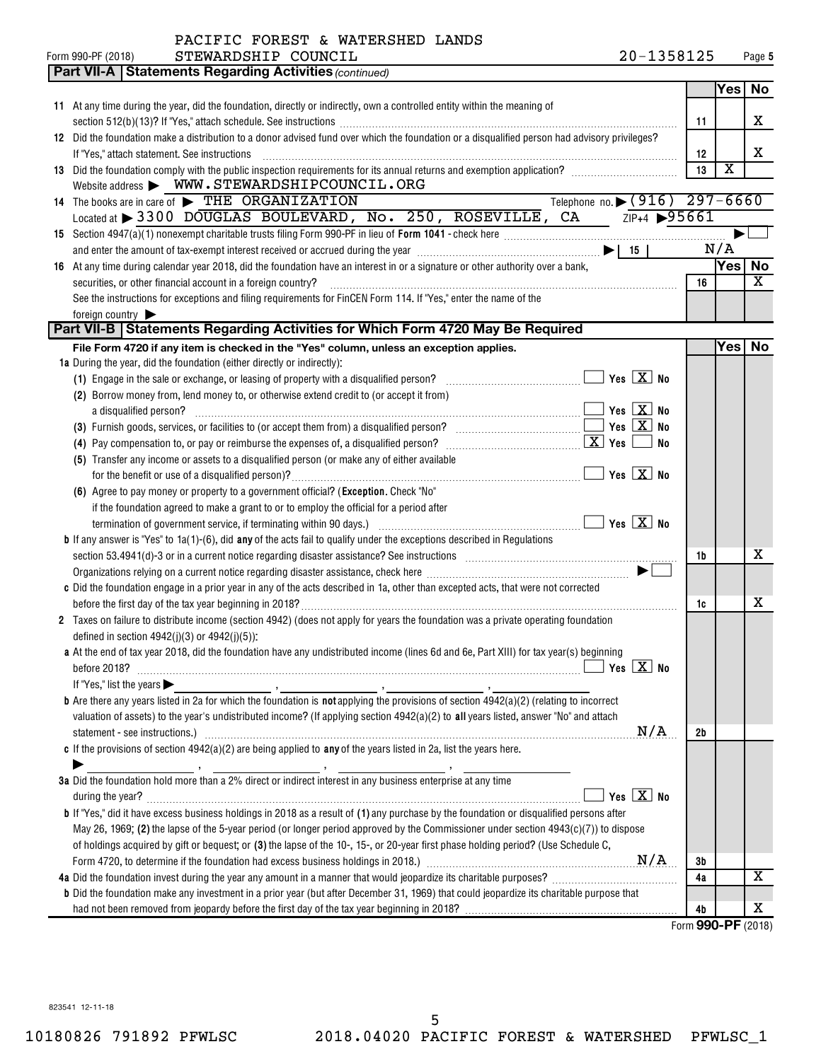| PACIFIC FOREST & WATERSHED LANDS |  |  |  |
|----------------------------------|--|--|--|
|----------------------------------|--|--|--|

| <b>Part VII-A   Statements Regarding Activities (continued)</b>                                                                                                                                      |                                            |    |                         |           |
|------------------------------------------------------------------------------------------------------------------------------------------------------------------------------------------------------|--------------------------------------------|----|-------------------------|-----------|
|                                                                                                                                                                                                      |                                            |    | Yes                     | No        |
| 11 At any time during the year, did the foundation, directly or indirectly, own a controlled entity within the meaning of                                                                            |                                            |    |                         |           |
|                                                                                                                                                                                                      |                                            | 11 |                         | X         |
| 12 Did the foundation make a distribution to a donor advised fund over which the foundation or a disqualified person had advisory privileges?                                                        |                                            |    |                         |           |
| If "Yes," attach statement. See instructions                                                                                                                                                         |                                            | 12 |                         | X         |
| 13 Did the foundation comply with the public inspection requirements for its annual returns and exemption application?                                                                               |                                            | 13 | $\overline{\textbf{x}}$ |           |
| Website address > WWW.STEWARDSHIPCOUNCIL.ORG                                                                                                                                                         |                                            |    |                         |           |
| 14 The books are in care of FIHE ORGANIZATION                                                                                                                                                        | Telephone no. (916) 297-6660               |    |                         |           |
| Located at $\triangleright$ 3300 DOUGLAS BOULEVARD, No. 250, ROSEVILLE, CA $\overline{z_P}_{+4}$ $\triangleright$ 95661                                                                              |                                            |    |                         |           |
|                                                                                                                                                                                                      |                                            |    |                         |           |
|                                                                                                                                                                                                      |                                            |    | N/A                     |           |
| and enter the amount of tax-exempt interest received or accrued during the year $\ldots$ $\ldots$ $\ldots$ $\ldots$ $\ldots$ $\ldots$ $\ldots$ $\ldots$ $\ldots$ $\ldots$ $\ldots$ $\ldots$ $\ldots$ |                                            |    |                         | No        |
| 16 At any time during calendar year 2018, did the foundation have an interest in or a signature or other authority over a bank,                                                                      |                                            |    | Yesl                    | X         |
| securities, or other financial account in a foreign country?                                                                                                                                         |                                            | 16 |                         |           |
| See the instructions for exceptions and filing requirements for FinCEN Form 114. If "Yes," enter the name of the                                                                                     |                                            |    |                         |           |
| foreign country                                                                                                                                                                                      |                                            |    |                         |           |
| Part VII-B   Statements Regarding Activities for Which Form 4720 May Be Required                                                                                                                     |                                            |    |                         |           |
| File Form 4720 if any item is checked in the "Yes" column, unless an exception applies.                                                                                                              |                                            |    | Yesl                    | <b>No</b> |
| 1a During the year, did the foundation (either directly or indirectly):                                                                                                                              |                                            |    |                         |           |
| (1) Engage in the sale or exchange, or leasing of property with a disqualified person?                                                                                                               | $\Box$ Yes $\boxed{\text{X}}$ No           |    |                         |           |
| (2) Borrow money from, lend money to, or otherwise extend credit to (or accept it from)                                                                                                              |                                            |    |                         |           |
| a disqualified person?                                                                                                                                                                               | $\Box$ Yes $\Box X$ No                     |    |                         |           |
|                                                                                                                                                                                                      |                                            |    |                         |           |
|                                                                                                                                                                                                      | No                                         |    |                         |           |
| (5) Transfer any income or assets to a disqualified person (or make any of either available                                                                                                          |                                            |    |                         |           |
|                                                                                                                                                                                                      | $\blacksquare$ Yes $\boxed{\mathrm{X}}$ No |    |                         |           |
| (6) Agree to pay money or property to a government official? (Exception. Check "No"                                                                                                                  |                                            |    |                         |           |
| if the foundation agreed to make a grant to or to employ the official for a period after                                                                                                             |                                            |    |                         |           |
|                                                                                                                                                                                                      |                                            |    |                         |           |
| <b>b</b> If any answer is "Yes" to $1a(1)$ -(6), did <b>any</b> of the acts fail to qualify under the exceptions described in Regulations                                                            |                                            |    |                         |           |
|                                                                                                                                                                                                      |                                            | 1b |                         | х         |
|                                                                                                                                                                                                      |                                            |    |                         |           |
| c Did the foundation engage in a prior year in any of the acts described in 1a, other than excepted acts, that were not corrected                                                                    |                                            |    |                         |           |
|                                                                                                                                                                                                      |                                            | 1c |                         | х         |
| 2 Taxes on failure to distribute income (section 4942) (does not apply for years the foundation was a private operating foundation                                                                   |                                            |    |                         |           |
| defined in section $4942(j)(3)$ or $4942(j)(5)$ :                                                                                                                                                    |                                            |    |                         |           |
| a At the end of tax year 2018, did the foundation have any undistributed income (lines 6d and 6e, Part XIII) for tax year(s) beginning                                                               |                                            |    |                         |           |
|                                                                                                                                                                                                      |                                            |    |                         |           |
| If "Yes," list the years $\blacktriangleright$                                                                                                                                                       |                                            |    |                         |           |
|                                                                                                                                                                                                      |                                            |    |                         |           |
| valuation of assets) to the year's undistributed income? (If applying section 4942(a)(2) to all years listed, answer "No" and attach                                                                 |                                            |    |                         |           |
| statement - see instructions.) 2000 minimum contract and the intervention of the statement - see instructions.                                                                                       | N/A                                        | 2b |                         |           |
| c If the provisions of section $4942(a)(2)$ are being applied to any of the years listed in 2a, list the years here.                                                                                 |                                            |    |                         |           |
|                                                                                                                                                                                                      |                                            |    |                         |           |
| 3a Did the foundation hold more than a 2% direct or indirect interest in any business enterprise at any time                                                                                         |                                            |    |                         |           |
|                                                                                                                                                                                                      | Yes $X$ No                                 |    |                         |           |
| <b>b</b> If "Yes," did it have excess business holdings in 2018 as a result of (1) any purchase by the foundation or disqualified persons after                                                      |                                            |    |                         |           |
|                                                                                                                                                                                                      |                                            |    |                         |           |
| May 26, 1969; (2) the lapse of the 5-year period (or longer period approved by the Commissioner under section $4943(c)(7)$ ) to dispose                                                              |                                            |    |                         |           |
| of holdings acquired by gift or bequest; or (3) the lapse of the 10-, 15-, or 20-year first phase holding period? (Use Schedule C,                                                                   |                                            |    |                         |           |
|                                                                                                                                                                                                      |                                            | 3b |                         |           |
| 4a Did the foundation invest during the year any amount in a manner that would jeopardize its charitable purposes?                                                                                   |                                            | 4a |                         | х         |
| <b>b</b> Did the foundation make any investment in a prior year (but after December 31, 1969) that could jeopardize its charitable purpose that                                                      |                                            |    |                         |           |
|                                                                                                                                                                                                      |                                            | 4b |                         | х         |

Form (2018) **990-PF**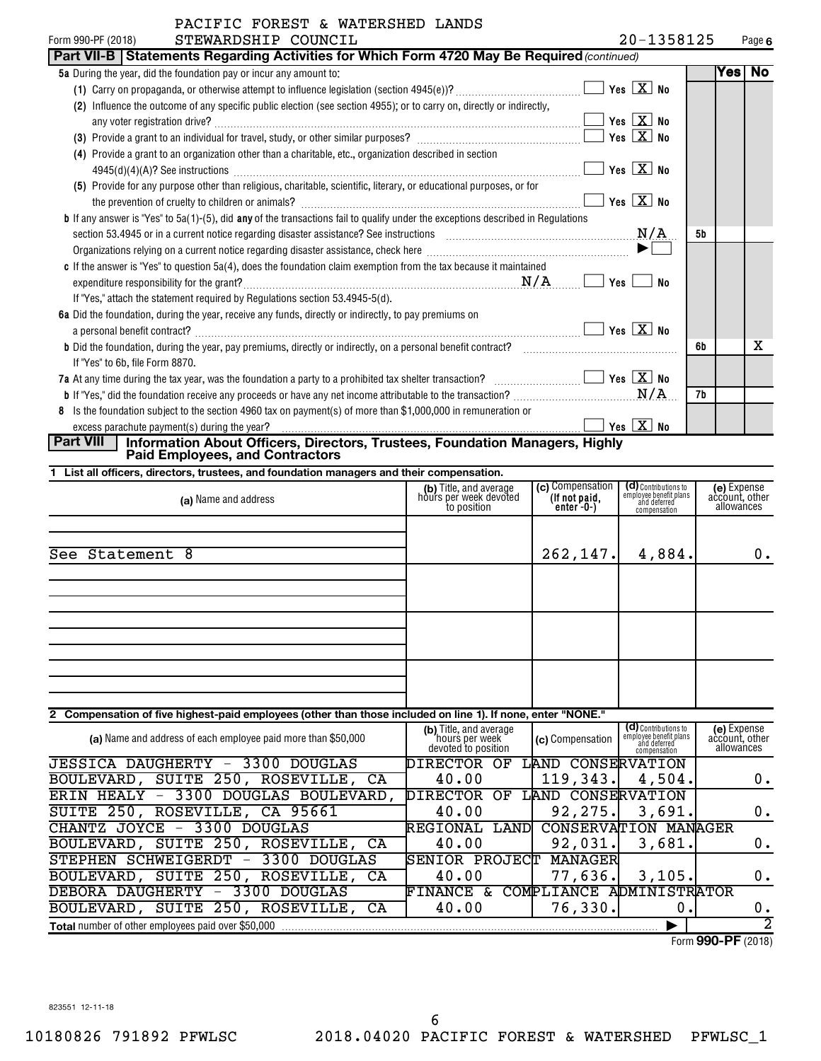| a mailuulillo liikoo<br>STEWARDSHIP COUNCIL<br>Form 990-PF (2018)                                                                          |                                                   | 20-1358125 |    |         | Page 6 |
|--------------------------------------------------------------------------------------------------------------------------------------------|---------------------------------------------------|------------|----|---------|--------|
| Part VII-B   Statements Regarding Activities for Which Form 4720 May Be Required (continued)                                               |                                                   |            |    |         |        |
| 5a During the year, did the foundation pay or incur any amount to:                                                                         |                                                   |            |    | Yes  No |        |
|                                                                                                                                            | Yes $X$ No                                        |            |    |         |        |
| Influence the outcome of any specific public election (see section 4955); or to carry on, directly or indirectly,<br>(2)                   |                                                   |            |    |         |        |
|                                                                                                                                            | $\boxed{\phantom{1}}$ Yes $\boxed{\textbf{X}}$ No |            |    |         |        |
|                                                                                                                                            | $Yes \quad X$ No                                  |            |    |         |        |
| (4) Provide a grant to an organization other than a charitable, etc., organization described in section                                    |                                                   |            |    |         |        |
|                                                                                                                                            | Yes $X$ No                                        |            |    |         |        |
| (5) Provide for any purpose other than religious, charitable, scientific, literary, or educational purposes, or for                        |                                                   |            |    |         |        |
|                                                                                                                                            | Yes                                               | $X$ No     |    |         |        |
| <b>b</b> If any answer is "Yes" to $5a(1)$ -(5), did any of the transactions fail to qualify under the exceptions described in Regulations |                                                   |            |    |         |        |
|                                                                                                                                            |                                                   | N/A        | 5b |         |        |
|                                                                                                                                            |                                                   |            |    |         |        |
| c If the answer is "Yes" to question 5a(4), does the foundation claim exemption from the tax because it maintained                         |                                                   |            |    |         |        |
|                                                                                                                                            | Yes                                               | No         |    |         |        |
| If "Yes," attach the statement required by Regulations section 53.4945-5(d).                                                               |                                                   |            |    |         |        |
| 6a Did the foundation, during the year, receive any funds, directly or indirectly, to pay premiums on                                      |                                                   |            |    |         |        |
| a personal benefit contract?                                                                                                               | $Yes \vert X \vert No$                            |            |    |         |        |
| <b>b</b> Did the foundation, during the year, pay premiums, directly or indirectly, on a personal benefit contract?                        |                                                   |            | 6b |         | x      |
| If "Yes" to 6b, file Form 8870.                                                                                                            |                                                   |            |    |         |        |
| 7a At any time during the tax year, was the foundation a party to a prohibited tax shelter transaction? $\Box$ Thes $X$ No                 |                                                   |            |    |         |        |
|                                                                                                                                            |                                                   | N/A        | 7b |         |        |
| Is the foundation subject to the section 4960 tax on payment(s) of more than \$1,000,000 in remuneration or<br>8                           |                                                   |            |    |         |        |
|                                                                                                                                            | Yes $X$ No                                        |            |    |         |        |

# **Part VIII Information About Officers, Directors, Trustees, Foundation Managers, Highly Paid Employees, and Contractors**

STEPHEN SCHWEIGERDT - 3300 DOUGLAS SENIOR PROJECT MANAGER

**1 List all officers, directors, trustees, and foundation managers and their compensation.**

| (a) Name and address                                                                                        | (b) Title, and average<br>hours per week devoted<br>to position | (c) Compensation<br>(If not paid,<br>$enter-0-)$ | (d) Contributions to<br>employee benefit plans<br>and deferred<br>compensation | (e) Expense<br>account, other<br>allowances |
|-------------------------------------------------------------------------------------------------------------|-----------------------------------------------------------------|--------------------------------------------------|--------------------------------------------------------------------------------|---------------------------------------------|
| See Statement 8                                                                                             |                                                                 | 262,147.                                         | 4,884.                                                                         | $0$ .                                       |
|                                                                                                             |                                                                 |                                                  |                                                                                |                                             |
|                                                                                                             |                                                                 |                                                  |                                                                                |                                             |
|                                                                                                             |                                                                 |                                                  |                                                                                |                                             |
| 2 Compensation of five highest-paid employees (other than those included on line 1). If none, enter "NONE." |                                                                 |                                                  |                                                                                |                                             |
| (a) Name and address of each employee paid more than \$50,000                                               | (b) Title, and average<br>hours per week<br>devoted to position | (c) Compensation                                 | (d) Contributions to<br>employee benefit plans<br>and deferred<br>compensation | (e) Expense<br>account, other<br>allowances |
| <b>JESSICA DAUGHERTY</b><br>3300<br>DOUGLAS<br>$\overline{\phantom{m}}$                                     | DIRECTOR OF                                                     | LAND CONSERVATION                                |                                                                                |                                             |
| BOULEVARD, SUITE 250, ROSEVILLE, CA                                                                         | 40.00                                                           | 119,343.                                         | 4,504.                                                                         | $0$ .                                       |
| ERIN HEALY - 3300 DOUGLAS BOULEVARD,                                                                        | <b>DIRECTOR</b><br>ОF                                           | LAND CONSERVATION                                |                                                                                |                                             |
| SUITE 250, ROSEVILLE, CA 95661                                                                              | 40.00                                                           | 92, 275.                                         | 3,691.                                                                         | $0$ .                                       |
| CHANTZ JOYCE - 3300 DOUGLAS                                                                                 | REGIONAL<br>LAND                                                | <b>CONSERVATION MANAGER</b>                      |                                                                                |                                             |
| BOULEVARD, SUITE 250, ROSEVILLE,<br>CA                                                                      | 40.00                                                           | 92,031.                                          | 3,681.                                                                         | 0.                                          |

BOULEVARD, SUITE 250, ROSEVILLE, CA  $\begin{array}{|c|c|c|c|c|c|c|c|c|} \hline \end{array}$  77,636. 3,105. 0.

Form (2018) **990-PF**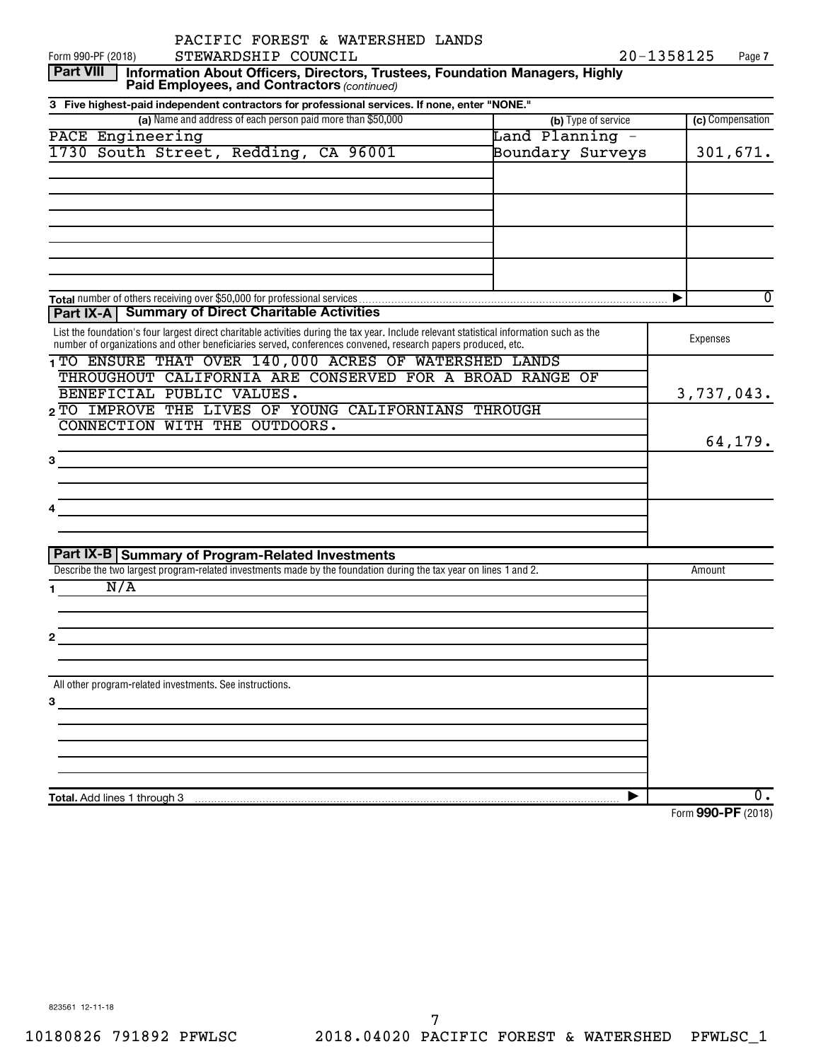| PACIFIC FOREST & WATERSHED LANDS                                                                                                                                                                                                                                                                                                                                                                      |                     |                                |
|-------------------------------------------------------------------------------------------------------------------------------------------------------------------------------------------------------------------------------------------------------------------------------------------------------------------------------------------------------------------------------------------------------|---------------------|--------------------------------|
| STEWARDSHIP COUNCIL<br>Form 990-PF (2018)                                                                                                                                                                                                                                                                                                                                                             |                     | 20-1358125<br>Page 7           |
| <b>Part VIII</b><br>Information About Officers, Directors, Trustees, Foundation Managers, Highly<br>Paid Employees, and Contractors (continued)                                                                                                                                                                                                                                                       |                     |                                |
| 3 Five highest-paid independent contractors for professional services. If none, enter "NONE."                                                                                                                                                                                                                                                                                                         |                     |                                |
| (a) Name and address of each person paid more than \$50,000                                                                                                                                                                                                                                                                                                                                           | (b) Type of service | (c) Compensation               |
| PACE Engineering                                                                                                                                                                                                                                                                                                                                                                                      | Land Planning -     |                                |
| 1730 South Street, Redding, CA 96001                                                                                                                                                                                                                                                                                                                                                                  | Boundary Surveys    | 301,671.                       |
|                                                                                                                                                                                                                                                                                                                                                                                                       |                     |                                |
|                                                                                                                                                                                                                                                                                                                                                                                                       |                     |                                |
|                                                                                                                                                                                                                                                                                                                                                                                                       |                     |                                |
|                                                                                                                                                                                                                                                                                                                                                                                                       |                     | $\Omega$<br>▶                  |
| <b>Part IX-A   Summary of Direct Charitable Activities</b>                                                                                                                                                                                                                                                                                                                                            |                     |                                |
| List the foundation's four largest direct charitable activities during the tax year. Include relevant statistical information such as the<br>number of organizations and other beneficiaries served, conferences convened, research papers produced, etc.                                                                                                                                             |                     | Expenses                       |
| 1TO ENSURE THAT OVER 140,000 ACRES OF WATERSHED LANDS                                                                                                                                                                                                                                                                                                                                                 |                     |                                |
| THROUGHOUT CALIFORNIA ARE CONSERVED FOR A BROAD RANGE OF                                                                                                                                                                                                                                                                                                                                              |                     |                                |
| BENEFICIAL PUBLIC VALUES.                                                                                                                                                                                                                                                                                                                                                                             |                     | 3,737,043.                     |
| 2 TO IMPROVE THE LIVES OF YOUNG CALIFORNIANS THROUGH                                                                                                                                                                                                                                                                                                                                                  |                     |                                |
| CONNECTION WITH THE OUTDOORS.                                                                                                                                                                                                                                                                                                                                                                         |                     |                                |
|                                                                                                                                                                                                                                                                                                                                                                                                       |                     | 64,179.                        |
|                                                                                                                                                                                                                                                                                                                                                                                                       |                     |                                |
|                                                                                                                                                                                                                                                                                                                                                                                                       |                     |                                |
|                                                                                                                                                                                                                                                                                                                                                                                                       |                     |                                |
| the control of the control of the control of the control of the control of the control of                                                                                                                                                                                                                                                                                                             |                     |                                |
|                                                                                                                                                                                                                                                                                                                                                                                                       |                     |                                |
| Part IX-B Summary of Program-Related Investments                                                                                                                                                                                                                                                                                                                                                      |                     |                                |
| Describe the two largest program-related investments made by the foundation during the tax year on lines 1 and 2.                                                                                                                                                                                                                                                                                     |                     | Amount                         |
| N/A                                                                                                                                                                                                                                                                                                                                                                                                   |                     |                                |
|                                                                                                                                                                                                                                                                                                                                                                                                       |                     |                                |
|                                                                                                                                                                                                                                                                                                                                                                                                       |                     |                                |
|                                                                                                                                                                                                                                                                                                                                                                                                       |                     |                                |
|                                                                                                                                                                                                                                                                                                                                                                                                       |                     |                                |
| All other program-related investments. See instructions.                                                                                                                                                                                                                                                                                                                                              |                     |                                |
| $\overline{\mathbf{3}}$ and $\overline{\mathbf{1}}$ and $\overline{\mathbf{2}}$ and $\overline{\mathbf{3}}$ and $\overline{\mathbf{4}}$ and $\overline{\mathbf{3}}$ and $\overline{\mathbf{4}}$ and $\overline{\mathbf{4}}$ and $\overline{\mathbf{4}}$ and $\overline{\mathbf{4}}$ and $\overline{\mathbf{4}}$ and $\overline{\mathbf{4}}$ and $\overline{\mathbf{4}}$ and $\overline{\mathbf{4}}$ a |                     |                                |
|                                                                                                                                                                                                                                                                                                                                                                                                       |                     |                                |
|                                                                                                                                                                                                                                                                                                                                                                                                       |                     |                                |
|                                                                                                                                                                                                                                                                                                                                                                                                       |                     |                                |
|                                                                                                                                                                                                                                                                                                                                                                                                       |                     |                                |
|                                                                                                                                                                                                                                                                                                                                                                                                       |                     | ο.                             |
|                                                                                                                                                                                                                                                                                                                                                                                                       |                     | $F_{2}$ $\sim$ 000 DE $(0.10)$ |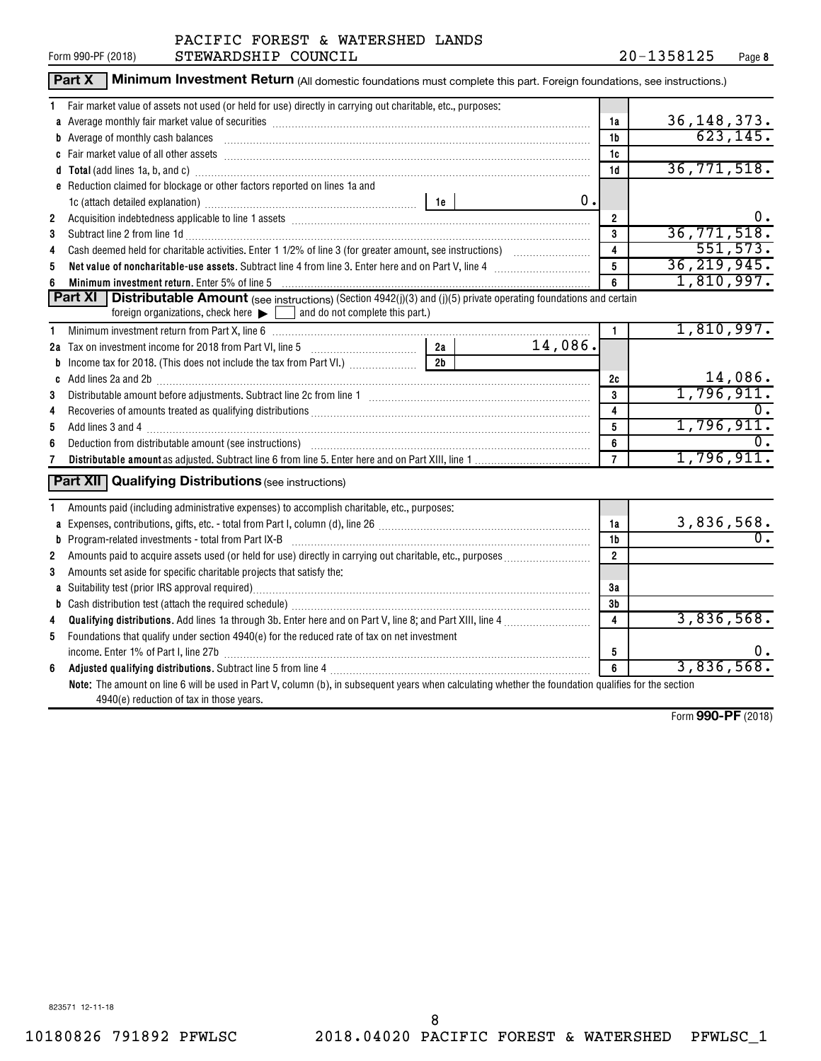|                | Part X<br>Minimum Investment Return (All domestic foundations must complete this part. Foreign foundations, see instructions.)                                                                                                      |                |               |                |                  |
|----------------|-------------------------------------------------------------------------------------------------------------------------------------------------------------------------------------------------------------------------------------|----------------|---------------|----------------|------------------|
| 1              | Fair market value of assets not used (or held for use) directly in carrying out charitable, etc., purposes:                                                                                                                         |                |               |                |                  |
|                | a Average monthly fair market value of securities [11] matter content to the control of the second state of securities [11] matter content and average monthly fair market value of securities [11] matter content and average      | 1a             | 36, 148, 373. |                |                  |
|                | b Average of monthly cash balances encontractional contraction of the state of monthly cash balances                                                                                                                                |                |               | 1b             | 623,145.         |
|                |                                                                                                                                                                                                                                     |                |               | 1c             |                  |
|                | d Total (add lines 1a, b, and c) manufactured and control of the control of the control of the control of the control of the control of the control of the control of the control of the control of the control of the control      |                |               | 1d             | 36, 771, 518.    |
|                | e Reduction claimed for blockage or other factors reported on lines 1a and                                                                                                                                                          |                |               |                |                  |
|                |                                                                                                                                                                                                                                     |                | 0.            |                |                  |
| $\overline{2}$ |                                                                                                                                                                                                                                     |                |               | $\overline{2}$ | 0.               |
| 3              | Subtract line 2 from line 1d <b>matures and the contract of the 1d</b> matures and the contract line 2 from line 1d matures and the contract of the contract of the contract of the contract of the contract of the contract of the |                |               | 3              | 36, 771, 518.    |
| 4              |                                                                                                                                                                                                                                     |                |               | 4              | 551, 573.        |
| 5              | Net value of noncharitable-use assets. Subtract line 4 from line 3. Enter here and on Part V, line 4 [11, 11]                                                                                                                       |                |               | 5              | 36, 219, 945.    |
| 6              | <b>Minimum investment return.</b> Enter 5% of line 5                                                                                                                                                                                |                |               | 6              | 1,810,997.       |
|                | <b>Part XI</b>   Distributable Amount (see instructions) (Section 4942(j)(3) and (j)(5) private operating foundations and certain                                                                                                   |                |               |                |                  |
|                | foreign organizations, check here $\blacktriangleright$ and do not complete this part.)                                                                                                                                             |                |               |                |                  |
| 1              | Minimum investment return from Part X, line 6 [11] matter contract the control of the control of the control of the control of the control of the control of the control of the control of the control of the control of the c      |                |               | $\mathbf{1}$   | 1,810,997.       |
|                | 2a Tax on investment income for 2018 from Part VI, line 5 [100] [100] Tax on investment income for 2018 from Part VI, line 5                                                                                                        | 2a             | 14,086.       |                |                  |
|                |                                                                                                                                                                                                                                     | 2 <sub>b</sub> |               |                |                  |
|                |                                                                                                                                                                                                                                     |                |               | 2c             | 14,086.          |
| 3              |                                                                                                                                                                                                                                     |                |               | 3              | 1,796,911.       |
| 4              |                                                                                                                                                                                                                                     |                |               | 4              |                  |
| 5              |                                                                                                                                                                                                                                     |                |               | 5              | 1,796,911.       |
| 6              |                                                                                                                                                                                                                                     |                |               | 6              |                  |
| 7              |                                                                                                                                                                                                                                     |                |               | $\overline{7}$ | 1,796,911.       |
|                | <b>Part XII</b> Qualifying Distributions (see instructions)                                                                                                                                                                         |                |               |                |                  |
|                |                                                                                                                                                                                                                                     |                |               |                |                  |
| 1              | Amounts paid (including administrative expenses) to accomplish charitable, etc., purposes:                                                                                                                                          |                |               |                |                  |
|                |                                                                                                                                                                                                                                     |                |               | 1a             | 3,836,568.       |
|                |                                                                                                                                                                                                                                     |                |               | 1b             | $\overline{0}$ . |
| 2              |                                                                                                                                                                                                                                     |                |               | $\overline{2}$ |                  |
| 3              | Amounts set aside for specific charitable projects that satisfy the:                                                                                                                                                                |                |               |                |                  |
|                |                                                                                                                                                                                                                                     | 3a             |               |                |                  |
|                |                                                                                                                                                                                                                                     |                |               | 3b             |                  |
| 4              |                                                                                                                                                                                                                                     |                |               | 4              | 3,836,568.       |
| 5              | Foundations that qualify under section 4940(e) for the reduced rate of tax on net investment                                                                                                                                        |                |               |                |                  |
|                |                                                                                                                                                                                                                                     |                |               | 5              | 0.               |
| 6              | Adjusted qualifying distributions. Subtract line 5 from line 4 [11] manufacture manufacture during manufacture                                                                                                                      |                |               | 6              | 3,836,568.       |
|                | Note: The amount on line 6 will be used in Part V, column (b), in subsequent years when calculating whether the foundation qualifies for the section                                                                                |                |               |                |                  |
|                | 4940(e) reduction of tax in those years.                                                                                                                                                                                            |                |               |                |                  |

Form (2018) **990-PF**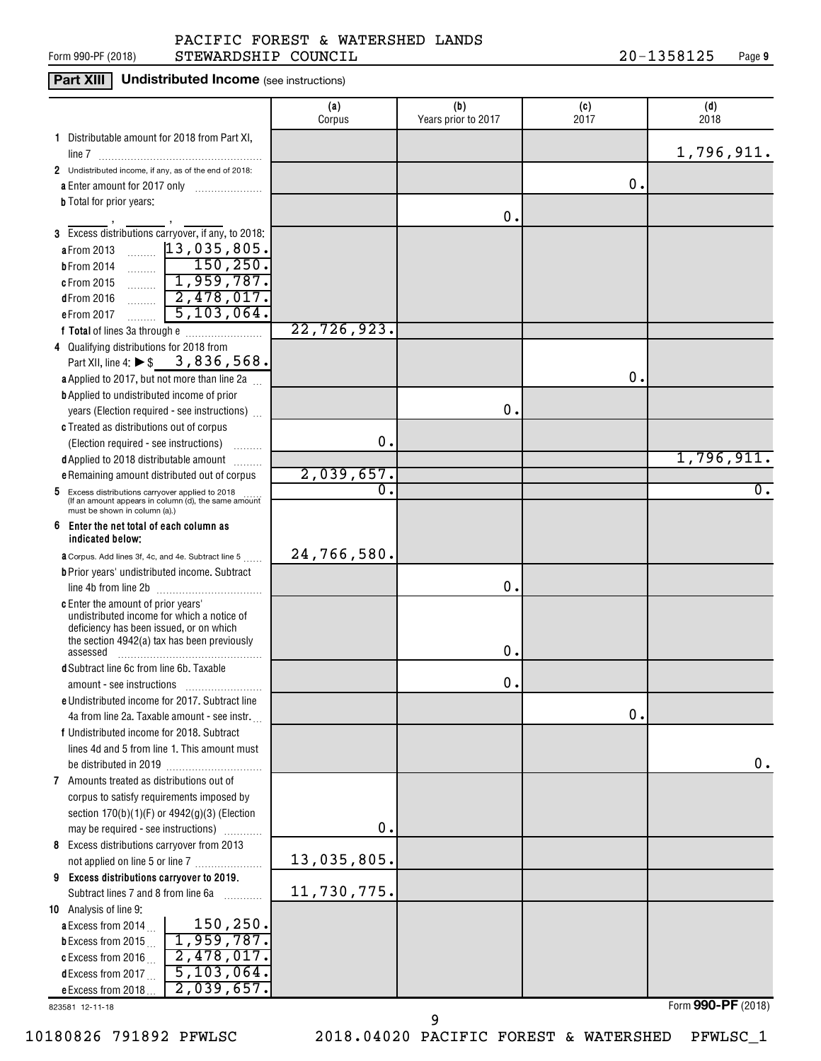#### Form 990-PF (2018)  $\qquad \qquad$  STEWARDSHIP COUNCIL  $\qquad \qquad 20-1358125$  Page PACIFIC FOREST & WATERSHED LANDS

### **Part XIII** Undistributed Income (see instructions)

|                                                                                                                                              | (a)<br>Corpus            | (b)<br>Years prior to 2017 | (c)<br>2017 | (d)<br>2018      |
|----------------------------------------------------------------------------------------------------------------------------------------------|--------------------------|----------------------------|-------------|------------------|
| 1 Distributable amount for 2018 from Part XI,                                                                                                |                          |                            |             |                  |
| line 7                                                                                                                                       |                          |                            |             | 1,796,911.       |
| 2 Undistributed income, if any, as of the end of 2018:                                                                                       |                          |                            |             |                  |
| a Enter amount for 2017 only                                                                                                                 |                          |                            | 0.          |                  |
| <b>b</b> Total for prior years:                                                                                                              |                          |                            |             |                  |
|                                                                                                                                              |                          | О.                         |             |                  |
| 3 Excess distributions carryover, if any, to 2018:                                                                                           |                          |                            |             |                  |
| $\frac{13,035,805}{150,250}$<br>a From 2013                                                                                                  |                          |                            |             |                  |
| <b>b</b> From 2014                                                                                                                           |                          |                            |             |                  |
| 1,959,787.<br>c From 2015                                                                                                                    |                          |                            |             |                  |
| $\boxed{2,478,017}$<br>dFrom 2016                                                                                                            |                          |                            |             |                  |
| 5, 103, 064.<br>eFrom 2017                                                                                                                   |                          |                            |             |                  |
|                                                                                                                                              | 22,726,923.              |                            |             |                  |
| 4 Qualifying distributions for 2018 from                                                                                                     |                          |                            |             |                  |
| Part XII, line 4: ▶ \$3,836,568.                                                                                                             |                          |                            |             |                  |
| a Applied to 2017, but not more than line 2a                                                                                                 |                          |                            | 0.          |                  |
| <b>b</b> Applied to undistributed income of prior                                                                                            |                          |                            |             |                  |
| years (Election required - see instructions)                                                                                                 |                          | О.                         |             |                  |
| c Treated as distributions out of corpus                                                                                                     |                          |                            |             |                  |
| (Election required - see instructions)                                                                                                       | 0.                       |                            |             |                  |
| d Applied to 2018 distributable amount                                                                                                       |                          |                            |             | 1,796,911.       |
| e Remaining amount distributed out of corpus                                                                                                 | 2,039,657.<br>$\Omega$ . |                            |             | $\overline{0}$ . |
| Excess distributions carryover applied to 2018<br>5<br>(If an amount appears in column (d), the same amount<br>must be shown in column (a).) |                          |                            |             |                  |
| 6<br>Enter the net total of each column as<br>indicated below;                                                                               |                          |                            |             |                  |
| <b>a</b> Corpus. Add lines 3f, 4c, and 4e. Subtract line 5                                                                                   | 24,766,580.              |                            |             |                  |
| <b>b</b> Prior years' undistributed income. Subtract                                                                                         |                          |                            |             |                  |
| line 4b from line 2b                                                                                                                         |                          | о.                         |             |                  |
| <b>c</b> Enter the amount of prior years'                                                                                                    |                          |                            |             |                  |
| undistributed income for which a notice of<br>deficiency has been issued, or on which                                                        |                          |                            |             |                  |
| the section 4942(a) tax has been previously                                                                                                  |                          |                            |             |                  |
| assessed                                                                                                                                     |                          | о.                         |             |                  |
| <b>d</b> Subtract line 6c from line 6b. Taxable                                                                                              |                          |                            |             |                  |
| amount - see instructions                                                                                                                    |                          | О.                         |             |                  |
| e Undistributed income for 2017. Subtract line                                                                                               |                          |                            |             |                  |
| 4a from line 2a. Taxable amount - see instr.                                                                                                 |                          |                            | 0.          |                  |
| f Undistributed income for 2018. Subtract                                                                                                    |                          |                            |             |                  |
| lines 4d and 5 from line 1. This amount must                                                                                                 |                          |                            |             | 0.               |
| be distributed in 2019<br>7 Amounts treated as distributions out of                                                                          |                          |                            |             |                  |
| corpus to satisfy requirements imposed by                                                                                                    |                          |                            |             |                  |
| section $170(b)(1)(F)$ or $4942(g)(3)$ (Election                                                                                             |                          |                            |             |                  |
| may be required - see instructions)                                                                                                          | $\mathbf 0$ .            |                            |             |                  |
| 8 Excess distributions carryover from 2013                                                                                                   |                          |                            |             |                  |
| not applied on line 5 or line 7                                                                                                              | 13,035,805.              |                            |             |                  |
| 9 Excess distributions carryover to 2019.                                                                                                    |                          |                            |             |                  |
| Subtract lines 7 and 8 from line 6a                                                                                                          | 11,730,775.              |                            |             |                  |
| 10 Analysis of line 9:                                                                                                                       |                          |                            |             |                  |
| 150,250.<br>a Excess from 2014                                                                                                               |                          |                            |             |                  |
| 1,959,787.<br><b>b</b> Excess from 2015                                                                                                      |                          |                            |             |                  |
| 2,478,017.<br>c Excess from 2016                                                                                                             |                          |                            |             |                  |
| 5,103,064.<br>dExcess from 2017                                                                                                              |                          |                            |             |                  |
| 2,039,657.<br>e Excess from 2018.                                                                                                            |                          |                            |             |                  |

823581 12-11-18

10180826 791892 PFWLSC 2018.04020 PACIFIC FOREST & WATERSHED PFWLSC\_1

9

Form (2018) **990-PF**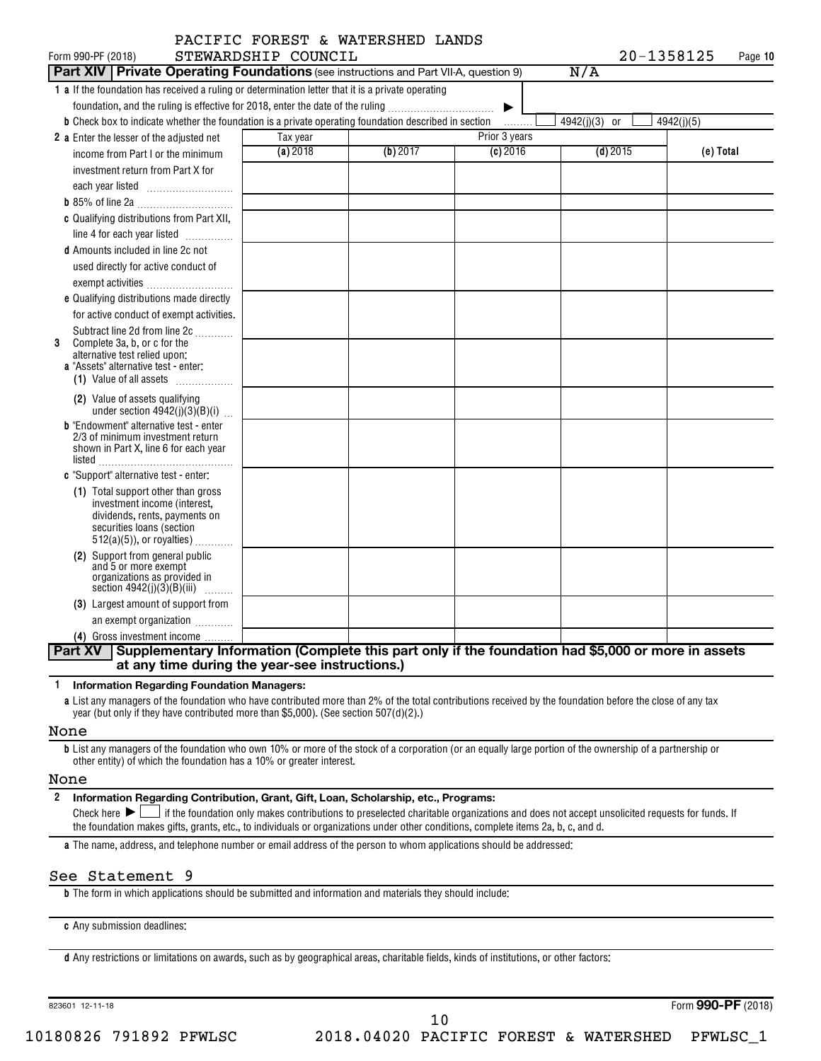| Form 990-PF (2018)                                                                                                   | STEWARDSHIP COUNCIL |          |               | 20-1358125    | Page 10    |
|----------------------------------------------------------------------------------------------------------------------|---------------------|----------|---------------|---------------|------------|
| <b>Part XIV Private Operating Foundations</b> (see instructions and Part VII-A, question 9)                          |                     |          |               | N/A           |            |
| 1 a If the foundation has received a ruling or determination letter that it is a private operating                   |                     |          |               |               |            |
| foundation, and the ruling is effective for 2018, enter the date of the ruling                                       |                     |          | ▶             |               |            |
| <b>b</b> Check box to indicate whether the foundation is a private operating foundation described in section         |                     |          | .             | 4942(j)(3) or | 4942(j)(5) |
| 2 a Enter the lesser of the adjusted net                                                                             | Tax year            |          | Prior 3 years |               |            |
| income from Part I or the minimum                                                                                    | (a) 2018            | (b) 2017 | $(c)$ 2016    | $(d)$ 2015    | (e) Total  |
| investment return from Part X for                                                                                    |                     |          |               |               |            |
|                                                                                                                      |                     |          |               |               |            |
|                                                                                                                      |                     |          |               |               |            |
| c Qualifying distributions from Part XII,                                                                            |                     |          |               |               |            |
| line 4 for each year listed                                                                                          |                     |          |               |               |            |
| <b>d</b> Amounts included in line 2c not                                                                             |                     |          |               |               |            |
| used directly for active conduct of                                                                                  |                     |          |               |               |            |
| exempt activities                                                                                                    |                     |          |               |               |            |
| e Qualifying distributions made directly                                                                             |                     |          |               |               |            |
| for active conduct of exempt activities.                                                                             |                     |          |               |               |            |
| Subtract line 2d from line 2c                                                                                        |                     |          |               |               |            |
| Complete 3a, b, or c for the<br>3<br>alternative test relied upon:                                                   |                     |          |               |               |            |
| a "Assets" alternative test - enter:                                                                                 |                     |          |               |               |            |
| (1) Value of all assets                                                                                              |                     |          |               |               |            |
| (2) Value of assets qualifying<br>under section $4942(j)(3)(B)(i)$                                                   |                     |          |               |               |            |
| <b>b</b> "Endowment" alternative test - enter                                                                        |                     |          |               |               |            |
| 2/3 of minimum investment return                                                                                     |                     |          |               |               |            |
| shown in Part X, line 6 for each year                                                                                |                     |          |               |               |            |
| c "Support" alternative test - enter:                                                                                |                     |          |               |               |            |
| (1) Total support other than gross                                                                                   |                     |          |               |               |            |
| investment income (interest,                                                                                         |                     |          |               |               |            |
| dividends, rents, payments on<br>securities loans (section                                                           |                     |          |               |               |            |
| $512(a)(5)$ , or royalties)                                                                                          |                     |          |               |               |            |
| (2) Support from general public                                                                                      |                     |          |               |               |            |
| and 5 or more exempt                                                                                                 |                     |          |               |               |            |
| organizations as provided in<br>section $4942(j)(3)(B)(iii)$                                                         |                     |          |               |               |            |
| (3) Largest amount of support from                                                                                   |                     |          |               |               |            |
| an exempt organization                                                                                               |                     |          |               |               |            |
| (4) Gross investment income                                                                                          |                     |          |               |               |            |
| Supplementary Information (Complete this part only if the foundation had \$5,000 or more in assets<br><b>Part XV</b> |                     |          |               |               |            |

**1 Information Regarding Foundation Managers:**

**a** List any managers of the foundation who have contributed more than 2% of the total contributions received by the foundation before the close of any tax year (but only if they have contributed more than \$5,000). (See section 507(d)(2).)

#### None

**b** List any managers of the foundation who own 10% or more of the stock of a corporation (or an equally large portion of the ownership of a partnership or other entity) of which the foundation has a 10% or greater interest.

#### None

**2 Information Regarding Contribution, Grant, Gift, Loan, Scholarship, etc., Programs:** Final check here  $\sum_{n=1}^{\infty}$  if the foundation only makes contributions to preselected charitable organizations and does not accept unsolicited requests for funds. If the foundation makes gifts, grants, etc., to individuals or organizations under other conditions, complete items 2a, b, c, and d.

**a** The name, address, and telephone number or email address of the person to whom applications should be addressed:

#### See Statement 9

**b** The form in which applications should be submitted and information and materials they should include:

**c** Any submission deadlines:

**d** Any restrictions or limitations on awards, such as by geographical areas, charitable fields, kinds of institutions, or other factors:

823601 12-11-18

Form (2018) **990-PF**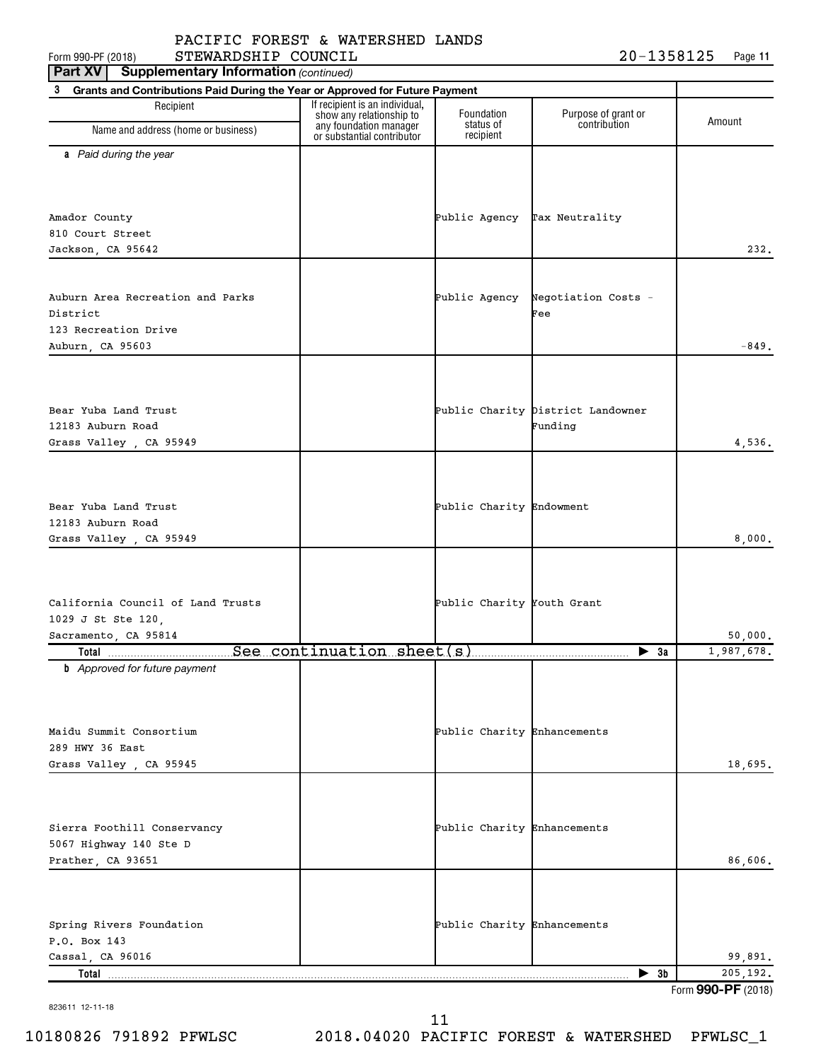**11** Form 990-PF (2018)  $\begin{array}{l} \text{STEWARDSHIP} \end{array}$  COUNCIL  $\begin{array}{l} \text{20--1358125} \end{array}$  Page

| <b>Supplementary Information (continued)</b><br>Part XV                           |                                                                                      |                              |                                     |                     |
|-----------------------------------------------------------------------------------|--------------------------------------------------------------------------------------|------------------------------|-------------------------------------|---------------------|
| 3<br>Grants and Contributions Paid During the Year or Approved for Future Payment |                                                                                      |                              |                                     |                     |
| Recipient                                                                         | If recipient is an individual,<br>show any relationship to<br>any foundation manager | Foundation<br>status of      | Purpose of grant or<br>contribution | Amount              |
| Name and address (home or business)                                               | or substantial contributor                                                           | recipient                    |                                     |                     |
| a Paid during the year                                                            |                                                                                      |                              |                                     |                     |
|                                                                                   |                                                                                      |                              |                                     |                     |
|                                                                                   |                                                                                      |                              |                                     |                     |
|                                                                                   |                                                                                      | Public Agency Tax Neutrality |                                     |                     |
| Amador County<br>810 Court Street                                                 |                                                                                      |                              |                                     |                     |
| Jackson, CA 95642                                                                 |                                                                                      |                              |                                     | 232.                |
|                                                                                   |                                                                                      |                              |                                     |                     |
|                                                                                   |                                                                                      |                              |                                     |                     |
| Auburn Area Recreation and Parks                                                  |                                                                                      | Public Agency                | Negotiation Costs -                 |                     |
| District                                                                          |                                                                                      |                              | Fee                                 |                     |
| 123 Recreation Drive                                                              |                                                                                      |                              |                                     |                     |
| Auburn, CA 95603                                                                  |                                                                                      |                              |                                     | $-849.$             |
|                                                                                   |                                                                                      |                              |                                     |                     |
|                                                                                   |                                                                                      |                              |                                     |                     |
| Bear Yuba Land Trust                                                              |                                                                                      |                              | Public Charity District Landowner   |                     |
| 12183 Auburn Road                                                                 |                                                                                      |                              | Funding                             |                     |
| Grass Valley, CA 95949                                                            |                                                                                      |                              |                                     | 4,536.              |
|                                                                                   |                                                                                      |                              |                                     |                     |
|                                                                                   |                                                                                      |                              |                                     |                     |
|                                                                                   |                                                                                      | Public Charity Endowment     |                                     |                     |
| Bear Yuba Land Trust<br>12183 Auburn Road                                         |                                                                                      |                              |                                     |                     |
| Grass Valley, CA 95949                                                            |                                                                                      |                              |                                     | 8,000.              |
|                                                                                   |                                                                                      |                              |                                     |                     |
|                                                                                   |                                                                                      |                              |                                     |                     |
|                                                                                   |                                                                                      |                              |                                     |                     |
| California Council of Land Trusts                                                 |                                                                                      | Public Charity Youth Grant   |                                     |                     |
| 1029 J St Ste 120,                                                                |                                                                                      |                              |                                     |                     |
| Sacramento, CA 95814                                                              |                                                                                      |                              |                                     | 50,000.             |
| <b>b</b> Approved for future payment                                              |                                                                                      |                              | $\blacktriangleright$ 3a            | 1,987,678.          |
|                                                                                   |                                                                                      |                              |                                     |                     |
|                                                                                   |                                                                                      |                              |                                     |                     |
|                                                                                   |                                                                                      |                              |                                     |                     |
| Maidu Summit Consortium                                                           |                                                                                      | Public Charity Enhancements  |                                     |                     |
| 289 HWY 36 East                                                                   |                                                                                      |                              |                                     |                     |
| Grass Valley , CA 95945                                                           |                                                                                      |                              |                                     | 18,695.             |
|                                                                                   |                                                                                      |                              |                                     |                     |
|                                                                                   |                                                                                      |                              |                                     |                     |
| Sierra Foothill Conservancy                                                       |                                                                                      | Public Charity Enhancements  |                                     |                     |
| 5067 Highway 140 Ste D                                                            |                                                                                      |                              |                                     |                     |
| Prather, CA 93651                                                                 |                                                                                      |                              |                                     | 86,606.             |
|                                                                                   |                                                                                      |                              |                                     |                     |
|                                                                                   |                                                                                      |                              |                                     |                     |
|                                                                                   |                                                                                      |                              |                                     |                     |
| Spring Rivers Foundation                                                          |                                                                                      | Public Charity Enhancements  |                                     |                     |
| P.O. Box 143                                                                      |                                                                                      |                              |                                     |                     |
| Cassal, CA 96016<br>Total.                                                        |                                                                                      |                              | $\blacktriangleright$ 3b            | 99,891.<br>205,192. |
|                                                                                   |                                                                                      |                              |                                     | Form 990-PF (2018)  |

823611 12-11-18

Form 990-PF (2018) **990-PF**

10180826 791892 PFWLSC 2018.04020 PACIFIC FOREST & WATERSHED PFWLSC\_1 11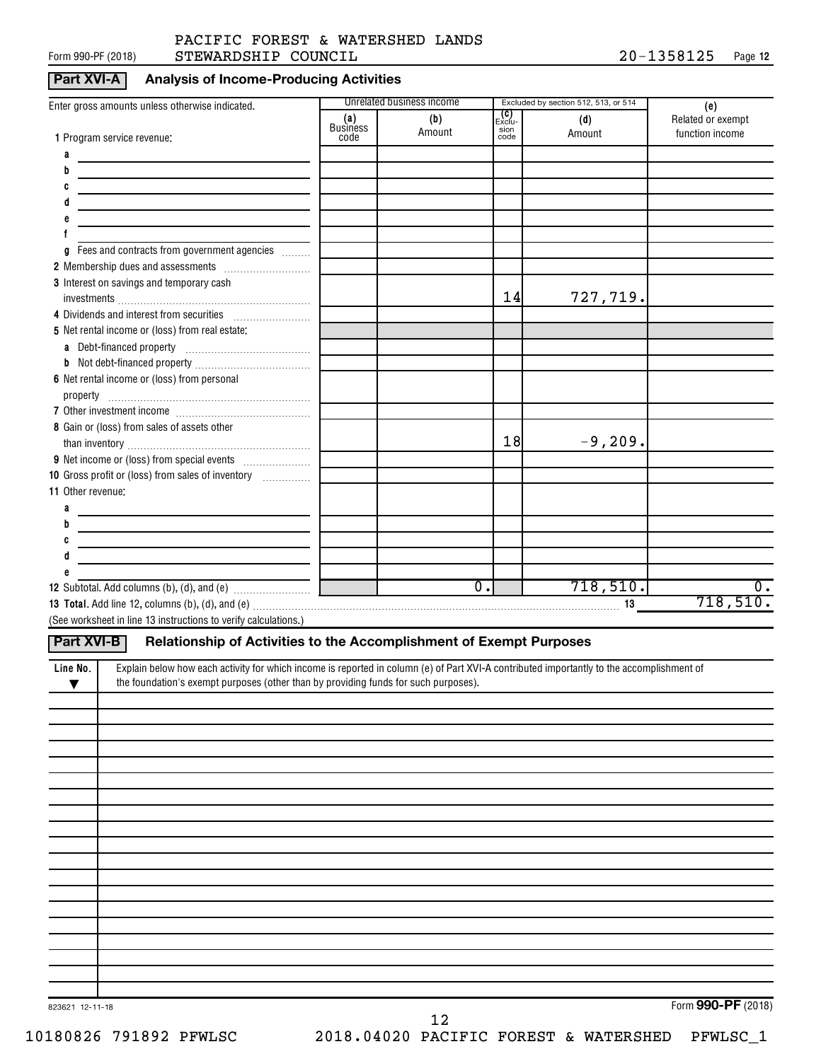#### Form 990-PF (2018)  $\quad$  STEWARDSHIP COUNCIL  $20-1358125$  Page PACIFIC FOREST & WATERSHED LANDS

#### **Part XVI-A Analysis of Income-Producing Activities**

|                                                                                                                                                       |                        | Unrelated business income |                              | Excluded by section 512, 513, or 514 |                                             |
|-------------------------------------------------------------------------------------------------------------------------------------------------------|------------------------|---------------------------|------------------------------|--------------------------------------|---------------------------------------------|
| Enter gross amounts unless otherwise indicated.                                                                                                       | (a)<br><b>Business</b> | (b)<br>Amount             | <b>(C)</b><br>Exclu-<br>sion | (d)<br>Amount                        | (e)<br>Related or exempt<br>function income |
| 1 Program service revenue:                                                                                                                            | code                   |                           | code                         |                                      |                                             |
| a<br>b                                                                                                                                                |                        |                           |                              |                                      |                                             |
|                                                                                                                                                       |                        |                           |                              |                                      |                                             |
|                                                                                                                                                       |                        |                           |                              |                                      |                                             |
|                                                                                                                                                       |                        |                           |                              |                                      |                                             |
|                                                                                                                                                       |                        |                           |                              |                                      |                                             |
| Fees and contracts from government agencies<br>g                                                                                                      |                        |                           |                              |                                      |                                             |
|                                                                                                                                                       |                        |                           |                              |                                      |                                             |
| 3 Interest on savings and temporary cash                                                                                                              |                        |                           |                              |                                      |                                             |
|                                                                                                                                                       |                        |                           | 14                           | 727,719.                             |                                             |
| 4 Dividends and interest from securities                                                                                                              |                        |                           |                              |                                      |                                             |
| 5 Net rental income or (loss) from real estate:                                                                                                       |                        |                           |                              |                                      |                                             |
|                                                                                                                                                       |                        |                           |                              |                                      |                                             |
|                                                                                                                                                       |                        |                           |                              |                                      |                                             |
| 6 Net rental income or (loss) from personal                                                                                                           |                        |                           |                              |                                      |                                             |
|                                                                                                                                                       |                        |                           |                              |                                      |                                             |
| 8 Gain or (loss) from sales of assets other                                                                                                           |                        |                           |                              |                                      |                                             |
|                                                                                                                                                       |                        |                           | 18                           | $-9, 209.$                           |                                             |
|                                                                                                                                                       |                        |                           |                              |                                      |                                             |
| 10 Gross profit or (loss) from sales of inventory                                                                                                     |                        |                           |                              |                                      |                                             |
| 11 Other revenue:                                                                                                                                     |                        |                           |                              |                                      |                                             |
| a                                                                                                                                                     |                        |                           |                              |                                      |                                             |
| b                                                                                                                                                     |                        |                           |                              |                                      |                                             |
|                                                                                                                                                       |                        |                           |                              |                                      |                                             |
| d                                                                                                                                                     |                        |                           |                              |                                      |                                             |
|                                                                                                                                                       |                        |                           |                              |                                      |                                             |
|                                                                                                                                                       |                        | $\overline{0}$ .          |                              | 718,510.                             | $\overline{0}$ .                            |
|                                                                                                                                                       |                        |                           |                              |                                      | 718,510.                                    |
| (See worksheet in line 13 instructions to verify calculations.)                                                                                       |                        |                           |                              |                                      |                                             |
| <b>Part XVI-B</b><br>Relationship of Activities to the Accomplishment of Exempt Purposes                                                              |                        |                           |                              |                                      |                                             |
| Explain below how each activity for which income is reported in column (e) of Part XVI-A contributed importantly to the accomplishment of<br>Line No. |                        |                           |                              |                                      |                                             |
| the foundation's exempt purposes (other than by providing funds for such purposes).<br>▼                                                              |                        |                           |                              |                                      |                                             |
|                                                                                                                                                       |                        |                           |                              |                                      |                                             |
|                                                                                                                                                       |                        |                           |                              |                                      |                                             |
|                                                                                                                                                       |                        |                           |                              |                                      |                                             |
|                                                                                                                                                       |                        |                           |                              |                                      |                                             |
|                                                                                                                                                       |                        |                           |                              |                                      |                                             |
|                                                                                                                                                       |                        |                           |                              |                                      |                                             |
|                                                                                                                                                       |                        |                           |                              |                                      |                                             |
|                                                                                                                                                       |                        |                           |                              |                                      |                                             |
|                                                                                                                                                       |                        |                           |                              |                                      |                                             |
|                                                                                                                                                       |                        |                           |                              |                                      |                                             |
|                                                                                                                                                       |                        |                           |                              |                                      |                                             |
|                                                                                                                                                       |                        |                           |                              |                                      |                                             |
|                                                                                                                                                       |                        |                           |                              |                                      |                                             |
|                                                                                                                                                       |                        |                           |                              |                                      |                                             |
|                                                                                                                                                       |                        |                           |                              |                                      |                                             |
|                                                                                                                                                       |                        |                           |                              |                                      |                                             |
|                                                                                                                                                       |                        |                           |                              |                                      |                                             |

Form (2018) **990-PF**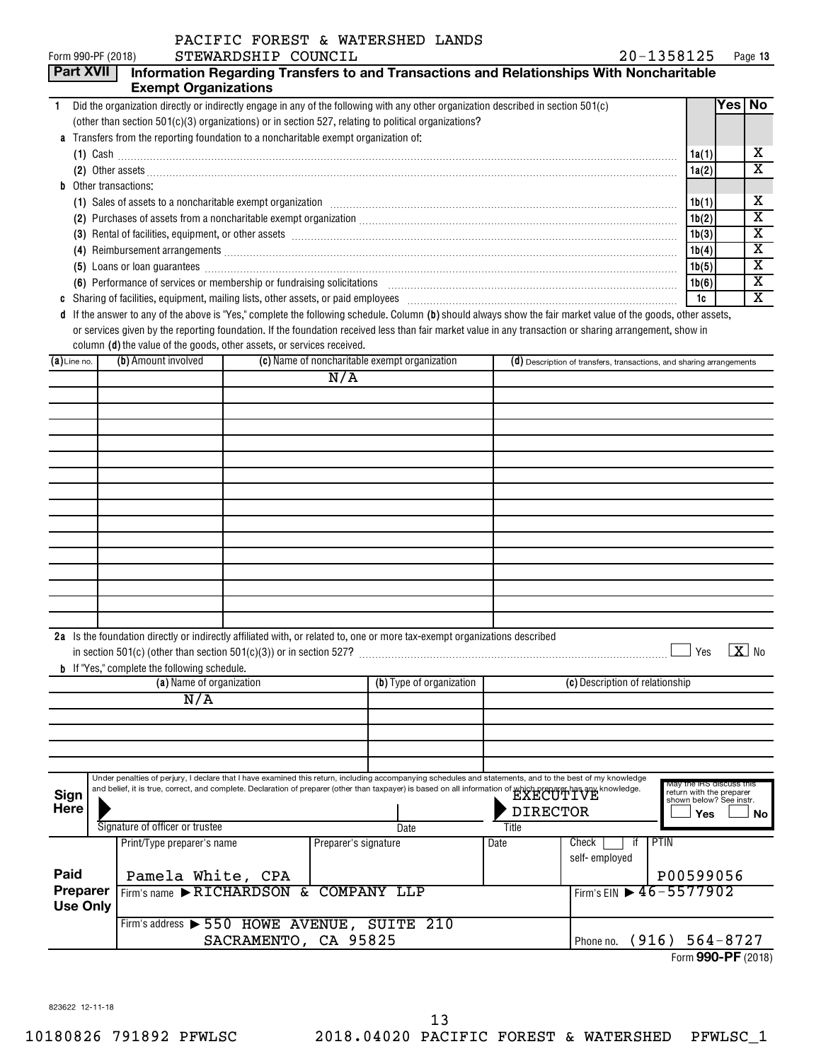|                              |                             | PACIFIC FOREST & WATERSHED LANDS                                                                                                                                                                                                                                                                                                      |                                                                      |       |                         |
|------------------------------|-----------------------------|---------------------------------------------------------------------------------------------------------------------------------------------------------------------------------------------------------------------------------------------------------------------------------------------------------------------------------------|----------------------------------------------------------------------|-------|-------------------------|
| Form 990-PF (2018)           |                             | STEWARDSHIP COUNCIL                                                                                                                                                                                                                                                                                                                   | 20-1358125                                                           |       | Page 13                 |
| <b>Part XVII</b>             |                             | Information Regarding Transfers to and Transactions and Relationships With Noncharitable                                                                                                                                                                                                                                              |                                                                      |       |                         |
|                              | <b>Exempt Organizations</b> |                                                                                                                                                                                                                                                                                                                                       |                                                                      |       |                         |
| $\mathbf{1}$                 |                             | Did the organization directly or indirectly engage in any of the following with any other organization described in section 501(c)                                                                                                                                                                                                    |                                                                      |       | Yes No                  |
|                              |                             | (other than section 501(c)(3) organizations) or in section 527, relating to political organizations?                                                                                                                                                                                                                                  |                                                                      |       |                         |
| a                            |                             | Transfers from the reporting foundation to a noncharitable exempt organization of:                                                                                                                                                                                                                                                    |                                                                      |       |                         |
|                              |                             | $(1)$ Cash $\ldots$ $\ldots$ $\ldots$ $\ldots$ $\ldots$ $\ldots$ $\ldots$ $\ldots$ $\ldots$ $\ldots$ $\ldots$ $\ldots$ $\ldots$ $\ldots$ $\ldots$ $\ldots$ $\ldots$ $\ldots$ $\ldots$ $\ldots$ $\ldots$ $\ldots$ $\ldots$ $\ldots$ $\ldots$ $\ldots$ $\ldots$ $\ldots$ $\ldots$ $\ldots$ $\ldots$ $\ldots$ $\ldots$ $\ldots$ $\ldots$ |                                                                      | 1a(1) | х                       |
|                              |                             | (2) Other assets <b>construction and construction of the construction</b> of the construction of the construction of the construction of the construction of the construction of the construction of the construction of the constr                                                                                                   |                                                                      | 1a(2) | $\overline{\text{x}}$   |
| <b>b</b> Other transactions: |                             |                                                                                                                                                                                                                                                                                                                                       |                                                                      |       |                         |
|                              |                             | (1) Sales of assets to a noncharitable exempt organization manufactured contains and contained assets to a noncharitable exempt organization manufactured contains and a set of the set of the set of the set of the set of th                                                                                                        |                                                                      | 1b(1) | х                       |
|                              |                             |                                                                                                                                                                                                                                                                                                                                       |                                                                      | 1b(2) | $\overline{\textbf{x}}$ |
|                              |                             | (3) Rental of facilities, equipment, or other assets [1] resonance contained a substitution of facilities, equipment, or other assets [1] $\sim$                                                                                                                                                                                      |                                                                      | 1b(3) | $\overline{\text{x}}$   |
|                              |                             |                                                                                                                                                                                                                                                                                                                                       |                                                                      | 1b(4) | X                       |
|                              |                             | (5) Loans or loan guarantees <b>commission contract and contract and allegates</b> and contract and contract and contract and contract and contract and contract and contract and contract and contract and contract and contract a                                                                                                   |                                                                      | 1b(5) | $\overline{\text{x}}$   |
|                              |                             | (6) Performance of services or membership or fundraising solicitations [11] manufactures manufactures in the services or membership or fundraising solicitations [11] manufactures manufactures in the Performance of Services                                                                                                        |                                                                      | 1b(6) | $\overline{\text{x}}$   |
| C                            |                             |                                                                                                                                                                                                                                                                                                                                       |                                                                      | 1c    | $\overline{\texttt{x}}$ |
| d                            |                             | If the answer to any of the above is "Yes," complete the following schedule. Column (b) should always show the fair market value of the goods, other assets,                                                                                                                                                                          |                                                                      |       |                         |
|                              |                             | or services given by the reporting foundation. If the foundation received less than fair market value in any transaction or sharing arrangement, show in                                                                                                                                                                              |                                                                      |       |                         |
|                              |                             | column (d) the value of the goods, other assets, or services received.                                                                                                                                                                                                                                                                |                                                                      |       |                         |
| $(a)$ Line no.               | (b) Amount involved         | (c) Name of noncharitable exempt organization                                                                                                                                                                                                                                                                                         | (d) Description of transfers, transactions, and sharing arrangements |       |                         |
|                              |                             | N/A                                                                                                                                                                                                                                                                                                                                   |                                                                      |       |                         |
|                              |                             |                                                                                                                                                                                                                                                                                                                                       |                                                                      |       |                         |
|                              |                             |                                                                                                                                                                                                                                                                                                                                       |                                                                      |       |                         |
|                              |                             |                                                                                                                                                                                                                                                                                                                                       |                                                                      |       |                         |
|                              |                             |                                                                                                                                                                                                                                                                                                                                       |                                                                      |       |                         |
|                              |                             |                                                                                                                                                                                                                                                                                                                                       |                                                                      |       |                         |
|                              |                             |                                                                                                                                                                                                                                                                                                                                       |                                                                      |       |                         |
|                              |                             |                                                                                                                                                                                                                                                                                                                                       |                                                                      |       |                         |
|                              |                             |                                                                                                                                                                                                                                                                                                                                       |                                                                      |       |                         |
|                              |                             |                                                                                                                                                                                                                                                                                                                                       |                                                                      |       |                         |
|                              |                             |                                                                                                                                                                                                                                                                                                                                       |                                                                      |       |                         |
|                              |                             |                                                                                                                                                                                                                                                                                                                                       |                                                                      |       |                         |
|                              |                             |                                                                                                                                                                                                                                                                                                                                       |                                                                      |       |                         |

|  |                                                     | 2a Is the foundation directly or indirectly affiliated with, or related to, one or more tax-exempt organizations described |  |     |           |
|--|-----------------------------------------------------|----------------------------------------------------------------------------------------------------------------------------|--|-----|-----------|
|  |                                                     | in section $501(c)$ (other than section $501(c)(3)$ ) or in section $527$ ?                                                |  | Yes | $X _{N0}$ |
|  | <b>b</b> If "Yes," complete the following schedule. |                                                                                                                            |  |     |           |

| (a) Name of organization           |  |                                                                                                                                                                                                                                                                                                                                                                                                                                                                                                                              | (b) Type of organization |                             | (c) Description of relationship |                             |                                                                                                     |
|------------------------------------|--|------------------------------------------------------------------------------------------------------------------------------------------------------------------------------------------------------------------------------------------------------------------------------------------------------------------------------------------------------------------------------------------------------------------------------------------------------------------------------------------------------------------------------|--------------------------|-----------------------------|---------------------------------|-----------------------------|-----------------------------------------------------------------------------------------------------|
|                                    |  | N/A                                                                                                                                                                                                                                                                                                                                                                                                                                                                                                                          |                          |                             |                                 |                             |                                                                                                     |
|                                    |  |                                                                                                                                                                                                                                                                                                                                                                                                                                                                                                                              |                          |                             |                                 |                             |                                                                                                     |
|                                    |  |                                                                                                                                                                                                                                                                                                                                                                                                                                                                                                                              |                          |                             |                                 |                             |                                                                                                     |
|                                    |  |                                                                                                                                                                                                                                                                                                                                                                                                                                                                                                                              |                          |                             |                                 |                             |                                                                                                     |
|                                    |  |                                                                                                                                                                                                                                                                                                                                                                                                                                                                                                                              |                          |                             |                                 |                             |                                                                                                     |
| Sign<br><b>Here</b>                |  | Under penalties of perjury, I declare that I have examined this return, including accompanying schedules and statements, and to the best of my knowledge<br>and belief, it is true, correct, and complete. Declaration of preparer (other than taxpayer) is based on all information of which preparer has any knowledge.<br>Signature of officer or trustee                                                                                                                                                                 |                          | Date                        | <b>DIRECTOR</b><br>Title        |                             | May the IRS discuss this<br>return with the preparer<br>shown below? See instr.<br><b>Yes</b><br>No |
| Paid                               |  | Print/Type preparer's name<br>Pamela White, CPA                                                                                                                                                                                                                                                                                                                                                                                                                                                                              | Preparer's signature     |                             | Date                            | Check<br>ш<br>self-employed | <b>PTIN</b><br>P00599056                                                                            |
| <b>Preparer</b><br><b>Use Only</b> |  | Firm's name $\blacktriangleright$ RICHARDSON &<br>Firm's address $\triangleright$ 550 HOWE AVENUE,<br>$\alpha$ , $\alpha$ , $\alpha$ , $\alpha$ , $\alpha$ , $\alpha$ , $\alpha$ , $\alpha$ , $\alpha$ , $\alpha$ , $\alpha$ , $\alpha$ , $\alpha$ , $\alpha$ , $\alpha$ , $\alpha$ , $\alpha$ , $\alpha$ , $\alpha$ , $\alpha$ , $\alpha$ , $\alpha$ , $\alpha$ , $\alpha$ , $\alpha$ , $\alpha$ , $\alpha$ , $\alpha$ , $\alpha$ , $\alpha$ , $\alpha$ , $\alpha$ , $\alpha$ , $\alpha$ , $\alpha$ , $\alpha$ , $\alpha$ , |                          | COMPANY LLP<br>SUITE<br>210 |                                 |                             | Firm's EIN $\triangleright$ 46-5577902<br>$\sqrt{20}$                                               |

Phone no. (916) 564-8727 Form (2018) **990-PF** SACRAMENTO, CA 95825 (916) | Phone no. (916) 564-8727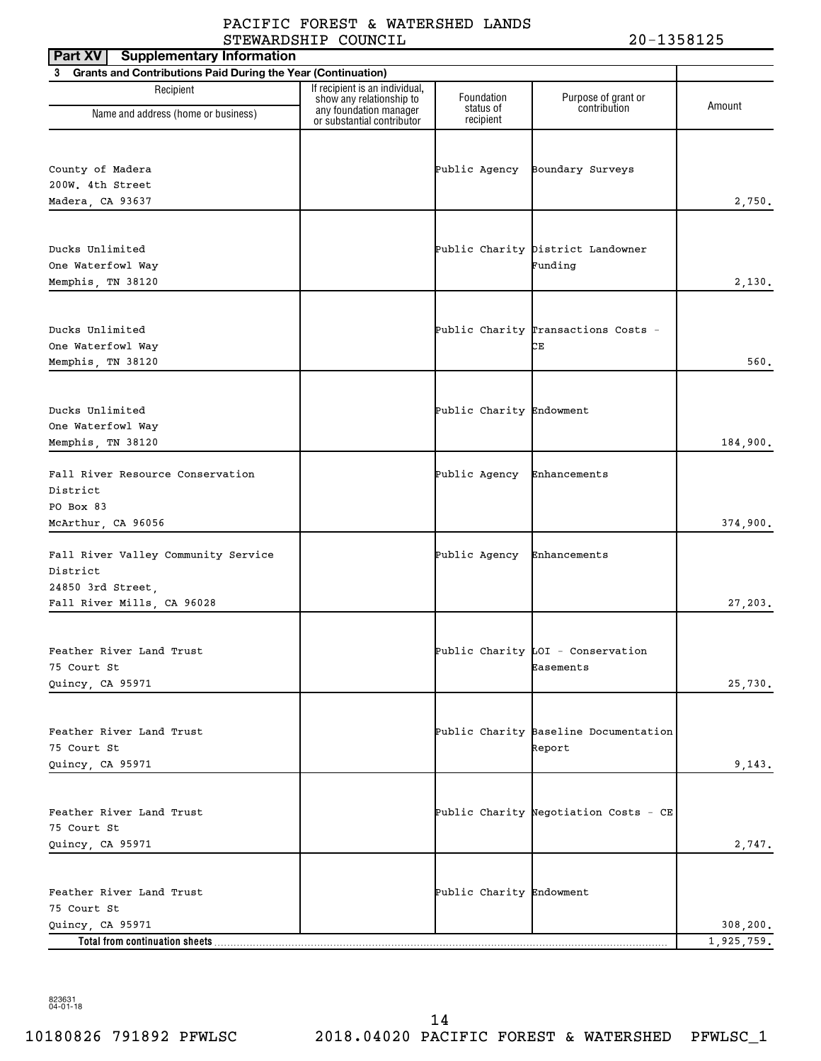| <b>Supplementary Information</b><br>Part XV                    |                                                                                      |                          |                                       |            |
|----------------------------------------------------------------|--------------------------------------------------------------------------------------|--------------------------|---------------------------------------|------------|
| 3 Grants and Contributions Paid During the Year (Continuation) |                                                                                      |                          |                                       |            |
| Recipient                                                      | If recipient is an individual,<br>show any relationship to<br>any foundation manager | Foundation<br>status of  | Purpose of grant or<br>contribution   | Amount     |
| Name and address (home or business)                            | or substantial contributor                                                           | recipient                |                                       |            |
|                                                                |                                                                                      |                          |                                       |            |
| County of Madera                                               |                                                                                      | Public Agency            | Boundary Surveys                      |            |
| 200W. 4th Street                                               |                                                                                      |                          |                                       |            |
| Madera, CA 93637                                               |                                                                                      |                          |                                       | 2,750.     |
|                                                                |                                                                                      |                          |                                       |            |
| Ducks Unlimited                                                |                                                                                      |                          | Public Charity District Landowner     |            |
| One Waterfowl Way                                              |                                                                                      |                          | Funding                               |            |
| Memphis, TN 38120                                              |                                                                                      |                          |                                       | 2,130.     |
|                                                                |                                                                                      |                          |                                       |            |
| Ducks Unlimited                                                |                                                                                      |                          | Public Charity Transactions Costs -   |            |
| One Waterfowl Way                                              |                                                                                      |                          | CЕ                                    |            |
| Memphis, TN 38120                                              |                                                                                      |                          |                                       | 560.       |
|                                                                |                                                                                      |                          |                                       |            |
| Ducks Unlimited                                                |                                                                                      | Public Charity Endowment |                                       |            |
| One Waterfowl Way                                              |                                                                                      |                          |                                       |            |
| Memphis, TN 38120                                              |                                                                                      |                          |                                       | 184,900.   |
|                                                                |                                                                                      |                          |                                       |            |
| Fall River Resource Conservation                               |                                                                                      | Public Agency            | Enhancements                          |            |
| District<br>PO Box 83                                          |                                                                                      |                          |                                       |            |
| McArthur, CA 96056                                             |                                                                                      |                          |                                       | 374,900.   |
|                                                                |                                                                                      |                          |                                       |            |
| Fall River Valley Community Service                            |                                                                                      | Public Agency            | Enhancements                          |            |
| District                                                       |                                                                                      |                          |                                       |            |
| 24850 3rd Street,                                              |                                                                                      |                          |                                       |            |
| Fall River Mills, CA 96028                                     |                                                                                      |                          |                                       | 27,203.    |
|                                                                |                                                                                      |                          |                                       |            |
| Feather River Land Trust                                       |                                                                                      |                          | Public Charity LOI - Conservation     |            |
| 75 Court St                                                    |                                                                                      |                          | Easements                             |            |
| Quincy, CA 95971                                               |                                                                                      |                          |                                       | 25,730.    |
|                                                                |                                                                                      |                          |                                       |            |
| Feather River Land Trust                                       |                                                                                      |                          | Public Charity Baseline Documentation |            |
| 75 Court St                                                    |                                                                                      |                          | Report                                |            |
| Quincy, CA 95971                                               |                                                                                      |                          |                                       | 9,143.     |
|                                                                |                                                                                      |                          |                                       |            |
| Feather River Land Trust                                       |                                                                                      |                          | Public Charity Negotiation Costs - CE |            |
| 75 Court St                                                    |                                                                                      |                          |                                       |            |
| Quincy, CA 95971                                               |                                                                                      |                          |                                       | 2,747.     |
|                                                                |                                                                                      |                          |                                       |            |
| Feather River Land Trust                                       |                                                                                      | Public Charity Endowment |                                       |            |
| 75 Court St                                                    |                                                                                      |                          |                                       |            |
| Quincy, CA 95971                                               |                                                                                      |                          |                                       | 308, 200.  |
| Total from continuation sheets                                 |                                                                                      |                          |                                       | 1,925,759. |

10180826 791892 PFWLSC 2018.04020 PACIFIC FOREST & WATERSHED PFWLSC\_1 14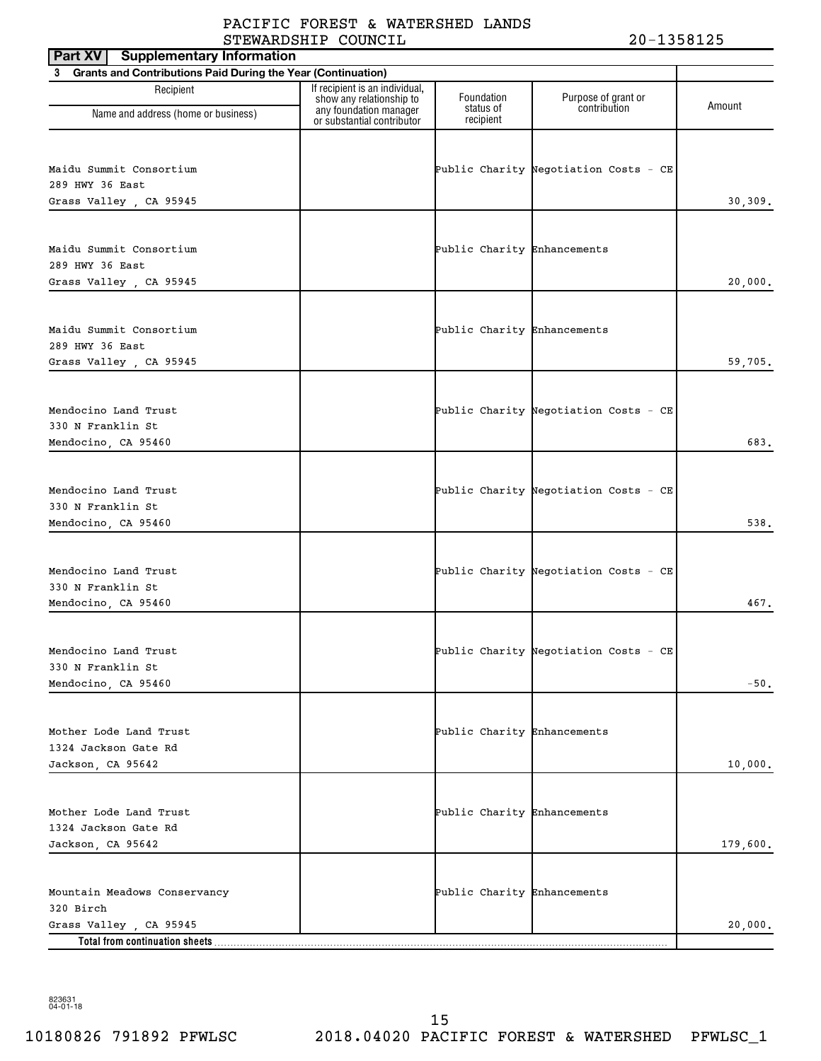| <b>Supplementary Information</b><br>Part XV                    |                                                                                      |                             |                                       |          |
|----------------------------------------------------------------|--------------------------------------------------------------------------------------|-----------------------------|---------------------------------------|----------|
| 3 Grants and Contributions Paid During the Year (Continuation) |                                                                                      |                             |                                       |          |
| Recipient                                                      | If recipient is an individual,<br>show any relationship to<br>any foundation manager | Foundation<br>status of     | Purpose of grant or<br>contribution   | Amount   |
| Name and address (home or business)                            | or substantial contributor                                                           | recipient                   |                                       |          |
|                                                                |                                                                                      |                             |                                       |          |
| Maidu Summit Consortium                                        |                                                                                      |                             | Public Charity Negotiation Costs - CE |          |
| 289 HWY 36 East                                                |                                                                                      |                             |                                       |          |
| Grass Valley, CA 95945                                         |                                                                                      |                             |                                       | 30, 309. |
|                                                                |                                                                                      |                             |                                       |          |
| Maidu Summit Consortium                                        |                                                                                      | Public Charity Enhancements |                                       |          |
| 289 HWY 36 East                                                |                                                                                      |                             |                                       |          |
| Grass Valley, CA 95945                                         |                                                                                      |                             |                                       | 20,000.  |
|                                                                |                                                                                      |                             |                                       |          |
|                                                                |                                                                                      |                             |                                       |          |
| Maidu Summit Consortium<br>289 HWY 36 East                     |                                                                                      | Public Charity Enhancements |                                       |          |
| Grass Valley, CA 95945                                         |                                                                                      |                             |                                       | 59,705.  |
|                                                                |                                                                                      |                             |                                       |          |
|                                                                |                                                                                      |                             |                                       |          |
| Mendocino Land Trust                                           |                                                                                      |                             | Public Charity Negotiation Costs - CE |          |
| 330 N Franklin St                                              |                                                                                      |                             |                                       |          |
| Mendocino, CA 95460                                            |                                                                                      |                             |                                       | 683.     |
|                                                                |                                                                                      |                             |                                       |          |
| Mendocino Land Trust                                           |                                                                                      |                             | Public Charity Negotiation Costs - CE |          |
| 330 N Franklin St                                              |                                                                                      |                             |                                       |          |
| Mendocino, CA 95460                                            |                                                                                      |                             |                                       | 538.     |
|                                                                |                                                                                      |                             |                                       |          |
| Mendocino Land Trust                                           |                                                                                      |                             | Public Charity Negotiation Costs - CE |          |
| 330 N Franklin St                                              |                                                                                      |                             |                                       |          |
| Mendocino, CA 95460                                            |                                                                                      |                             |                                       | 467.     |
|                                                                |                                                                                      |                             |                                       |          |
| Mendocino Land Trust                                           |                                                                                      |                             | Public Charity Negotiation Costs - CE |          |
| 330 N Franklin St                                              |                                                                                      |                             |                                       |          |
| Mendocino, CA 95460                                            |                                                                                      |                             |                                       | $-50.$   |
|                                                                |                                                                                      |                             |                                       |          |
| Mother Lode Land Trust                                         |                                                                                      | Public Charity Enhancements |                                       |          |
| 1324 Jackson Gate Rd                                           |                                                                                      |                             |                                       |          |
| Jackson, CA 95642                                              |                                                                                      |                             |                                       | 10,000.  |
|                                                                |                                                                                      |                             |                                       |          |
|                                                                |                                                                                      |                             |                                       |          |
| Mother Lode Land Trust                                         |                                                                                      | Public Charity Enhancements |                                       |          |
| 1324 Jackson Gate Rd<br>Jackson, CA 95642                      |                                                                                      |                             |                                       |          |
|                                                                |                                                                                      |                             |                                       | 179,600. |
|                                                                |                                                                                      |                             |                                       |          |
| Mountain Meadows Conservancy                                   |                                                                                      | Public Charity Enhancements |                                       |          |
| 320 Birch                                                      |                                                                                      |                             |                                       |          |
| Grass Valley , CA 95945<br>Total from continuation sheets.     |                                                                                      |                             |                                       | 20,000.  |
|                                                                |                                                                                      |                             |                                       |          |

10180826 791892 PFWLSC 2018.04020 PACIFIC FOREST & WATERSHED PFWLSC\_1 15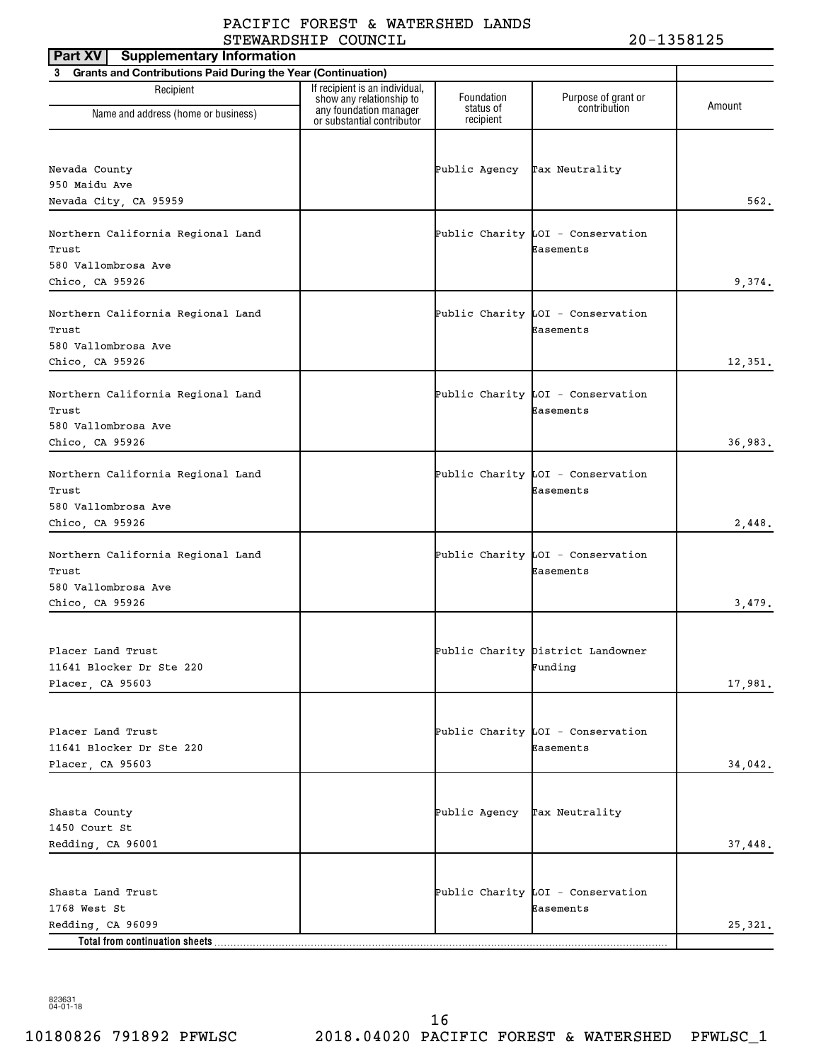| <b>Supplementary Information</b><br><b>Part XV</b>             |                                                            |                              |                                                |         |
|----------------------------------------------------------------|------------------------------------------------------------|------------------------------|------------------------------------------------|---------|
| 3 Grants and Contributions Paid During the Year (Continuation) |                                                            |                              |                                                |         |
| Recipient                                                      | If recipient is an individual,<br>show any relationship to | Foundation                   | Purpose of grant or                            | Amount  |
| Name and address (home or business)                            | any foundation manager<br>or substantial contributor       | status of<br>recipient       | contribution                                   |         |
|                                                                |                                                            |                              |                                                |         |
| Nevada County                                                  |                                                            | Public Agency Tax Neutrality |                                                |         |
| 950 Maidu Ave                                                  |                                                            |                              |                                                |         |
| Nevada City, CA 95959                                          |                                                            |                              |                                                | 562.    |
| Northern California Regional Land<br>Trust                     |                                                            |                              | Public Charity LOI - Conservation<br>Easements |         |
| 580 Vallombrosa Ave                                            |                                                            |                              |                                                |         |
| Chico, CA 95926                                                |                                                            |                              |                                                | 9,374.  |
| Northern California Regional Land<br>Trust                     |                                                            |                              | Public Charity LOI - Conservation<br>Easements |         |
| 580 Vallombrosa Ave<br>Chico, CA 95926                         |                                                            |                              |                                                | 12,351. |
|                                                                |                                                            |                              |                                                |         |
| Northern California Regional Land<br>Trust                     |                                                            |                              | Public Charity LOI - Conservation<br>Easements |         |
| 580 Vallombrosa Ave<br>Chico, CA 95926                         |                                                            |                              |                                                | 36,983. |
|                                                                |                                                            |                              |                                                |         |
| Northern California Regional Land<br>Trust                     |                                                            |                              | Public Charity LOI - Conservation<br>Easements |         |
| 580 Vallombrosa Ave                                            |                                                            |                              |                                                |         |
| Chico, CA 95926                                                |                                                            |                              |                                                | 2,448.  |
| Northern California Regional Land<br>Trust                     |                                                            |                              | Public Charity LOI - Conservation<br>Easements |         |
| 580 Vallombrosa Ave                                            |                                                            |                              |                                                |         |
| Chico, CA 95926                                                |                                                            |                              |                                                | 3,479.  |
|                                                                |                                                            |                              |                                                |         |
| Placer Land Trust                                              |                                                            |                              | Public Charity District Landowner              |         |
| 11641 Blocker Dr Ste 220                                       |                                                            |                              | Funding                                        |         |
| Placer, CA 95603                                               |                                                            |                              |                                                | 17,981. |
|                                                                |                                                            |                              |                                                |         |
|                                                                |                                                            |                              |                                                |         |
| Placer Land Trust<br>11641 Blocker Dr Ste 220                  |                                                            |                              | Public Charity LOI - Conservation<br>Easements |         |
| Placer, CA 95603                                               |                                                            |                              |                                                | 34,042. |
|                                                                |                                                            |                              |                                                |         |
|                                                                |                                                            |                              |                                                |         |
| Shasta County                                                  |                                                            | Public Agency Tax Neutrality |                                                |         |
| 1450 Court St                                                  |                                                            |                              |                                                |         |
| Redding, CA 96001                                              |                                                            |                              |                                                | 37,448. |
|                                                                |                                                            |                              |                                                |         |
| Shasta Land Trust                                              |                                                            |                              | Public Charity LOI - Conservation              |         |
| 1768 West St                                                   |                                                            |                              | Easements                                      |         |
| Redding, CA 96099                                              |                                                            |                              |                                                | 25,321. |
|                                                                |                                                            |                              |                                                |         |

823631 04-01-18

10180826 791892 PFWLSC 2018.04020 PACIFIC FOREST & WATERSHED PFWLSC\_1 16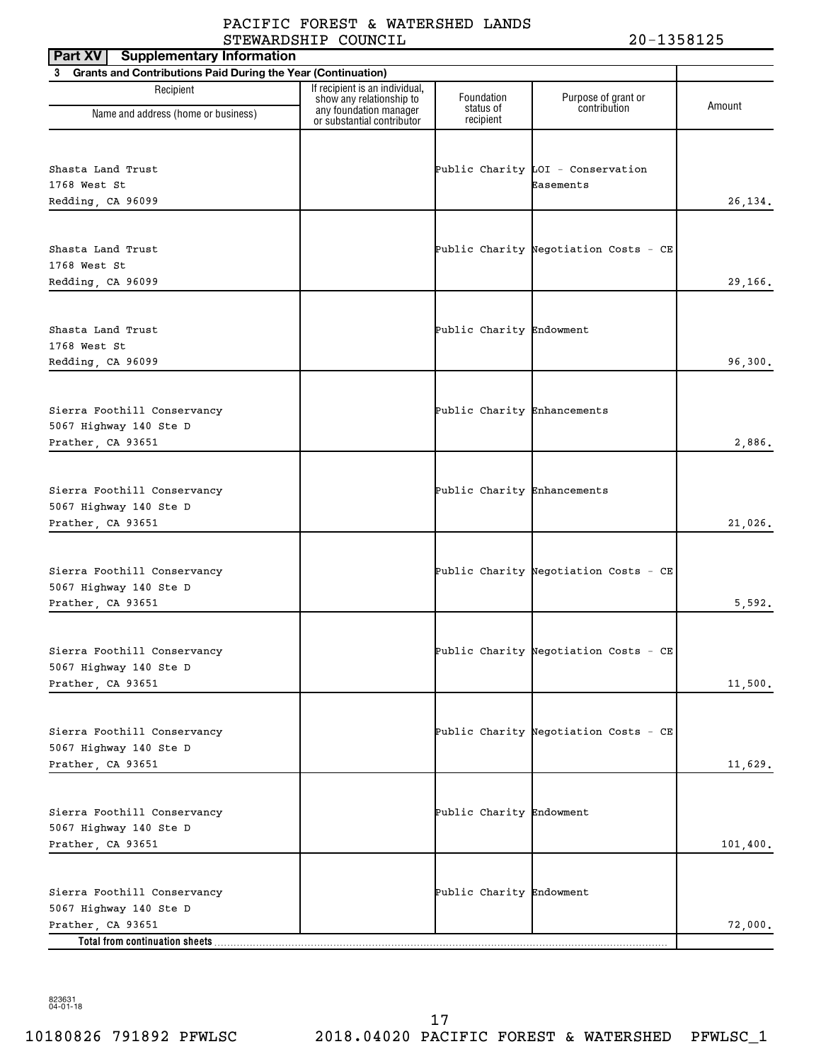| <b>Supplementary Information</b><br>Part XV                    |                                                                                      |                             |                                       |          |
|----------------------------------------------------------------|--------------------------------------------------------------------------------------|-----------------------------|---------------------------------------|----------|
| 3 Grants and Contributions Paid During the Year (Continuation) |                                                                                      |                             |                                       |          |
| Recipient                                                      | If recipient is an individual,<br>show any relationship to<br>any foundation manager | Foundation<br>status of     | Purpose of grant or<br>contribution   | Amount   |
| Name and address (home or business)                            | or substantial contributor                                                           | recipient                   |                                       |          |
|                                                                |                                                                                      |                             |                                       |          |
| Shasta Land Trust                                              |                                                                                      |                             | Public Charity $LOI - Conservation$   |          |
| 1768 West St                                                   |                                                                                      |                             | Easements                             |          |
| Redding, CA 96099                                              |                                                                                      |                             |                                       | 26, 134. |
|                                                                |                                                                                      |                             |                                       |          |
|                                                                |                                                                                      |                             |                                       |          |
| Shasta Land Trust                                              |                                                                                      |                             | Public Charity Negotiation Costs - CE |          |
| 1768 West St                                                   |                                                                                      |                             |                                       |          |
| Redding, CA 96099                                              |                                                                                      |                             |                                       | 29,166.  |
|                                                                |                                                                                      |                             |                                       |          |
| Shasta Land Trust                                              |                                                                                      | Public Charity Endowment    |                                       |          |
| 1768 West St                                                   |                                                                                      |                             |                                       |          |
| Redding, CA 96099                                              |                                                                                      |                             |                                       | 96,300.  |
|                                                                |                                                                                      |                             |                                       |          |
|                                                                |                                                                                      |                             |                                       |          |
| Sierra Foothill Conservancy                                    |                                                                                      | Public Charity Enhancements |                                       |          |
| 5067 Highway 140 Ste D<br>Prather, CA 93651                    |                                                                                      |                             |                                       | 2,886.   |
|                                                                |                                                                                      |                             |                                       |          |
|                                                                |                                                                                      |                             |                                       |          |
| Sierra Foothill Conservancy                                    |                                                                                      | Public Charity Enhancements |                                       |          |
| 5067 Highway 140 Ste D                                         |                                                                                      |                             |                                       |          |
| Prather, CA 93651                                              |                                                                                      |                             |                                       | 21,026.  |
|                                                                |                                                                                      |                             |                                       |          |
| Sierra Foothill Conservancy                                    |                                                                                      |                             | Public Charity Negotiation Costs - CE |          |
| 5067 Highway 140 Ste D                                         |                                                                                      |                             |                                       |          |
| Prather, CA 93651                                              |                                                                                      |                             |                                       | 5,592.   |
|                                                                |                                                                                      |                             |                                       |          |
|                                                                |                                                                                      |                             |                                       |          |
| Sierra Foothill Conservancy                                    |                                                                                      |                             | Public Charity Negotiation Costs - CE |          |
| 5067 Highway 140 Ste D                                         |                                                                                      |                             |                                       |          |
| Prather, CA 93651                                              |                                                                                      |                             |                                       | 11,500.  |
|                                                                |                                                                                      |                             |                                       |          |
| Sierra Foothill Conservancy                                    |                                                                                      |                             | Public Charity Negotiation Costs - CE |          |
| 5067 Highway 140 Ste D                                         |                                                                                      |                             |                                       |          |
| Prather, CA 93651                                              |                                                                                      |                             |                                       | 11,629.  |
|                                                                |                                                                                      |                             |                                       |          |
|                                                                |                                                                                      |                             |                                       |          |
| Sierra Foothill Conservancy<br>5067 Highway 140 Ste D          |                                                                                      | Public Charity Endowment    |                                       |          |
| Prather, CA 93651                                              |                                                                                      |                             |                                       | 101,400. |
|                                                                |                                                                                      |                             |                                       |          |
|                                                                |                                                                                      |                             |                                       |          |
| Sierra Foothill Conservancy                                    |                                                                                      | Public Charity Endowment    |                                       |          |
| 5067 Highway 140 Ste D                                         |                                                                                      |                             |                                       |          |
| Prather, CA 93651<br>Total from continuation sheets.           |                                                                                      |                             |                                       | 72,000.  |
|                                                                |                                                                                      |                             |                                       |          |

10180826 791892 PFWLSC 2018.04020 PACIFIC FOREST & WATERSHED PFWLSC\_1 17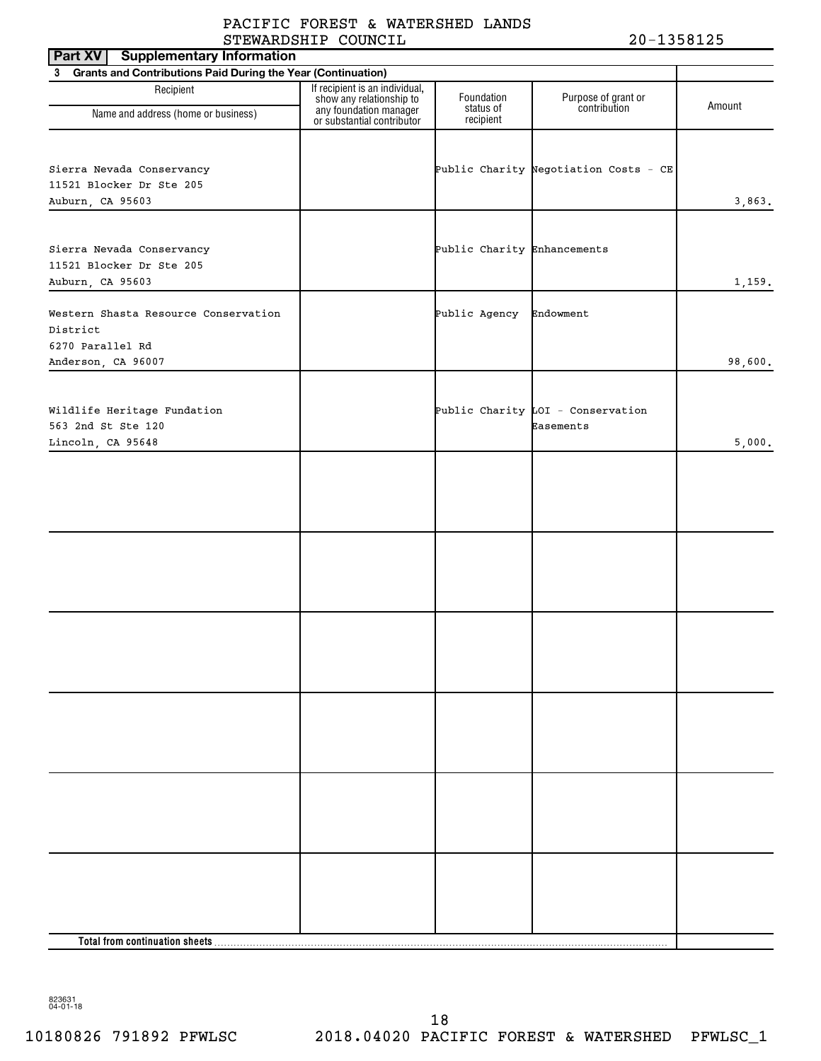| Part XV<br><b>Supplementary Information</b>                    |                                                            |                             |                                       |         |
|----------------------------------------------------------------|------------------------------------------------------------|-----------------------------|---------------------------------------|---------|
| 3 Grants and Contributions Paid During the Year (Continuation) |                                                            |                             |                                       |         |
| Recipient                                                      | If recipient is an individual,<br>show any relationship to | Foundation<br>status of     | Purpose of grant or<br>contribution   | Amount  |
| Name and address (home or business)                            | any foundation manager<br>or substantial contributor       | recipient                   |                                       |         |
|                                                                |                                                            |                             |                                       |         |
| Sierra Nevada Conservancy                                      |                                                            |                             | Public Charity Negotiation Costs - CE |         |
| 11521 Blocker Dr Ste 205                                       |                                                            |                             |                                       |         |
| Auburn, CA 95603                                               |                                                            |                             |                                       | 3,863.  |
|                                                                |                                                            |                             |                                       |         |
| Sierra Nevada Conservancy                                      |                                                            | Public Charity Enhancements |                                       |         |
| 11521 Blocker Dr Ste 205                                       |                                                            |                             |                                       |         |
| Auburn, CA 95603                                               |                                                            |                             |                                       | 1,159.  |
| Western Shasta Resource Conservation                           |                                                            | Public Agency               | Endowment                             |         |
| District                                                       |                                                            |                             |                                       |         |
| 6270 Parallel Rd                                               |                                                            |                             |                                       |         |
| Anderson, CA 96007                                             |                                                            |                             |                                       | 98,600. |
|                                                                |                                                            |                             |                                       |         |
| Wildlife Heritage Fundation                                    |                                                            |                             | Public Charity $LOI - Conservation$   |         |
| 563 2nd St Ste 120<br>Lincoln, CA 95648                        |                                                            |                             | Easements                             | 5,000.  |
|                                                                |                                                            |                             |                                       |         |
|                                                                |                                                            |                             |                                       |         |
|                                                                |                                                            |                             |                                       |         |
|                                                                |                                                            |                             |                                       |         |
|                                                                |                                                            |                             |                                       |         |
|                                                                |                                                            |                             |                                       |         |
|                                                                |                                                            |                             |                                       |         |
|                                                                |                                                            |                             |                                       |         |
|                                                                |                                                            |                             |                                       |         |
|                                                                |                                                            |                             |                                       |         |
|                                                                |                                                            |                             |                                       |         |
|                                                                |                                                            |                             |                                       |         |
|                                                                |                                                            |                             |                                       |         |
|                                                                |                                                            |                             |                                       |         |
|                                                                |                                                            |                             |                                       |         |
|                                                                |                                                            |                             |                                       |         |
|                                                                |                                                            |                             |                                       |         |
|                                                                |                                                            |                             |                                       |         |
|                                                                |                                                            |                             |                                       |         |
|                                                                |                                                            |                             |                                       |         |
|                                                                |                                                            |                             |                                       |         |
|                                                                |                                                            |                             |                                       |         |
|                                                                |                                                            |                             |                                       |         |
|                                                                |                                                            |                             |                                       |         |
|                                                                |                                                            |                             |                                       |         |

823631 04-01-18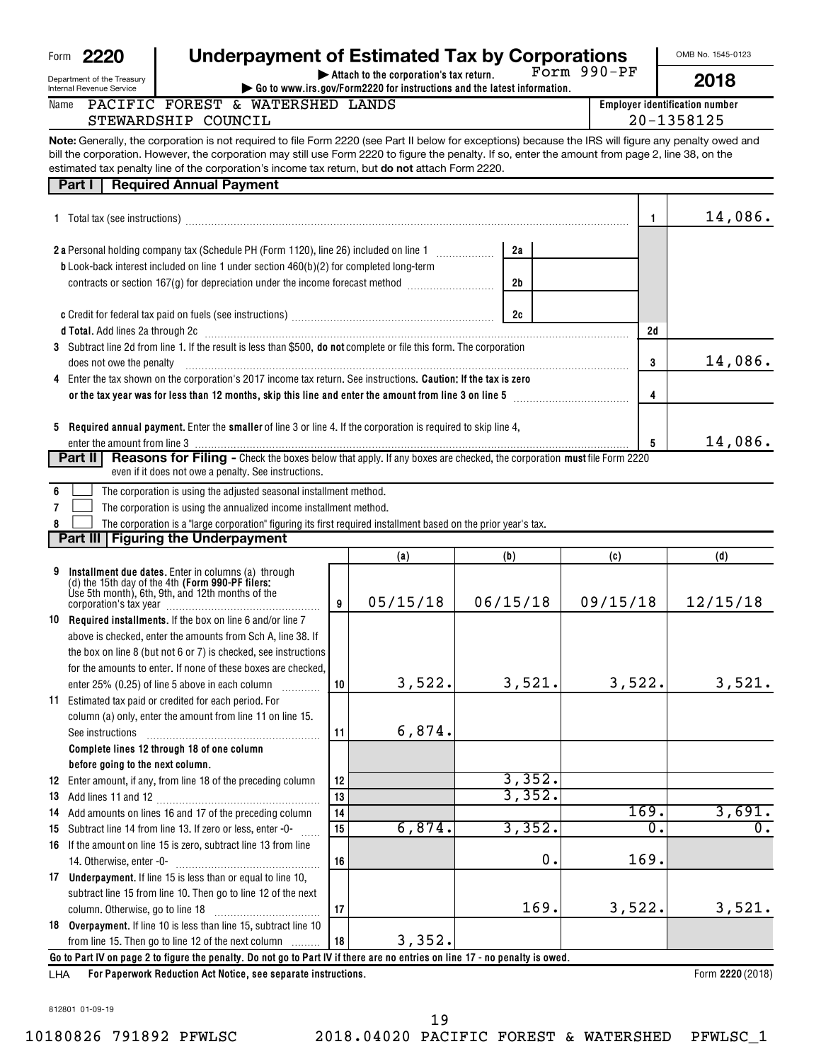| 2220 | Underpayment of Estimated Tax by Corporations |
|------|-----------------------------------------------|
|      |                                               |

**| Attach to the corporation's tax return.** Form 990-PF OMB No. 1545-0123

Department of the Treasury Internal Revenue

Form **2220** 

Name

| t of the Treasury<br>venue Service |                                  |  |                                                                  | $\blacktriangleright$ Attach to the corporation's tax return. | $\blacktriangleright$ Go to www.irs.gov/Form2220 for instructions and the latest information. | FOLII JJU-FF | 2018                                  |
|------------------------------------|----------------------------------|--|------------------------------------------------------------------|---------------------------------------------------------------|-----------------------------------------------------------------------------------------------|--------------|---------------------------------------|
|                                    | PACIFIC FOREST & WATERSHED LANDS |  |                                                                  |                                                               |                                                                                               |              | <b>Employer identification number</b> |
|                                    | STEWARDSHIP COUNCIL              |  |                                                                  |                                                               |                                                                                               |              | 20-1358125                            |
|                                    |                                  |  | $\begin{array}{c} \n\bullet \bullet \bullet \bullet \end{array}$ |                                                               |                                                                                               |              |                                       |

**Note:** Generally, the corporation is not required to file Form 2220 (see Part II below for exceptions) because the IRS will figure any penalty owed and estimated tax penalty line of the corporation's income tax return, but **do not** attach Form 2220. bill the corporation. However, the corporation may still use Form 2220 to figure the penalty. If so, enter the amount from page 2, line 38, on the

|   | estimated tax perialty line of the corporation's income tax return, but <b>uo not</b> attach i omnizzzo                                                                                                                        |    |          |          |        |             |          |
|---|--------------------------------------------------------------------------------------------------------------------------------------------------------------------------------------------------------------------------------|----|----------|----------|--------|-------------|----------|
|   | <b>Required Annual Payment</b><br>Part I                                                                                                                                                                                       |    |          |          |        |             |          |
|   | 1 Total tax (see instructions) manufacture contract to the set of the contract of the contract of the contract of the contract of the contract of the contract of the contract of the contract of the contract of the contract |    |          |          |        | 1           | 14,086.  |
|   |                                                                                                                                                                                                                                |    |          | 2a       |        |             |          |
|   | <b>b</b> Look-back interest included on line 1 under section $460(b)(2)$ for completed long-term                                                                                                                               |    |          |          |        |             |          |
|   | contracts or section 167(g) for depreciation under the income forecast method                                                                                                                                                  |    |          | 2b       |        |             |          |
|   |                                                                                                                                                                                                                                |    |          |          |        |             |          |
|   |                                                                                                                                                                                                                                |    |          | 2c       |        |             |          |
|   | d Total. Add lines 2a through 2c [11] Martin Martin Martin Martin Martin Martin Martin Martin Martin Martin Ma                                                                                                                 |    |          |          |        | 2d          |          |
|   | 3 Subtract line 2d from line 1. If the result is less than \$500, do not complete or file this form. The corporation                                                                                                           |    |          |          |        |             |          |
|   | does not owe the penalty                                                                                                                                                                                                       |    |          |          |        | 3           | 14,086.  |
|   | 4 Enter the tax shown on the corporation's 2017 income tax return. See instructions. Caution: If the tax is zero                                                                                                               |    |          |          |        |             |          |
|   |                                                                                                                                                                                                                                |    |          |          |        | 4           |          |
|   |                                                                                                                                                                                                                                |    |          |          |        |             |          |
|   | 5 Required annual payment. Enter the smaller of line 3 or line 4. If the corporation is required to skip line 4,                                                                                                               |    |          |          |        |             |          |
|   |                                                                                                                                                                                                                                |    |          |          |        | 5           | 14,086.  |
|   | Reasons for Filing - Check the boxes below that apply. If any boxes are checked, the corporation must file Form 2220<br>Part II                                                                                                |    |          |          |        |             |          |
|   | even if it does not owe a penalty. See instructions.                                                                                                                                                                           |    |          |          |        |             |          |
| 6 | The corporation is using the adjusted seasonal installment method.                                                                                                                                                             |    |          |          |        |             |          |
| 7 | The corporation is using the annualized income installment method.                                                                                                                                                             |    |          |          |        |             |          |
| 8 | The corporation is a "large corporation" figuring its first required installment based on the prior year's tax.                                                                                                                |    |          |          |        |             |          |
|   | Part III   Figuring the Underpayment                                                                                                                                                                                           |    |          |          |        |             |          |
|   |                                                                                                                                                                                                                                |    | (a)      | (b)      |        | (c)         | (d)      |
| 9 |                                                                                                                                                                                                                                |    |          |          |        |             |          |
|   | Installment due dates. Enter in columns (a) through<br>(d) the 15th day of the 4th (Form 990-PF filers:<br>Use 5th month), 6th, 9th, and 12th months of the                                                                    |    |          |          |        |             |          |
|   |                                                                                                                                                                                                                                | 9  | 05/15/18 | 06/15/18 |        | 09/15/18    | 12/15/18 |
|   | 10 Required installments. If the box on line 6 and/or line 7                                                                                                                                                                   |    |          |          |        |             |          |
|   | above is checked, enter the amounts from Sch A, line 38. If                                                                                                                                                                    |    |          |          |        |             |          |
|   | the box on line 8 (but not 6 or 7) is checked, see instructions                                                                                                                                                                |    |          |          |        |             |          |
|   | for the amounts to enter. If none of these boxes are checked.                                                                                                                                                                  |    |          |          |        |             |          |
|   | enter 25% (0.25) of line 5 above in each column                                                                                                                                                                                | 10 | 3,522.   |          | 3,521. | 3,522.      | 3,521.   |
|   | 11 Estimated tax paid or credited for each period. For                                                                                                                                                                         |    |          |          |        |             |          |
|   | column (a) only, enter the amount from line 11 on line 15.                                                                                                                                                                     |    |          |          |        |             |          |
|   | See instructions                                                                                                                                                                                                               | 11 | 6,874.   |          |        |             |          |
|   | Complete lines 12 through 18 of one column                                                                                                                                                                                     |    |          |          |        |             |          |
|   | before going to the next column.                                                                                                                                                                                               |    |          |          |        |             |          |
|   | 12 Enter amount, if any, from line 18 of the preceding column                                                                                                                                                                  | 12 |          |          | 3,352. |             |          |
|   |                                                                                                                                                                                                                                | 13 |          |          | 3,352. |             |          |
|   | 14 Add amounts on lines 16 and 17 of the preceding column                                                                                                                                                                      | 14 |          |          |        | 169.        | 3,691.   |
|   | 15 Subtract line 14 from line 13. If zero or less, enter -0-                                                                                                                                                                   | 15 | 6,874.   |          | 3,352. | $\mathbf 0$ | 0.       |
|   | 16 If the amount on line 15 is zero, subtract line 13 from line                                                                                                                                                                |    |          |          |        |             |          |
|   | 14. Otherwise, enter -0-                                                                                                                                                                                                       | 16 |          |          | 0.     | 169.        |          |
|   | 17 Underpayment. If line 15 is less than or equal to line 10,                                                                                                                                                                  |    |          |          |        |             |          |
|   | subtract line 15 from line 10. Then go to line 12 of the next                                                                                                                                                                  |    |          |          |        |             |          |
|   | column. Otherwise, go to line 18                                                                                                                                                                                               | 17 |          |          | 169.   | 3,522.      | 3,521.   |

**Go to Part IV on page 2 to figure the penalty. Do not go to Part IV if there are no entries on line 17 - no penalty is owed.** from line 15. Then go to line 12 of the next column 3,352.

**18**

**For Paperwork Reduction Act Notice, see separate instructions.** LHA

**18 Overpayment.**  If line 10 is less than line 15, subtract line 10

Form 2220 (2018)

812801 01-09-19

19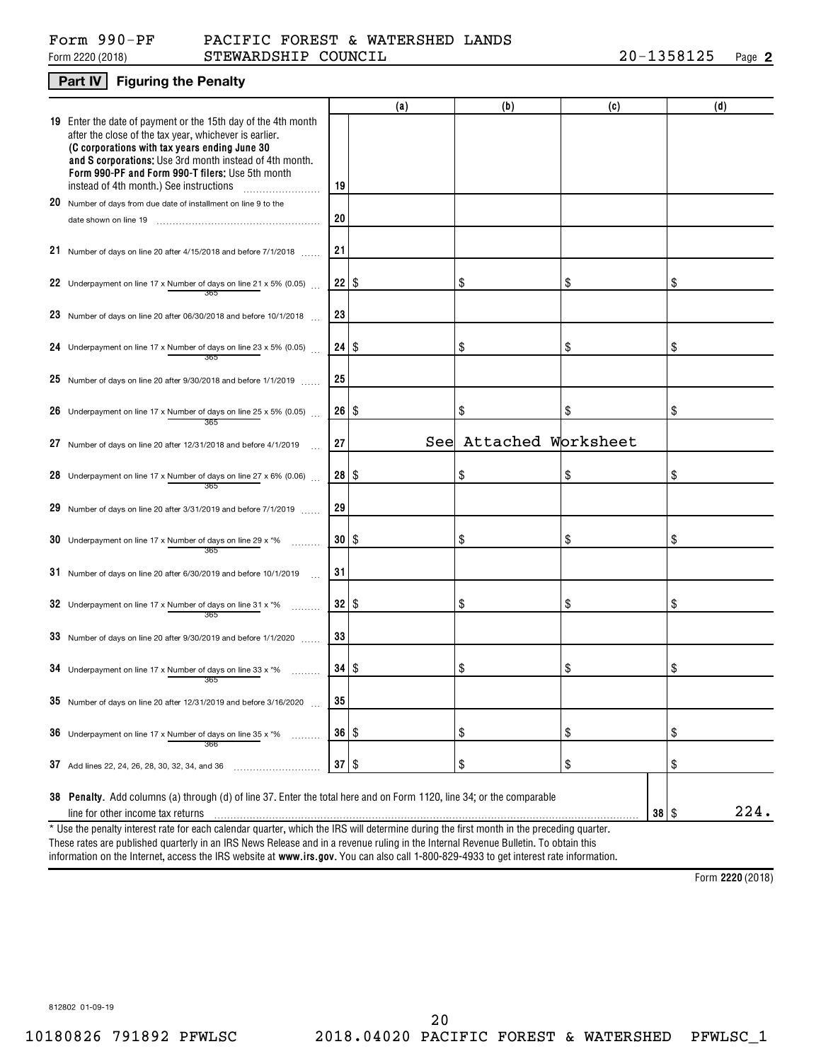#### Form 2220 (2018) S ${\tt TEWARDSHIP}$   ${\tt COUNTIL}$  20-1358125 Page Form 990-PF PACIFIC FOREST & WATERSHED LANDS

### **Part IV Figuring the Penalty**

|                                                                                                                                                                                                                                                                                                                                    |                      | (a) | (b)                    | (c) |           | (d)  |  |  |  |
|------------------------------------------------------------------------------------------------------------------------------------------------------------------------------------------------------------------------------------------------------------------------------------------------------------------------------------|----------------------|-----|------------------------|-----|-----------|------|--|--|--|
| 19 Enter the date of payment or the 15th day of the 4th month<br>after the close of the tax year, whichever is earlier.<br>(C corporations with tax years ending June 30<br>and S corporations: Use 3rd month instead of 4th month.<br>Form 990-PF and Form 990-T filers: Use 5th month<br>instead of 4th month.) See instructions | 19                   |     |                        |     |           |      |  |  |  |
| 20 Number of days from due date of installment on line 9 to the                                                                                                                                                                                                                                                                    |                      |     |                        |     |           |      |  |  |  |
| date shown on line 19                                                                                                                                                                                                                                                                                                              | 20                   |     |                        |     |           |      |  |  |  |
| 21 Number of days on line 20 after 4/15/2018 and before 7/1/2018                                                                                                                                                                                                                                                                   | 21                   |     |                        |     |           |      |  |  |  |
| 22 Underpayment on line 17 x Number of days on line 21 x 5% (0.05)                                                                                                                                                                                                                                                                 | 22                   | \$  | \$                     | \$  |           | \$   |  |  |  |
| 23 Number of days on line 20 after 06/30/2018 and before 10/1/2018 $\ldots$                                                                                                                                                                                                                                                        | 23                   |     |                        |     |           |      |  |  |  |
| 24 Underpayment on line 17 x Number of days on line 23 x 5% (0.05)                                                                                                                                                                                                                                                                 | $24$   \$            |     | \$                     | \$  |           | \$   |  |  |  |
| 25 Number of days on line 20 after 9/30/2018 and before 1/1/2019 $\ldots$                                                                                                                                                                                                                                                          | 25                   |     |                        |     |           |      |  |  |  |
| 26 Underpayment on line 17 x Number of days on line 25 x 5% (0.05)<br>365                                                                                                                                                                                                                                                          | 26                   | \$  | \$                     | \$  |           | \$   |  |  |  |
| 27 Number of days on line 20 after 12/31/2018 and before 4/1/2019                                                                                                                                                                                                                                                                  | 27                   |     | See Attached Worksheet |     |           |      |  |  |  |
| 28 Underpayment on line 17 x Number of days on line 27 x 6% (0.06)<br>365                                                                                                                                                                                                                                                          | $28$   \$            |     | \$                     | \$  |           | \$   |  |  |  |
| 29 Number of days on line 20 after 3/31/2019 and before $7/1/2019$                                                                                                                                                                                                                                                                 | 29                   |     |                        |     |           |      |  |  |  |
| 30 Underpayment on line 17 x Number of days on line 29 x $*$ %<br>365                                                                                                                                                                                                                                                              | 30 <sub>1</sub>      | \$  | \$                     | \$  |           | \$   |  |  |  |
| $31$ Number of days on line 20 after 6/30/2019 and before 10/1/2019                                                                                                                                                                                                                                                                | 31                   |     |                        |     |           |      |  |  |  |
| 32 Underpayment on line 17 x Number of days on line 31 x $*$ %<br>365                                                                                                                                                                                                                                                              | 32                   | \$  | \$                     | \$  |           | \$   |  |  |  |
| $33$ Number of days on line 20 after 9/30/2019 and before 1/1/2020                                                                                                                                                                                                                                                                 | 33                   |     |                        |     |           |      |  |  |  |
| 34 Underpayment on line 17 x Number of days on line 33 x $*$ %<br>365                                                                                                                                                                                                                                                              | $34$ \ $\frac{6}{3}$ |     | \$                     | \$  |           | \$   |  |  |  |
| 35 Number of days on line 20 after 12/31/2019 and before 3/16/2020                                                                                                                                                                                                                                                                 | 35                   |     |                        |     |           |      |  |  |  |
| <b>36</b> Underpayment on line 17 x Number of days on line 35 x $*$ %<br>.<br>366                                                                                                                                                                                                                                                  | $36 \mid$ \$         |     | \$                     | \$  |           | \$   |  |  |  |
| 37 Add lines 22, 24, 26, 28, 30, 32, 34, and 36                                                                                                                                                                                                                                                                                    | $37$ \ \$            |     | \$                     | \$  |           | \$   |  |  |  |
| 38 Penalty. Add columns (a) through (d) of line 37. Enter the total here and on Form 1120, line 34; or the comparable<br>line for other income tax returns                                                                                                                                                                         |                      |     |                        |     | $38  $ \$ | 224. |  |  |  |
| * Use the penalty interest rate for each calendar quarter, which the IRS will determine during the first month in the preceding quarter.<br>These rates are published quarterly in an IRS News Release and in a revenue ruling in the Internal Revenue Bulletin. To obtain this                                                    |                      |     |                        |     |           |      |  |  |  |

information on the Internet, access the IRS website at **www.irs.gov**. You can also call 1-800-829-4933 to get interest rate information.

**2220**  Form (2018)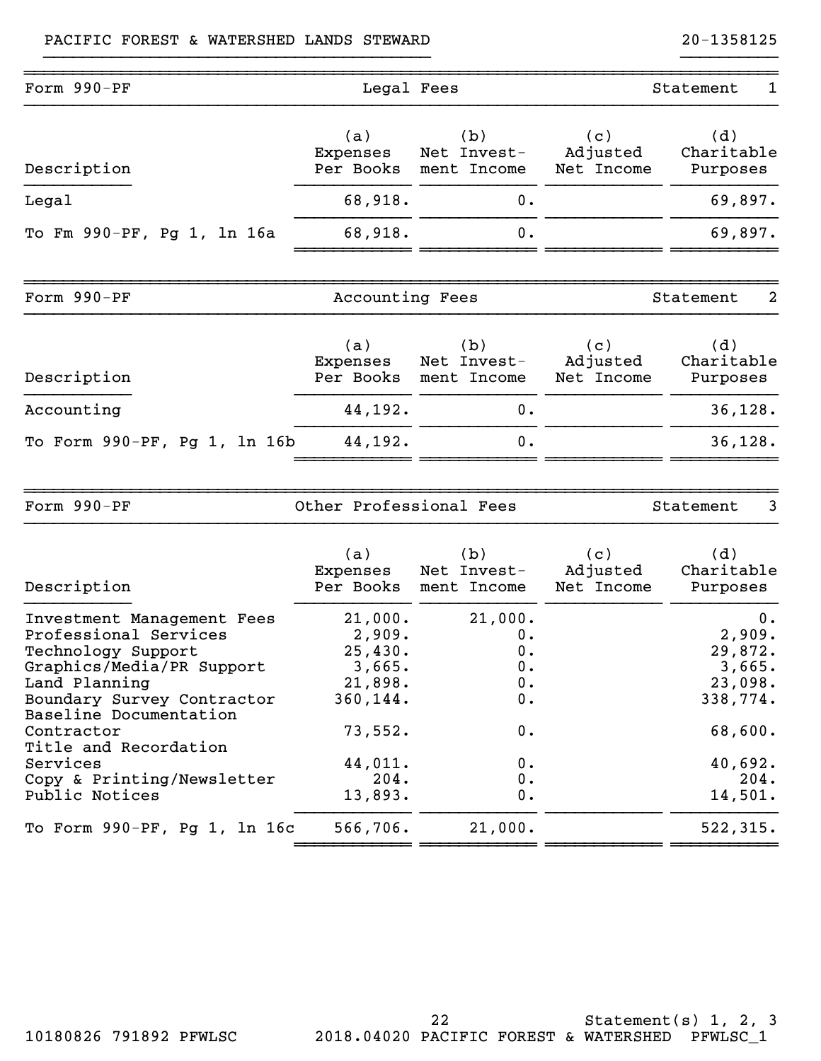| Form 990-PF                                                                                                                                                                                                                                                                        | Legal Fees                                                                                             |                                                                                |                               | Statement<br>1                                                                                    |
|------------------------------------------------------------------------------------------------------------------------------------------------------------------------------------------------------------------------------------------------------------------------------------|--------------------------------------------------------------------------------------------------------|--------------------------------------------------------------------------------|-------------------------------|---------------------------------------------------------------------------------------------------|
| Description                                                                                                                                                                                                                                                                        | (a)<br>Expenses<br>Per Books                                                                           | (b)<br>Net Invest-<br>ment Income                                              | (c)<br>Adjusted<br>Net Income | (d)<br>Charitable<br>Purposes                                                                     |
| Legal                                                                                                                                                                                                                                                                              | 68,918.                                                                                                | $0$ .                                                                          |                               | 69,897.                                                                                           |
| To Fm 990-PF, Pg 1, 1n 16a                                                                                                                                                                                                                                                         | 68,918.                                                                                                | 0.                                                                             |                               | 69,897.                                                                                           |
| Form 990-PF                                                                                                                                                                                                                                                                        | Accounting Fees                                                                                        |                                                                                |                               | 2<br>Statement                                                                                    |
| Description                                                                                                                                                                                                                                                                        | (a)<br>Expenses<br>Per Books                                                                           | (b)<br>Net Invest-<br>ment Income                                              | (c)<br>Adjusted<br>Net Income | (d)<br>Charitable<br>Purposes                                                                     |
| Accounting                                                                                                                                                                                                                                                                         | 44,192.                                                                                                | 0.                                                                             |                               | 36, 128.                                                                                          |
| To Form 990-PF, Pg 1, 1n 16b                                                                                                                                                                                                                                                       | 44,192.                                                                                                | 0.                                                                             |                               | 36, 128.                                                                                          |
| Form 990-PF                                                                                                                                                                                                                                                                        | Other Professional Fees                                                                                |                                                                                |                               | 3<br>Statement                                                                                    |
| Description                                                                                                                                                                                                                                                                        | (a)<br>Expenses<br>Per Books                                                                           | (b)<br>Net Invest-<br>ment Income                                              | (c)<br>Adjusted<br>Net Income | (d)<br>Charitable<br>Purposes                                                                     |
| Investment Management Fees<br>Professional Services<br>Technology Support<br>Graphics/Media/PR Support<br>Land Planning<br>Boundary Survey Contractor<br>Baseline Documentation<br>Contractor<br>Title and Recordation<br>Services<br>Copy & Printing/Newsletter<br>Public Notices | 21,000.<br>2,909.<br>25,430.<br>3,665.<br>21,898.<br>360,144.<br>73,552.<br>44,011.<br>204.<br>13,893. | 21,000.<br>0.<br>0.<br>$\mathbf 0$ .<br>$0$ .<br>0.<br>0.<br>0.<br>$0$ .<br>0. |                               | 0.<br>2,909.<br>29,872.<br>3,665.<br>23,098.<br>338,774.<br>68,600.<br>40,692.<br>204.<br>14,501. |
| To Form 990-PF, Pg 1, 1n 16c                                                                                                                                                                                                                                                       | 566,706.                                                                                               | 21,000.                                                                        |                               | 522,315.                                                                                          |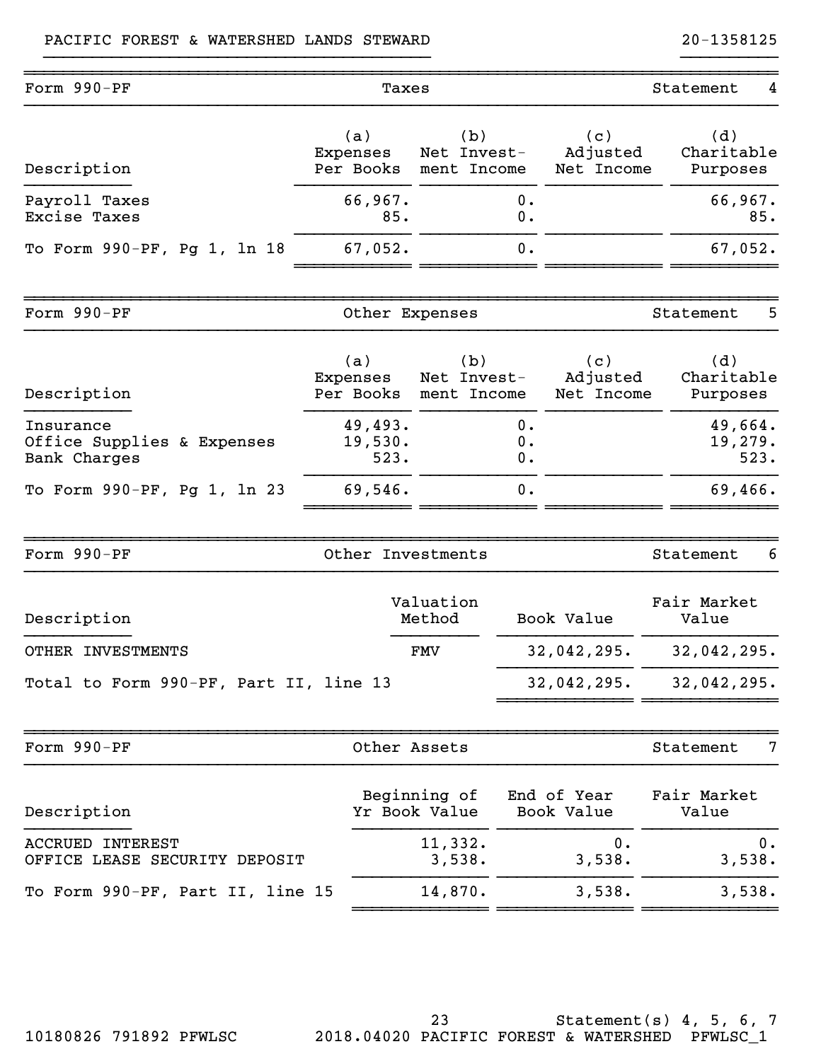| Form 990-PF                                              |                              | Taxes                             | Statement<br>4 |                               |                               |       |
|----------------------------------------------------------|------------------------------|-----------------------------------|----------------|-------------------------------|-------------------------------|-------|
| Description                                              | (a)<br>Expenses<br>Per Books | (b)<br>Net Invest-<br>ment Income |                | (c)<br>Adjusted<br>Net Income | (d)<br>Charitable<br>Purposes |       |
| Payroll Taxes<br><b>Excise Taxes</b>                     | 66,967.<br>85.               |                                   | 0.<br>0.       |                               | 66,967.                       | 85.   |
| To Form 990-PF, Pg 1, 1n 18                              | 67,052.                      |                                   | 0.             |                               | 67,052.                       |       |
| Form 990-PF                                              |                              | Other Expenses                    |                |                               | Statement                     | 5     |
| Description                                              | (a)<br>Expenses<br>Per Books | (b)<br>Net Invest-<br>ment Income |                | (c)<br>Adjusted<br>Net Income | (d)<br>Charitable<br>Purposes |       |
| Insurance<br>Office Supplies & Expenses<br>Bank Charges  | 49,493.<br>19,530.<br>523.   |                                   | 0.<br>0.<br>0. |                               | 49,664.<br>19,279.<br>523.    |       |
| To Form 990-PF, Pg 1, 1n 23                              | 69,546.                      |                                   | 0.             |                               | 69,466.                       |       |
| Form 990-PF                                              |                              | Other Investments                 |                |                               | Statement                     | 6     |
| Description                                              |                              | Valuation<br>Method               |                | Book Value                    | Fair Market<br>Value          |       |
| OTHER INVESTMENTS                                        |                              | FMV                               |                | 32,042,295.                   | 32,042,295.                   |       |
| Total to Form 990-PF, Part II, line 13                   |                              |                                   |                | 32,042,295.                   | 32,042,295.                   |       |
| Form 990-PF                                              |                              | Other Assets                      |                |                               | Statement                     | 7     |
| Description                                              |                              | Beginning of<br>Yr Book Value     |                | End of Year<br>Book Value     | Fair Market<br>Value          |       |
| <b>ACCRUED INTEREST</b><br>OFFICE LEASE SECURITY DEPOSIT |                              | 11,332.<br>3,538.                 |                | 0.<br>3,538.                  | 3,538.                        | $0$ . |
| To Form 990-PF, Part II, line 15                         |                              | 14,870.                           |                | 3,538.                        | 3,538.                        |       |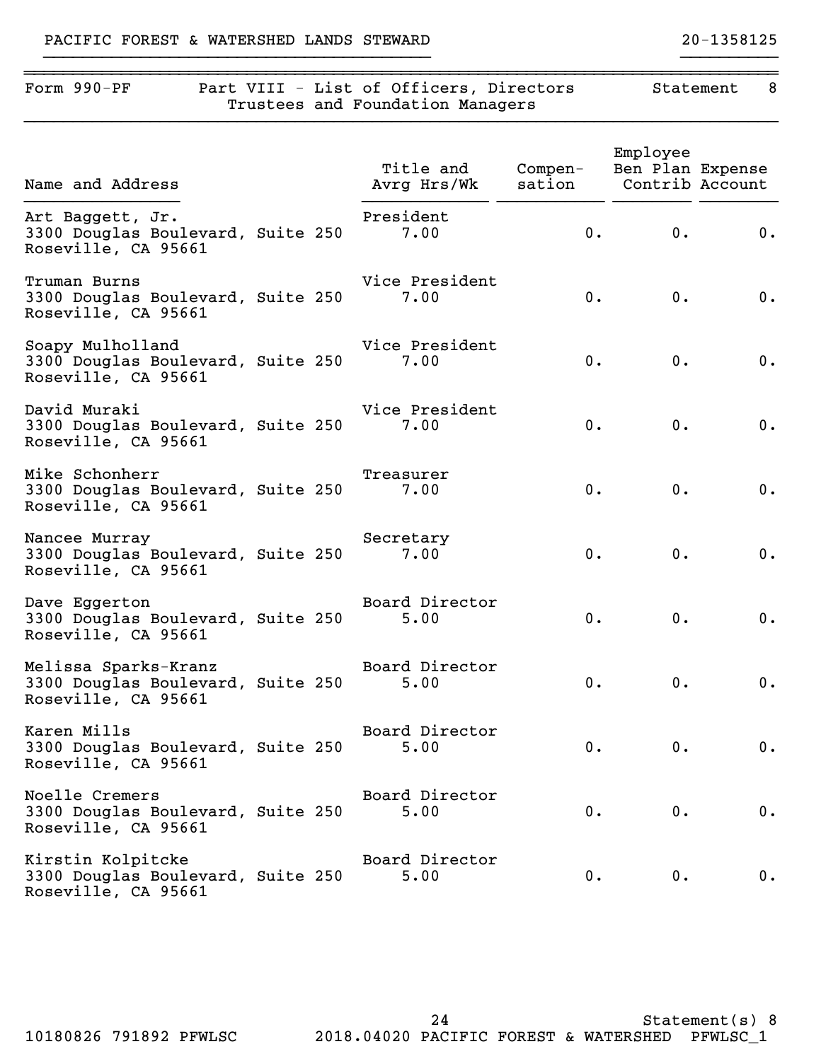# Form 990-PF Part VIII - List of Officers, Directors Statement 8 Trustees and Foundation Managers }}}}}}}}}}}}}}}}}}}}}}}}}}}}}}}}}}}}}}}}}}}}}}}}}}}}}}}}}}}}}}}}}}}}}}}}}}}}}} Employee Title and Compen- Ben Plan Expense Name and Address Avrg Hrs/Wk sation Contrib Account }}}}}}}}}}}}}}}} }}}}}}}}}}}}} }}}}}}}}}}} }}}}}}}} }}}}}}}} Art Baggett, Jr. President 3300 Douglas Boulevard, Suite 250 7.00 0. 0. 0. Roseville, CA 95661 Truman Burns Vice President 3300 Douglas Boulevard, Suite 250 7.00 0. 0. 0. Roseville, CA 95661 Soapy Mulholland Vice President 3300 Douglas Boulevard, Suite 250 7.00 0. 0. 0. Roseville, CA 95661 David Muraki Vice President 3300 Douglas Boulevard, Suite 250 7.00 0. 0. 0. Roseville, CA 95661 Mike Schonherr Treasurer 3300 Douglas Boulevard, Suite 250 7.00 0. 0. 0. Roseville, CA 95661 Nancee Murray Nancee Murray Secretary 3300 Douglas Boulevard, Suite 250 7.00 0. 0. 0. Roseville, CA 95661 Dave Eggerton **Board Director** 3300 Douglas Boulevard, Suite 250 5.00 0. 0. 0. Roseville, CA 95661 Melissa Sparks-Kranz Board Director 3300 Douglas Boulevard, Suite 250 5.00 0. 0. 0. 0. Roseville, CA 95661 Karen Mills Board Director 3300 Douglas Boulevard, Suite 250 5.00 0. 0. 0. Roseville, CA 95661 Noelle Cremers **Board Director** 3300 Douglas Boulevard, Suite 250 5.00 0. 0. 0. Roseville, CA 95661

~~~~~~~~~~~~~~~~~~~~~~~~~~~~~~~~~~~~~~~~~~~~~~~~~~~~~~~~~~~~~~~~~~~~~~~~~~~~~~

Kirstin Kolpitcke Board Director 3300 Douglas Boulevard, Suite 250 5.00 0. 0. 0. Roseville, CA 95661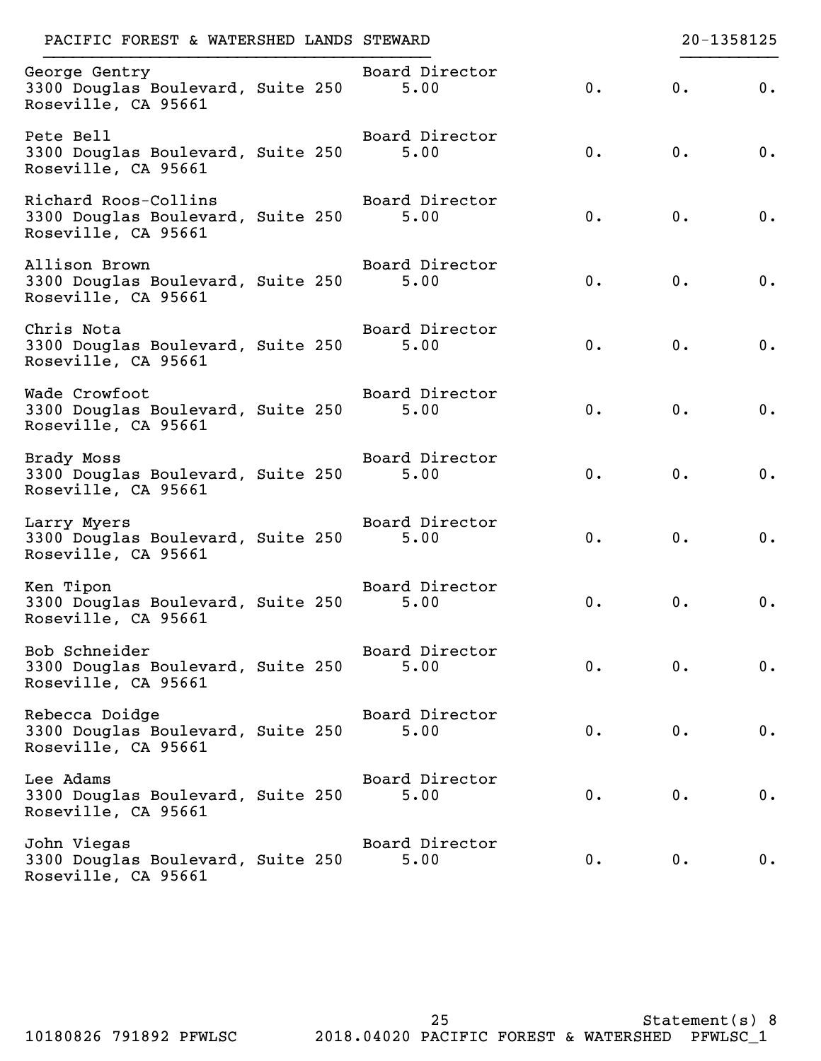| PACIFIC FOREST & WATERSHED LANDS STEWARD                                         |                        |       |    | 20-1358125 |
|----------------------------------------------------------------------------------|------------------------|-------|----|------------|
| George Gentry<br>3300 Douglas Boulevard, Suite 250<br>Roseville, CA 95661        | Board Director<br>5.00 | 0.    | 0. | 0.         |
| Pete Bell<br>3300 Douglas Boulevard, Suite 250<br>Roseville, CA 95661            | Board Director<br>5.00 | $0$ . | 0. | $0$ .      |
| Richard Roos-Collins<br>3300 Douglas Boulevard, Suite 250<br>Roseville, CA 95661 | Board Director<br>5.00 | 0.    | 0. | 0.         |
| Allison Brown<br>3300 Douglas Boulevard, Suite 250<br>Roseville, CA 95661        | Board Director<br>5.00 | $0$ . | 0. | $0$ .      |
| Chris Nota<br>3300 Douglas Boulevard, Suite 250<br>Roseville, CA 95661           | Board Director<br>5.00 | 0.    | 0. | $0$ .      |
| Wade Crowfoot<br>3300 Douglas Boulevard, Suite 250<br>Roseville, CA 95661        | Board Director<br>5.00 | 0.    | 0. | 0.         |
| Brady Moss<br>3300 Douglas Boulevard, Suite 250<br>Roseville, CA 95661           | Board Director<br>5.00 | 0.    | 0. | $0$ .      |
| Larry Myers<br>3300 Douglas Boulevard, Suite 250<br>Roseville, CA 95661          | Board Director<br>5.00 | 0.    | 0. | $0$ .      |
| Ken Tipon<br>3300 Douglas Boulevard, Suite 250<br>Roseville, CA 95661            | Board Director<br>5.00 | 0.    | 0. | 0.         |
| Bob Schneider<br>3300 Douglas Boulevard, Suite 250<br>Roseville, CA 95661        | Board Director<br>5.00 | 0.    | 0. | 0.         |
| Rebecca Doidge<br>3300 Douglas Boulevard, Suite 250<br>Roseville, CA 95661       | Board Director<br>5.00 | 0.    | 0. | 0.         |
| Lee Adams<br>3300 Douglas Boulevard, Suite 250<br>Roseville, CA 95661            | Board Director<br>5.00 | 0.    | 0. | 0.         |
| John Viegas<br>3300 Douglas Boulevard, Suite 250<br>Roseville, CA 95661          | Board Director<br>5.00 | 0.    | 0. | 0.         |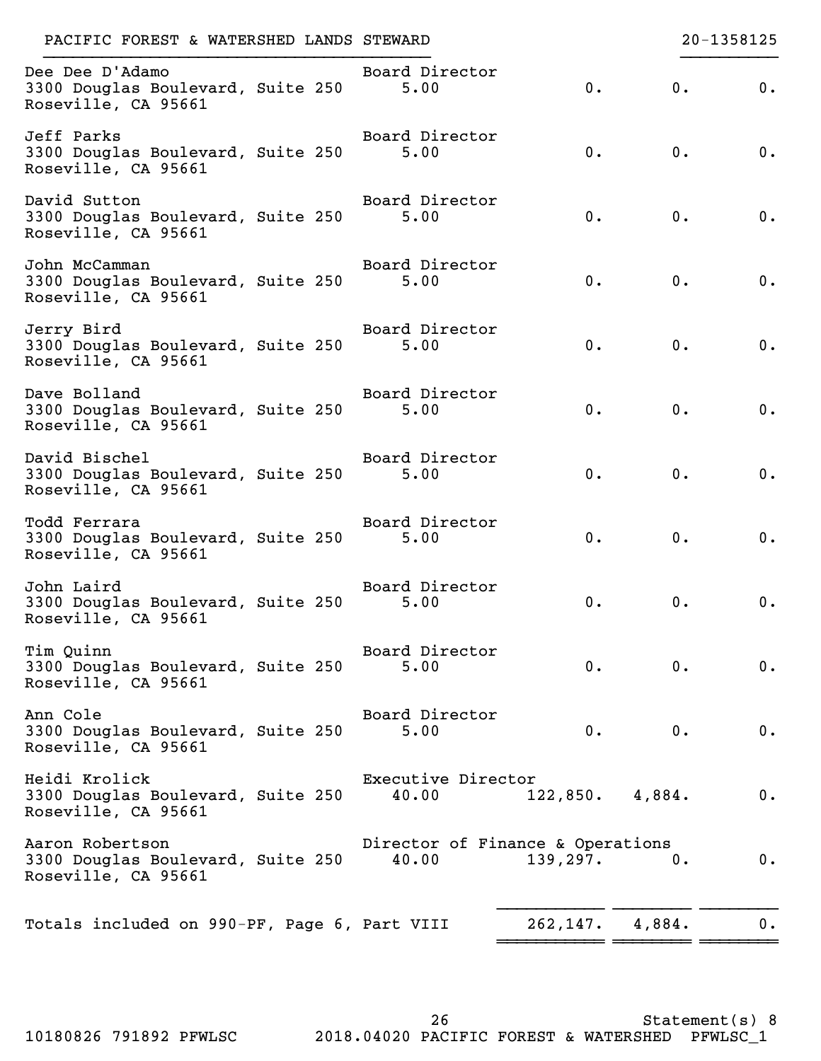| Dee Dee D'Adamo<br>Board Director<br>0.<br>0.<br>3300 Douglas Boulevard, Suite 250<br>5.00<br>Roseville, CA 95661<br>Jeff Parks<br>Board Director<br>0.<br>0.<br>3300 Douglas Boulevard, Suite 250<br>5.00<br>Roseville, CA 95661<br>David Sutton<br>Board Director<br>0.<br>0.<br>3300 Douglas Boulevard, Suite 250<br>5.00<br>Roseville, CA 95661<br>John McCamman<br>Board Director<br>3300 Douglas Boulevard, Suite 250<br>$0$ .<br>$0$ .<br>5.00<br>Roseville, CA 95661<br>Jerry Bird<br>Board Director<br>0.<br>0.<br>3300 Douglas Boulevard, Suite 250<br>5.00<br>Roseville, CA 95661<br>Dave Bolland<br>Board Director<br>0.<br>0.<br>3300 Douglas Boulevard, Suite 250<br>5.00<br>Roseville, CA 95661<br>David Bischel<br>Board Director<br>0.<br>0.<br>3300 Douglas Boulevard, Suite 250<br>5.00<br>Roseville, CA 95661<br>Board Director<br>Todd Ferrara<br>0.<br>3300 Douglas Boulevard, Suite 250<br>$0$ .<br>5.00<br>Roseville, CA 95661<br>John Laird<br>Board Director<br>3300 Douglas Boulevard, Suite 250<br>0.<br>0.<br>5.00<br>Roseville, CA 95661<br>Tim Quinn<br>Board Director<br>0.<br>3300 Douglas Boulevard, Suite 250<br>0.<br>5.00<br>Roseville, CA 95661<br>Ann Cole<br>Board Director<br>0.<br>0.<br>3300 Douglas Boulevard, Suite 250<br>5.00<br>Roseville, CA 95661<br>Heidi Krolick<br>Executive Director<br>3300 Douglas Boulevard, Suite 250<br>40.00<br>122,850.<br>4,884.<br>Roseville, CA 95661<br>Aaron Robertson<br>Director of Finance & Operations | 20-1358125 |       |           |       | PACIFIC FOREST & WATERSHED LANDS STEWARD |
|----------------------------------------------------------------------------------------------------------------------------------------------------------------------------------------------------------------------------------------------------------------------------------------------------------------------------------------------------------------------------------------------------------------------------------------------------------------------------------------------------------------------------------------------------------------------------------------------------------------------------------------------------------------------------------------------------------------------------------------------------------------------------------------------------------------------------------------------------------------------------------------------------------------------------------------------------------------------------------------------------------------------------------------------------------------------------------------------------------------------------------------------------------------------------------------------------------------------------------------------------------------------------------------------------------------------------------------------------------------------------------------------------------------------------------------------------------------------------------------------|------------|-------|-----------|-------|------------------------------------------|
|                                                                                                                                                                                                                                                                                                                                                                                                                                                                                                                                                                                                                                                                                                                                                                                                                                                                                                                                                                                                                                                                                                                                                                                                                                                                                                                                                                                                                                                                                              | 0.         |       |           |       |                                          |
|                                                                                                                                                                                                                                                                                                                                                                                                                                                                                                                                                                                                                                                                                                                                                                                                                                                                                                                                                                                                                                                                                                                                                                                                                                                                                                                                                                                                                                                                                              | 0.         |       |           |       |                                          |
|                                                                                                                                                                                                                                                                                                                                                                                                                                                                                                                                                                                                                                                                                                                                                                                                                                                                                                                                                                                                                                                                                                                                                                                                                                                                                                                                                                                                                                                                                              | 0.         |       |           |       |                                          |
|                                                                                                                                                                                                                                                                                                                                                                                                                                                                                                                                                                                                                                                                                                                                                                                                                                                                                                                                                                                                                                                                                                                                                                                                                                                                                                                                                                                                                                                                                              | 0.         |       |           |       |                                          |
|                                                                                                                                                                                                                                                                                                                                                                                                                                                                                                                                                                                                                                                                                                                                                                                                                                                                                                                                                                                                                                                                                                                                                                                                                                                                                                                                                                                                                                                                                              | 0.         |       |           |       |                                          |
|                                                                                                                                                                                                                                                                                                                                                                                                                                                                                                                                                                                                                                                                                                                                                                                                                                                                                                                                                                                                                                                                                                                                                                                                                                                                                                                                                                                                                                                                                              | 0.         |       |           |       |                                          |
|                                                                                                                                                                                                                                                                                                                                                                                                                                                                                                                                                                                                                                                                                                                                                                                                                                                                                                                                                                                                                                                                                                                                                                                                                                                                                                                                                                                                                                                                                              | 0.         |       |           |       |                                          |
|                                                                                                                                                                                                                                                                                                                                                                                                                                                                                                                                                                                                                                                                                                                                                                                                                                                                                                                                                                                                                                                                                                                                                                                                                                                                                                                                                                                                                                                                                              | 0.         |       |           |       |                                          |
|                                                                                                                                                                                                                                                                                                                                                                                                                                                                                                                                                                                                                                                                                                                                                                                                                                                                                                                                                                                                                                                                                                                                                                                                                                                                                                                                                                                                                                                                                              | 0.         |       |           |       |                                          |
|                                                                                                                                                                                                                                                                                                                                                                                                                                                                                                                                                                                                                                                                                                                                                                                                                                                                                                                                                                                                                                                                                                                                                                                                                                                                                                                                                                                                                                                                                              | 0.         |       |           |       |                                          |
|                                                                                                                                                                                                                                                                                                                                                                                                                                                                                                                                                                                                                                                                                                                                                                                                                                                                                                                                                                                                                                                                                                                                                                                                                                                                                                                                                                                                                                                                                              | 0.         |       |           |       |                                          |
|                                                                                                                                                                                                                                                                                                                                                                                                                                                                                                                                                                                                                                                                                                                                                                                                                                                                                                                                                                                                                                                                                                                                                                                                                                                                                                                                                                                                                                                                                              | 0.         |       |           |       |                                          |
| 3300 Douglas Boulevard, Suite 250<br>Roseville, CA 95661                                                                                                                                                                                                                                                                                                                                                                                                                                                                                                                                                                                                                                                                                                                                                                                                                                                                                                                                                                                                                                                                                                                                                                                                                                                                                                                                                                                                                                     | 0.         | $0$ . | 139, 297. | 40.00 |                                          |
| Totals included on 990-PF, Page 6, Part VIII<br>262,147.<br>4,884.                                                                                                                                                                                                                                                                                                                                                                                                                                                                                                                                                                                                                                                                                                                                                                                                                                                                                                                                                                                                                                                                                                                                                                                                                                                                                                                                                                                                                           | 0.         |       |           |       |                                          |

10180826 791892 PFWLSC 2018.04020 PACIFIC FOREST & WATERSHED PFWLSC\_1

26

Statement(s) 8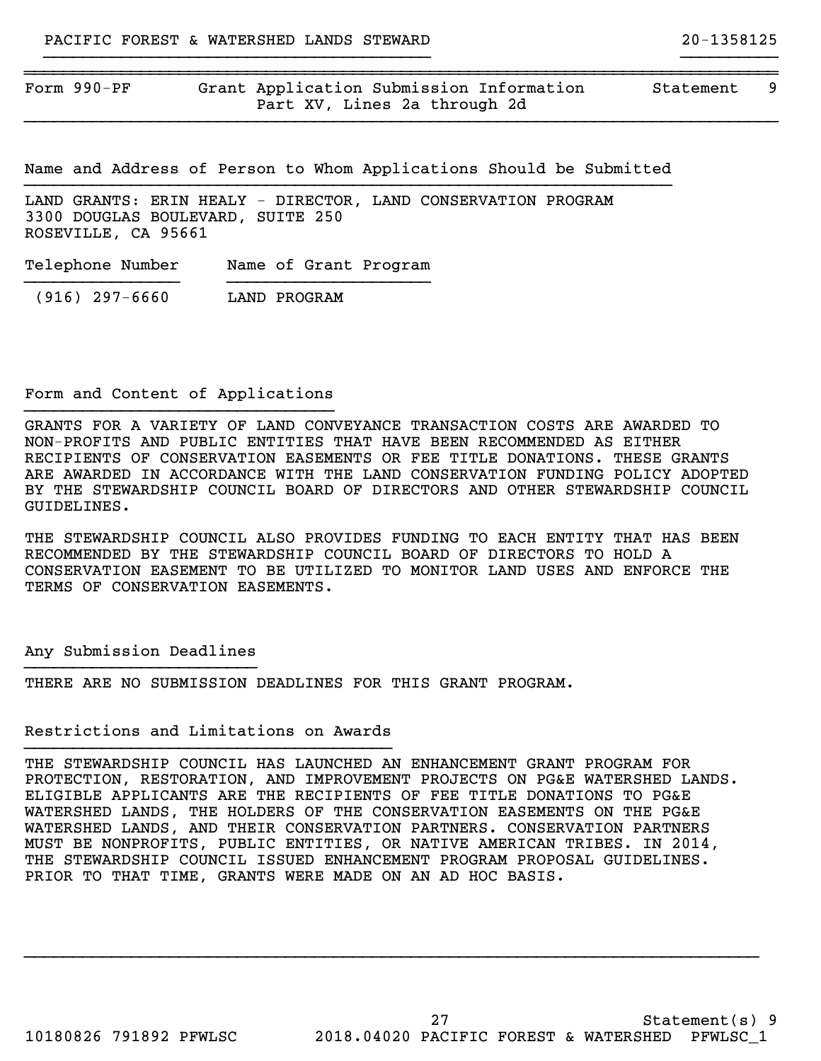Form 990-PF Grant Application Submission Information Statement 9 Part XV, Lines 2a through 2d

~~~~~~~~~~~~~~~~~~~~~~~~~~~~~~~~~~

Name and Address of Person to Whom Applications Should be Submitted }}}}}}}}}}}}}}}}}}}}}}}}}}}}}}}}}}}}}}}}}}}}}}}}}}}}}}}}}}}}}}}}}}}

}}}}}}}}}}}}}}}}}}}}}}}}}}}}}}}}}}}}}}}}}}}}}}}}}}}}}}}}}}}}}}}}}}}}}}}}}}}}}}

}}}}}}}}}}}}}}}}}}}}}}}}}}}}}}}}}}}}}}}} }}}}}}}}}}

LAND GRANTS: ERIN HEALY - DIRECTOR, LAND CONSERVATION PROGRAM 3300 DOUGLAS BOULEVARD, SUITE 250 ROSEVILLE, CA 95661

Telephone Number Name of Grant Program }}}}}}}}}}}}}}}} }}}}}}}}}}}}}}}}}}}}}

(916) 297-6660 LAND PROGRAM

#### Form and Content of Applications }}}}}}}}}}}}}}}}}}}}}}}}}}}}}}}}

GRANTS FOR A VARIETY OF LAND CONVEYANCE TRANSACTION COSTS ARE AWARDED TO NON-PROFITS AND PUBLIC ENTITIES THAT HAVE BEEN RECOMMENDED AS EITHER RECIPIENTS OF CONSERVATION EASEMENTS OR FEE TITLE DONATIONS. THESE GRANTS ARE AWARDED IN ACCORDANCE WITH THE LAND CONSERVATION FUNDING POLICY ADOPTED BY THE STEWARDSHIP COUNCIL BOARD OF DIRECTORS AND OTHER STEWARDSHIP COUNCIL GUIDELINES.

THE STEWARDSHIP COUNCIL ALSO PROVIDES FUNDING TO EACH ENTITY THAT HAS BEEN RECOMMENDED BY THE STEWARDSHIP COUNCIL BOARD OF DIRECTORS TO HOLD A CONSERVATION EASEMENT TO BE UTILIZED TO MONITOR LAND USES AND ENFORCE THE TERMS OF CONSERVATION EASEMENTS.

#### Any Submission Deadlines }}}}}}}}}}}}}}}}}}}}}}}}

THERE ARE NO SUBMISSION DEADLINES FOR THIS GRANT PROGRAM.

#### Restrictions and Limitations on Awards }}}}}}}}}}}}}}}}}}}}}}}}}}}}}}}}}}}}}}

THE STEWARDSHIP COUNCIL HAS LAUNCHED AN ENHANCEMENT GRANT PROGRAM FOR PROTECTION, RESTORATION, AND IMPROVEMENT PROJECTS ON PG&E WATERSHED LANDS. ELIGIBLE APPLICANTS ARE THE RECIPIENTS OF FEE TITLE DONATIONS TO PG&E WATERSHED LANDS, THE HOLDERS OF THE CONSERVATION EASEMENTS ON THE PG&E WATERSHED LANDS, AND THEIR CONSERVATION PARTNERS. CONSERVATION PARTNERS MUST BE NONPROFITS, PUBLIC ENTITIES, OR NATIVE AMERICAN TRIBES. IN 2014, THE STEWARDSHIP COUNCIL ISSUED ENHANCEMENT PROGRAM PROPOSAL GUIDELINES. PRIOR TO THAT TIME, GRANTS WERE MADE ON AN AD HOC BASIS.

}}}}}}}}}}}}}}}}}}}}}}}}}}}}}}}}}}}}}}}}}}}}}}}}}}}}}}}}}}}}}}}}}}}}}}}}}}}}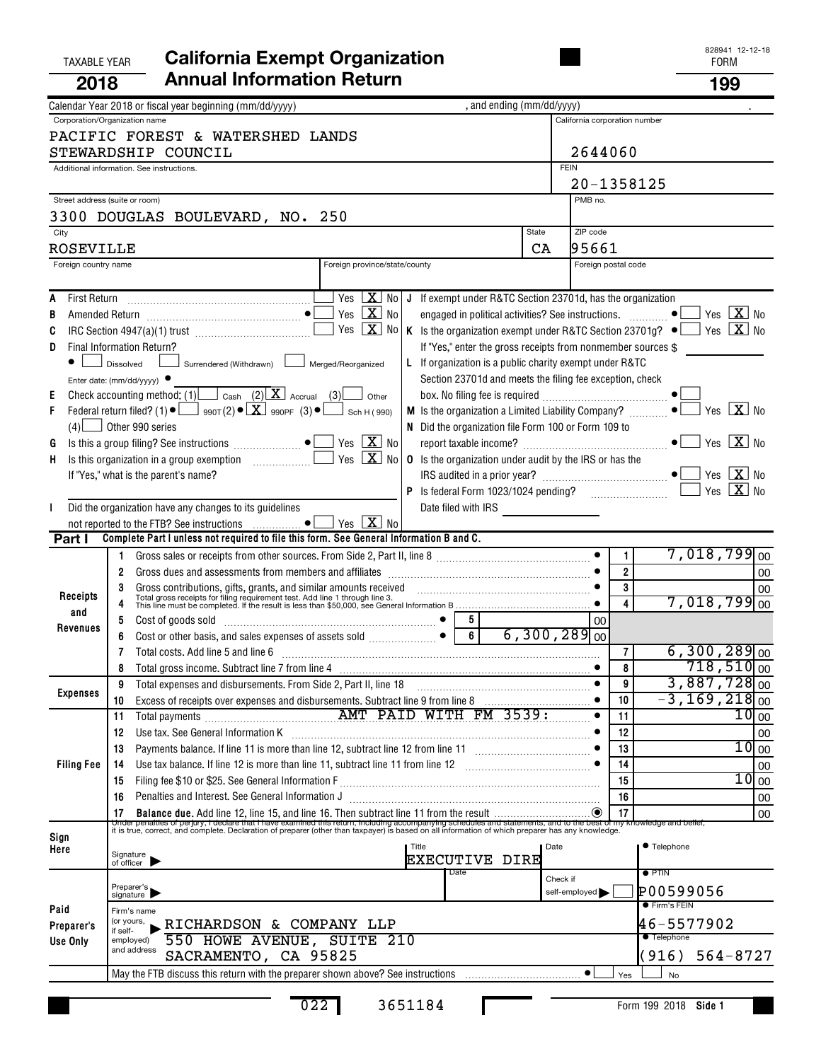| <b>TAXABLE YEAR</b>                  | <b>California Exempt Organization</b>                                                                                                                                                                                                                                                                                                                                                                                                                                                                                                                                                                                                                                                                                                                                                                                                                                                                                                                                                                                                                                                                                                                       |             |                                          |                                |                                                                                           | 828941 12-12-18<br><b>FORM</b>                                                                                      |                                                     |
|--------------------------------------|-------------------------------------------------------------------------------------------------------------------------------------------------------------------------------------------------------------------------------------------------------------------------------------------------------------------------------------------------------------------------------------------------------------------------------------------------------------------------------------------------------------------------------------------------------------------------------------------------------------------------------------------------------------------------------------------------------------------------------------------------------------------------------------------------------------------------------------------------------------------------------------------------------------------------------------------------------------------------------------------------------------------------------------------------------------------------------------------------------------------------------------------------------------|-------------|------------------------------------------|--------------------------------|-------------------------------------------------------------------------------------------|---------------------------------------------------------------------------------------------------------------------|-----------------------------------------------------|
| 2018                                 | <b>Annual Information Return</b>                                                                                                                                                                                                                                                                                                                                                                                                                                                                                                                                                                                                                                                                                                                                                                                                                                                                                                                                                                                                                                                                                                                            |             |                                          |                                |                                                                                           | 199                                                                                                                 |                                                     |
|                                      | , and ending (mm/dd/yyyy)<br>Calendar Year 2018 or fiscal year beginning (mm/dd/yyyy)                                                                                                                                                                                                                                                                                                                                                                                                                                                                                                                                                                                                                                                                                                                                                                                                                                                                                                                                                                                                                                                                       |             |                                          |                                |                                                                                           |                                                                                                                     |                                                     |
|                                      | Corporation/Organization name<br>PACIFIC FOREST & WATERSHED LANDS<br>STEWARDSHIP COUNCIL<br>Additional information. See instructions.                                                                                                                                                                                                                                                                                                                                                                                                                                                                                                                                                                                                                                                                                                                                                                                                                                                                                                                                                                                                                       | <b>FEIN</b> | California corporation number<br>2644060 |                                |                                                                                           |                                                                                                                     |                                                     |
| Street address (suite or room)       |                                                                                                                                                                                                                                                                                                                                                                                                                                                                                                                                                                                                                                                                                                                                                                                                                                                                                                                                                                                                                                                                                                                                                             |             | 20-1358125<br>PMB no.                    |                                |                                                                                           |                                                                                                                     |                                                     |
|                                      | 3300 DOUGLAS BOULEVARD, NO. 250                                                                                                                                                                                                                                                                                                                                                                                                                                                                                                                                                                                                                                                                                                                                                                                                                                                                                                                                                                                                                                                                                                                             |             |                                          |                                |                                                                                           |                                                                                                                     |                                                     |
| City                                 | <b>State</b>                                                                                                                                                                                                                                                                                                                                                                                                                                                                                                                                                                                                                                                                                                                                                                                                                                                                                                                                                                                                                                                                                                                                                |             | ZIP code                                 |                                |                                                                                           |                                                                                                                     |                                                     |
| ROSEVILLE                            |                                                                                                                                                                                                                                                                                                                                                                                                                                                                                                                                                                                                                                                                                                                                                                                                                                                                                                                                                                                                                                                                                                                                                             | CA          | 195661                                   | Foreign postal code            |                                                                                           |                                                                                                                     |                                                     |
| Foreign country name                 | Foreign province/state/county                                                                                                                                                                                                                                                                                                                                                                                                                                                                                                                                                                                                                                                                                                                                                                                                                                                                                                                                                                                                                                                                                                                               |             |                                          |                                |                                                                                           |                                                                                                                     |                                                     |
| A<br>B<br>C<br>D<br>E<br>F<br>G<br>H | Yes $X_{0}$<br>J If exempt under R&TC Section 23701d, has the organization<br>Yes $\boxed{\mathbf{X}}$ No<br>engaged in political activities? See instructions.  ● L<br>Yes $X$ No<br>K Is the organization exempt under R&TC Section 23701g? $\bullet$<br>If "Yes," enter the gross receipts from nonmember sources \$<br>Final Information Return?<br>L If organization is a public charity exempt under R&TC<br>Surrendered (Withdrawn) L<br>Merged/Reorganized<br>Dissolved<br>Section 23701d and meets the filing fee exception, check<br>Enter date: ( $mm/dd/yyyy$ ) $\bullet$<br>Check accounting method: (1) $\Box$ Cash (2) $\Box$ Accrual (3) other<br>Federal return filed? (1) $\bullet$ $\Box$ 990T(2) $\bullet$ $\boxed{\mathbf{X}}$ 990PF (3) $\bullet$ $\boxed{\phantom{0}}$ Sch H(990)<br>$(4)$ Other 990 series<br>N Did the organization file Form 100 or Form 109 to<br>Yes $\boxed{\mathbf{X}}$ No<br>Yes $\boxed{\mathbf{X}}$ No<br><b>0</b> Is the organization under audit by the IRS or has the<br>If "Yes," what is the parent's name?<br>Did the organization have any changes to its guidelines<br>Yes $\boxed{\mathbf{X}}$ No |             |                                          |                                |                                                                                           | Yes $X$ No<br>Yes $\boxed{\mathbf{X}}$ No<br>Yes $X$ No<br>Yes $X_{0}$<br>Yes $\boxed{\mathbf{X}}$ No<br>Yes $X$ No |                                                     |
| Part I                               | Complete Part I unless not required to file this form. See General Information B and C.                                                                                                                                                                                                                                                                                                                                                                                                                                                                                                                                                                                                                                                                                                                                                                                                                                                                                                                                                                                                                                                                     |             |                                          |                                |                                                                                           |                                                                                                                     |                                                     |
| Receipts<br>and                      | Gross dues and assessments from members and affiliates [11] contains and according the substitution of the strategy of the strategy of the strategy of the strategy of the strategy of the strategy of the strategy of the str<br>2<br>Gross contributions, gifts, grants, and similar amounts received contained and the contributions, gifts, grants, and similar amounts received contained and the state of Total gross receipts for filing requirement test. Add<br>3<br>5<br>5<br>Cost of goods sold with a cost of goods sold with a continuum control of the cost of goods sold                                                                                                                                                                                                                                                                                                                                                                                                                                                                                                                                                                     |             | 00                                       | 1.<br>$\overline{2}$<br>3<br>4 | $7,018,799$ <sub>00</sub><br>$7,018,799$ <sub>00</sub>                                    |                                                                                                                     | 00<br>00                                            |
| Revenues                             | 6<br>Cost or other basis, and sales expenses of assets sold<br>6<br>$\bullet$<br>Total costs. Add line 5 and line 6<br>8                                                                                                                                                                                                                                                                                                                                                                                                                                                                                                                                                                                                                                                                                                                                                                                                                                                                                                                                                                                                                                    |             | $6,300,289$ <sub>00</sub>                | 7<br>8                         | $6,300,289$ <sub>00</sub>                                                                 | $718,510$ <sub>00</sub>                                                                                             |                                                     |
| <b>Expenses</b>                      | Total expenses and disbursements. From Side 2, Part II, line 18<br>9<br>Excess of receipts over expenses and disbursements. Subtract line 9 from line 8 [11, 11, 11, 11, 11, 11, 11, 1<br>10<br>11                                                                                                                                                                                                                                                                                                                                                                                                                                                                                                                                                                                                                                                                                                                                                                                                                                                                                                                                                          |             |                                          | 9<br>10<br>11                  | $-3,169,218$ <sub>00</sub>                                                                | $3,887,728$ <sub>00</sub>                                                                                           | 10 <sub>00</sub>                                    |
| <b>Filing Fee</b>                    | 12<br>13<br>14<br>15<br>Penalties and Interest. See General Information J<br>16<br>17                                                                                                                                                                                                                                                                                                                                                                                                                                                                                                                                                                                                                                                                                                                                                                                                                                                                                                                                                                                                                                                                       |             |                                          | 12<br>13<br>14<br>15<br>16     |                                                                                           |                                                                                                                     | 00<br>10 <sub>00</sub><br>00<br>$10$ 00<br>00<br>00 |
| Sign<br>Here                         | It is true, correct, and complete. Declaration of preparer (other than taxpayer) is based on all information of which preparer has any knowledge.<br>Title<br>Signature<br>of officer<br><b>EXECUTIVE DIRE</b>                                                                                                                                                                                                                                                                                                                                                                                                                                                                                                                                                                                                                                                                                                                                                                                                                                                                                                                                              | Date        |                                          |                                | ● Telephone                                                                               |                                                                                                                     |                                                     |
| Paid<br>Preparer's<br>Use Only       | Date<br>Preparer's<br>signature<br>Firm's name<br>(or yours,<br><b>RICHARDSON &amp; COMPANY LLP</b><br>if self-<br>550 HOWE AVENUE, SUITE 210<br>employed)<br>and address<br>SACRAMENTO, CA 95825                                                                                                                                                                                                                                                                                                                                                                                                                                                                                                                                                                                                                                                                                                                                                                                                                                                                                                                                                           | Check if    | self-employed                            |                                | $\bullet$ PTIN<br>P00599056<br>● Firm's FEIN<br>46-5577902<br><b>•</b> Telephone<br>(916) | $564 - 8727$                                                                                                        |                                                     |
|                                      |                                                                                                                                                                                                                                                                                                                                                                                                                                                                                                                                                                                                                                                                                                                                                                                                                                                                                                                                                                                                                                                                                                                                                             |             |                                          | Yes                            | No                                                                                        |                                                                                                                     |                                                     |

## 022 3651184

L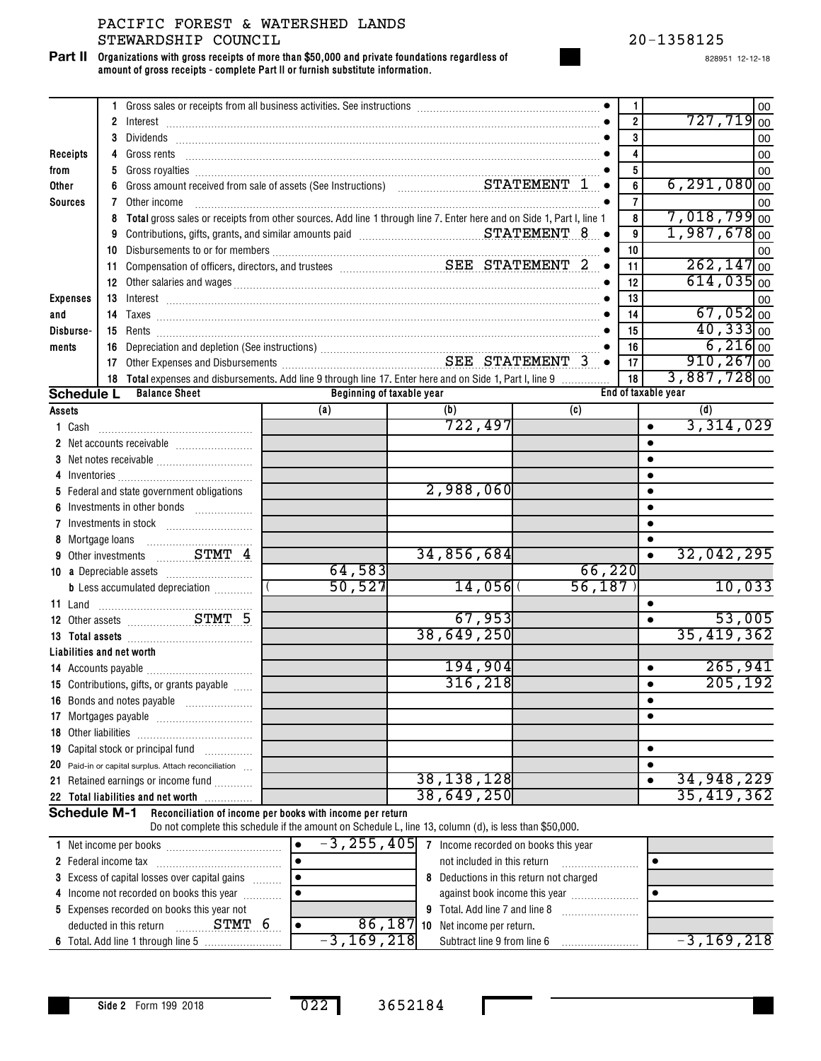**Organizations with gross receipts of more than \$50,000 and private foundations regardless of amount of gross receipts - complete Part II or furnish substitute information. Part II**

828951 12-12-18

|                 | 1 Gross sales or receipts from all business activities. See instructions [11] Gross sales or receipts from all business activities. See instructions [11] Gross sales or receipts                                                         |                                                                                                        |                                                           |        | $\mathbf{1}$            | 00                           |
|-----------------|-------------------------------------------------------------------------------------------------------------------------------------------------------------------------------------------------------------------------------------------|--------------------------------------------------------------------------------------------------------|-----------------------------------------------------------|--------|-------------------------|------------------------------|
|                 |                                                                                                                                                                                                                                           |                                                                                                        |                                                           |        | $\overline{\mathbf{2}}$ | $727,719$ <sub>00</sub>      |
|                 | 3                                                                                                                                                                                                                                         |                                                                                                        |                                                           |        | 3                       | 00                           |
| Receipts        | 4                                                                                                                                                                                                                                         |                                                                                                        |                                                           |        | 4                       | 00                           |
| from            | 5.                                                                                                                                                                                                                                        |                                                                                                        |                                                           |        | $\overline{\mathbf{5}}$ | 00                           |
| <b>Other</b>    | 6                                                                                                                                                                                                                                         |                                                                                                        |                                                           |        | 6                       | $6, 291, 080$ <sub>00</sub>  |
| <b>Sources</b>  | 7<br>Other income                                                                                                                                                                                                                         |                                                                                                        |                                                           |        | $\overline{\mathbf{r}}$ | 00                           |
|                 | Total gross sales or receipts from other sources. Add line 1 through line 7. Enter here and on Side 1, Part I, line 1<br>8                                                                                                                |                                                                                                        |                                                           |        | 8                       | $7,018,799$ <sub>00</sub>    |
|                 | 9                                                                                                                                                                                                                                         |                                                                                                        |                                                           |        | 9                       | $1,987,678$ <sub>00</sub>    |
|                 |                                                                                                                                                                                                                                           |                                                                                                        |                                                           |        | 10                      | 00                           |
|                 |                                                                                                                                                                                                                                           |                                                                                                        |                                                           |        | 11                      | $262, 147$ <sub>00</sub>     |
|                 | 12 Other salaries and wages <b>continuum contract and wages</b> and wages <b>of the contract of the contract of the contract of the contract of the contract of the contract of the contract of the contract of the contract of the c</b> |                                                                                                        |                                                           |        | 12                      | $614,035$ 00                 |
| <b>Expenses</b> |                                                                                                                                                                                                                                           |                                                                                                        |                                                           |        | 13                      |                              |
|                 |                                                                                                                                                                                                                                           |                                                                                                        |                                                           |        | 14                      | 00<br>$67,052$ <sub>00</sub> |
| and             |                                                                                                                                                                                                                                           |                                                                                                        |                                                           |        |                         | $40,333$ <sub>00</sub>       |
| Disburse-       |                                                                                                                                                                                                                                           |                                                                                                        |                                                           |        | 15                      |                              |
| ments           | 16 Depreciation and depletion (See instructions)<br>17 Other Expenses and Disbursements<br>17 Other Expenses and Disbursements<br>2.1 Other Expenses and Disbursements                                                                    |                                                                                                        |                                                           |        | 16                      | $6,216$ 00                   |
|                 |                                                                                                                                                                                                                                           |                                                                                                        |                                                           |        | 17                      | $910, 267$ <sub>00</sub>     |
|                 | 18 Total expenses and disbursements. Add line 9 through line 17. Enter here and on Side 1, Part I, line 9                                                                                                                                 |                                                                                                        |                                                           |        | 18                      | $3,887,728$ <sub>00</sub>    |
|                 | <b>Schedule L</b><br><b>Balance Sheet</b>                                                                                                                                                                                                 | Beginning of taxable year                                                                              |                                                           |        | End of taxable year     |                              |
| <b>Assets</b>   |                                                                                                                                                                                                                                           | (a)                                                                                                    | (b)                                                       | (c)    |                         | (d)                          |
| <b>1</b> Cash   |                                                                                                                                                                                                                                           |                                                                                                        | 722, 497                                                  |        | $\bullet$               | 3,314,029                    |
|                 |                                                                                                                                                                                                                                           |                                                                                                        |                                                           |        | $\bullet$               |                              |
|                 |                                                                                                                                                                                                                                           |                                                                                                        |                                                           |        | $\bullet$               |                              |
|                 |                                                                                                                                                                                                                                           |                                                                                                        |                                                           |        | $\bullet$               |                              |
|                 | 5 Federal and state government obligations                                                                                                                                                                                                |                                                                                                        | 2,988,060                                                 |        | $\bullet$               |                              |
| 6               |                                                                                                                                                                                                                                           |                                                                                                        |                                                           |        | $\bullet$               |                              |
|                 |                                                                                                                                                                                                                                           |                                                                                                        |                                                           |        | $\bullet$               |                              |
|                 |                                                                                                                                                                                                                                           |                                                                                                        |                                                           |        | $\bullet$               |                              |
|                 | 9 Other investments  STMT 4                                                                                                                                                                                                               |                                                                                                        | 34,856,684                                                |        | $\bullet$               | 32,042,295                   |
|                 |                                                                                                                                                                                                                                           | 64,583                                                                                                 |                                                           | 66,220 |                         |                              |
|                 | <b>b</b> Less accumulated depreciation <i></i>                                                                                                                                                                                            | 50,527                                                                                                 | 14,056                                                    | 56,187 |                         | 10,033                       |
|                 |                                                                                                                                                                                                                                           |                                                                                                        |                                                           |        | $\bullet$               |                              |
|                 | 12 Other assets <b>STMT 5</b>                                                                                                                                                                                                             |                                                                                                        | 67,953                                                    |        | $\bullet$               | 53,005                       |
|                 |                                                                                                                                                                                                                                           |                                                                                                        | 38,649,250                                                |        |                         | 35,419,362                   |
|                 | 13 Total assets <b>manually and the State of Total assets</b>                                                                                                                                                                             |                                                                                                        |                                                           |        |                         |                              |
|                 | Liabilities and net worth                                                                                                                                                                                                                 |                                                                                                        | 194,904                                                   |        |                         | 265,941                      |
|                 |                                                                                                                                                                                                                                           |                                                                                                        | 316, 218                                                  |        | $\bullet$               | 205,192                      |
|                 | 15 Contributions, gifts, or grants payable                                                                                                                                                                                                |                                                                                                        |                                                           |        | $\bullet$               |                              |
|                 | 16 Bonds and notes payable                                                                                                                                                                                                                |                                                                                                        |                                                           |        | $\bullet$               |                              |
|                 |                                                                                                                                                                                                                                           |                                                                                                        |                                                           |        |                         |                              |
|                 |                                                                                                                                                                                                                                           |                                                                                                        |                                                           |        |                         |                              |
|                 | 19 Capital stock or principal fund                                                                                                                                                                                                        |                                                                                                        |                                                           |        | $\bullet$               |                              |
|                 | 20 Paid-in or capital surplus. Attach reconciliation                                                                                                                                                                                      |                                                                                                        |                                                           |        |                         |                              |
|                 | 21 Retained earnings or income fund                                                                                                                                                                                                       |                                                                                                        | 38, 138, 128                                              |        | $\bullet$               | 34,948,229                   |
|                 | 22 Total liabilities and net worth                                                                                                                                                                                                        |                                                                                                        | 38,649,250                                                |        |                         | 35,419,362                   |
|                 | <b>Schedule M-1</b>                                                                                                                                                                                                                       | Reconciliation of income per books with income per return                                              |                                                           |        |                         |                              |
|                 |                                                                                                                                                                                                                                           | Do not complete this schedule if the amount on Schedule L, line 13, column (d), is less than \$50,000. |                                                           |        |                         |                              |
|                 |                                                                                                                                                                                                                                           | $\bullet$                                                                                              | $-3$ , $255$ , $405$ 7 Income recorded on books this year |        |                         |                              |
|                 |                                                                                                                                                                                                                                           |                                                                                                        | not included in this return                               |        | $\bullet$               |                              |
|                 | 3 Excess of capital losses over capital gains                                                                                                                                                                                             | 8 Deductions in this return not charged                                                                |                                                           |        |                         |                              |
|                 | 4 Income not recorded on books this year                                                                                                                                                                                                  | against book income this year<br>$\bullet$                                                             |                                                           |        |                         |                              |
|                 | 5 Expenses recorded on books this year not                                                                                                                                                                                                |                                                                                                        |                                                           |        |                         |                              |
|                 | STMT 6<br>deducted in this return                                                                                                                                                                                                         | $\bullet$                                                                                              | 86, 187 10 Net income per return.                         |        |                         |                              |

6 Total. Add line 1 through line 5 ………………………! −3 **,** ⊥6Y **,** Z⊥8| Subtract line 9 from line 6 ……………………

Subtract line 9 from line 6 -3,169,218 -3,169,218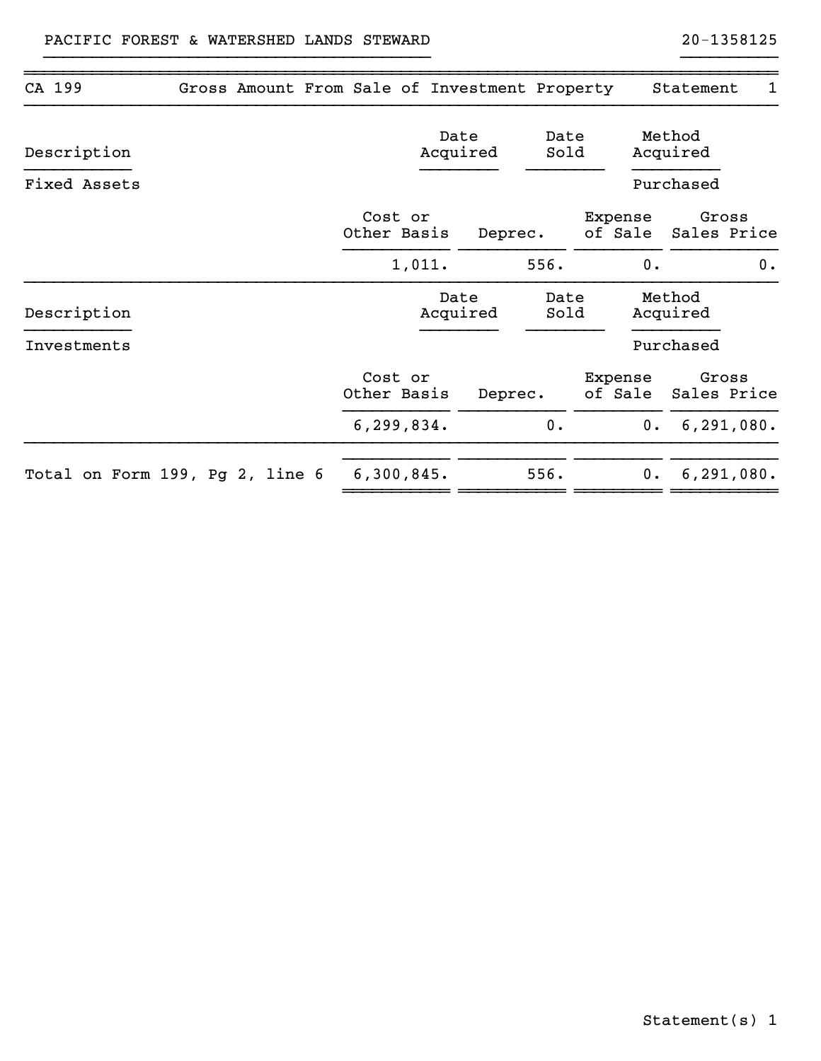| CA 199       | Gross Amount From Sale of Investment Property |                        |                  |              |                    |  |                    | Statement          | 1                    |
|--------------|-----------------------------------------------|------------------------|------------------|--------------|--------------------|--|--------------------|--------------------|----------------------|
| Description  |                                               |                        | Date<br>Acquired |              | Date<br>Sold       |  |                    | Method<br>Acquired |                      |
| Fixed Assets |                                               |                        |                  |              |                    |  |                    | Purchased          |                      |
|              |                                               | Cost or<br>Other Basis |                  | Deprec.      |                    |  | Expense<br>of Sale |                    | Gross<br>Sales Price |
|              |                                               |                        | 1,011.           |              | 556.               |  | 0.                 |                    | 0.                   |
| Description  |                                               | Date<br>Acquired       |                  | Date<br>Sold | Method<br>Acquired |  |                    |                    |                      |
| Investments  |                                               |                        |                  |              |                    |  |                    | Purchased          |                      |
|              |                                               | Cost or<br>Other Basis |                  | Deprec.      |                    |  | Expense<br>of Sale |                    | Gross<br>Sales Price |
|              |                                               | 6, 299, 834.           |                  |              | 0.                 |  | 0.                 |                    | 6, 291, 080.         |
|              | Total on Form 199, Pg 2, line 6               | 6,300,845.             |                  |              | 556.               |  |                    | 0. 6, 291, 080.    |                      |
|              |                                               |                        |                  |              |                    |  |                    |                    |                      |

~~~~~~~~~~~~~~~~~~~~~~~~~~~~~~~~~~~~~~~~~~~~~~~~~~~~~~~~~~~~~~~~~~~~~~~~~~~~~~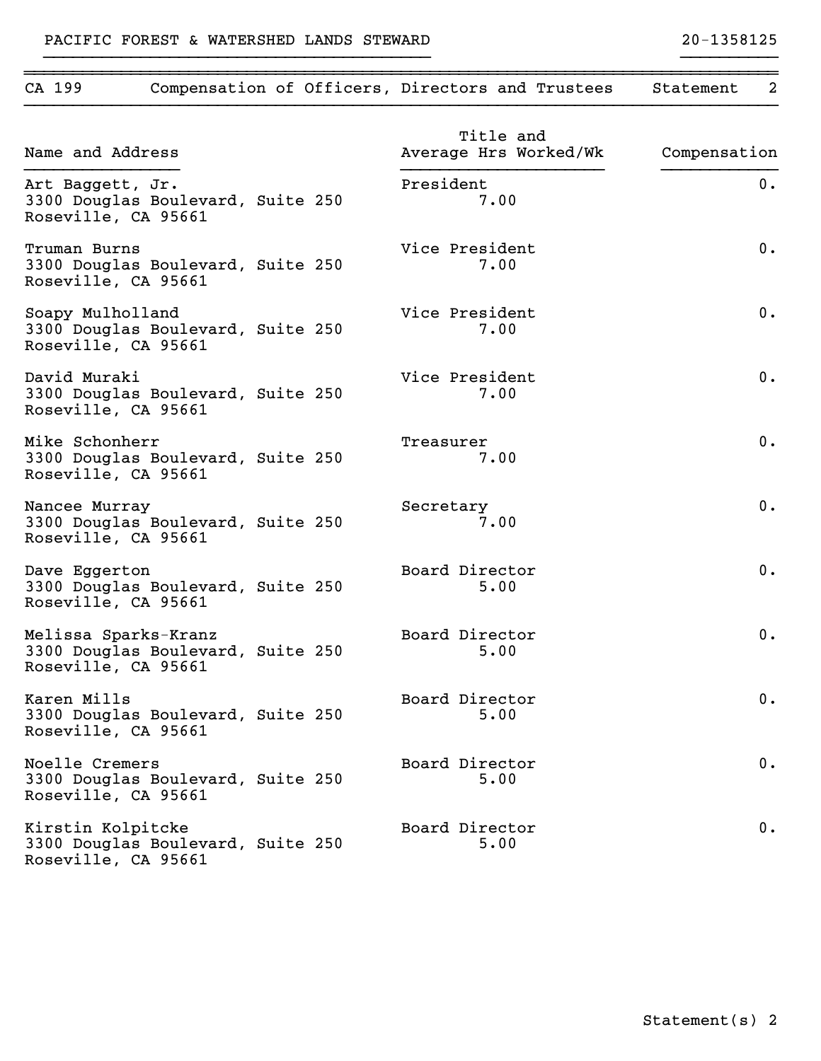# CA 199 Compensation of Officers, Directors and Trustees Statement 2 }}}}}}}}}}}}}}}}}}}}}}}}}}}}}}}}}}}}}}}}}}}}}}}}}}}}}}}}}}}}}}}}}}}}}}}}}}}}}} Title and Name and Address **Average Hrs Worked/Wk** Compensation }}}}}}}}}}}}}}}} }}}}}}}}}}}}}}}}}}}}} }}}}}}}}}}}} Art Baggett, Jr. 18. 2008 and 2008 and 2008 and 2008 and 2008 and 2008 and 2008 and 2008 and 2008 and 2008 and 3300 Douglas Boulevard, Suite 250 7.00 Roseville, CA 95661 Truman Burns Vice President 0. 3300 Douglas Boulevard, Suite 250 7.00 Roseville, CA 95661 Soapy Mulholland and Contract Contract Vice President and O. 3300 Douglas Boulevard, Suite 250 7.00 Roseville, CA 95661 David Muraki Vice President 0. 3300 Douglas Boulevard, Suite 250 7.00 Roseville, CA 95661 Mike Schonherr and the Schonherr of the Schonherr of the Schonker of the Schonker of the Schonker of the Treasurer  $0.$ 3300 Douglas Boulevard, Suite 250 7.00 Roseville, CA 95661 Nancee Murray 1. Communications of the Secretary 1. The Secretary 1. The Secretary 1. The Secretary 1. The Secretary 1. The Secretary 1. The Secretary 1. The Secretary 1. The Secretary 1. The Secretary 1. The Secretary 1. 3300 Douglas Boulevard, Suite 250 7.00 Roseville, CA 95661 Dave Eggerton and Director and Director and Director and Board Director and Director and Director and Director 3300 Douglas Boulevard, Suite 250 5.00 Roseville, CA 95661 Melissa Sparks-Kranz Board Director 0. 3300 Douglas Boulevard, Suite 250 5.00 Roseville, CA 95661 Karen Mills Board Director 0. 3300 Douglas Boulevard, Suite 250 5.00 Roseville, CA 95661 Noelle Cremers Board Director 0. 3300 Douglas Boulevard, Suite 250 5.00 Roseville, CA 95661 Kirstin Kolpitcke and Board Director and Discussion C. 3300 Douglas Boulevard, Suite 250 5.00 Roseville, CA 95661

~~~~~~~~~~~~~~~~~~~~~~~~~~~~~~~~~~~~~~~~~~~~~~~~~~~~~~~~~~~~~~~~~~~~~~~~~~~~~~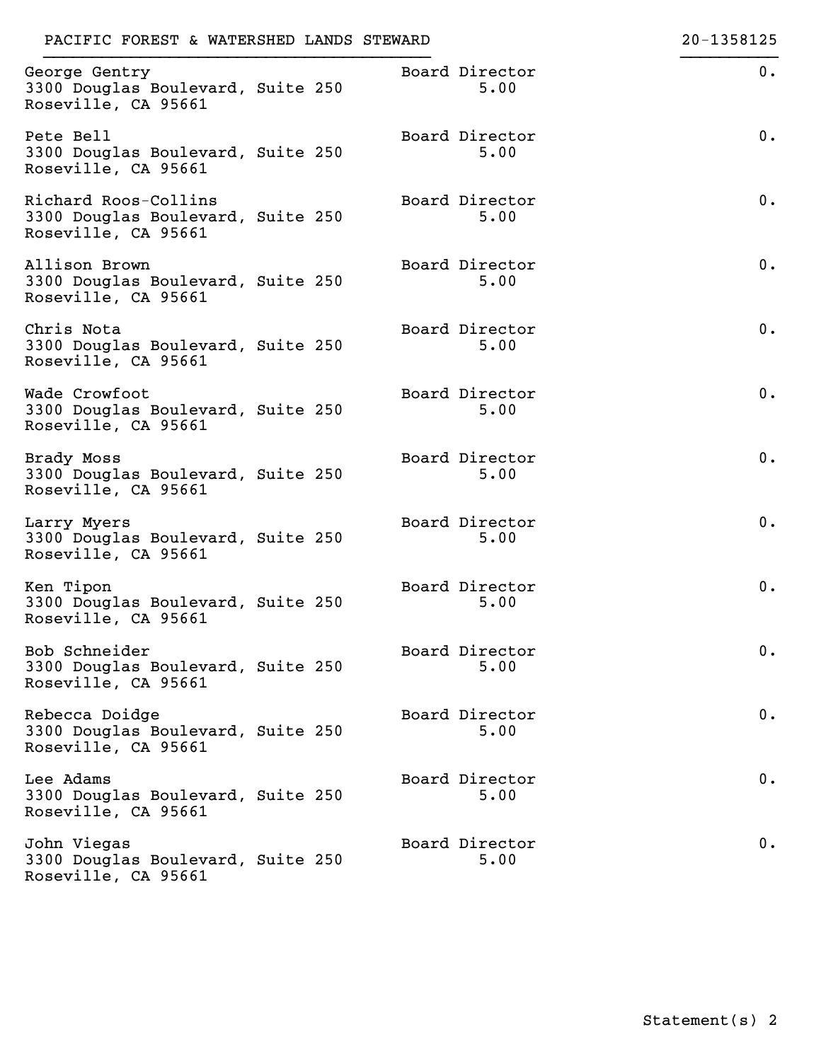| PACIFIC FOREST & WATERSHED LANDS STEWARD                                         |  |                        | 20-1358125 |
|----------------------------------------------------------------------------------|--|------------------------|------------|
| George Gentry<br>3300 Douglas Boulevard, Suite 250<br>Roseville, CA 95661        |  | Board Director<br>5.00 | 0.         |
| Pete Bell<br>3300 Douglas Boulevard, Suite 250<br>Roseville, CA 95661            |  | Board Director<br>5.00 | 0.         |
| Richard Roos-Collins<br>3300 Douglas Boulevard, Suite 250<br>Roseville, CA 95661 |  | Board Director<br>5.00 | 0.         |
| Allison Brown<br>3300 Douglas Boulevard, Suite 250<br>Roseville, CA 95661        |  | Board Director<br>5.00 | 0.         |
| Chris Nota<br>3300 Douglas Boulevard, Suite 250<br>Roseville, CA 95661           |  | Board Director<br>5.00 | 0.         |
| Wade Crowfoot<br>3300 Douglas Boulevard, Suite 250<br>Roseville, CA 95661        |  | Board Director<br>5.00 | 0.         |
| Brady Moss<br>3300 Douglas Boulevard, Suite 250<br>Roseville, CA 95661           |  | Board Director<br>5.00 | 0.         |
| Larry Myers<br>3300 Douglas Boulevard, Suite 250<br>Roseville, CA 95661          |  | Board Director<br>5.00 | 0.         |
| Ken Tipon<br>3300 Douglas Boulevard, Suite 250<br>Roseville, CA 95661            |  | Board Director<br>5.00 | 0.         |
| Bob Schneider<br>3300 Douglas Boulevard, Suite 250<br>Roseville, CA 95661        |  | Board Director<br>5.00 | 0.         |
| Rebecca Doidge<br>3300 Douglas Boulevard, Suite 250<br>Roseville, CA 95661       |  | Board Director<br>5.00 | 0.         |
| Lee Adams<br>3300 Douglas Boulevard, Suite 250<br>Roseville, CA 95661            |  | Board Director<br>5.00 | 0.         |
| John Viegas<br>3300 Douglas Boulevard, Suite 250<br>Roseville, CA 95661          |  | Board Director<br>5.00 | 0.         |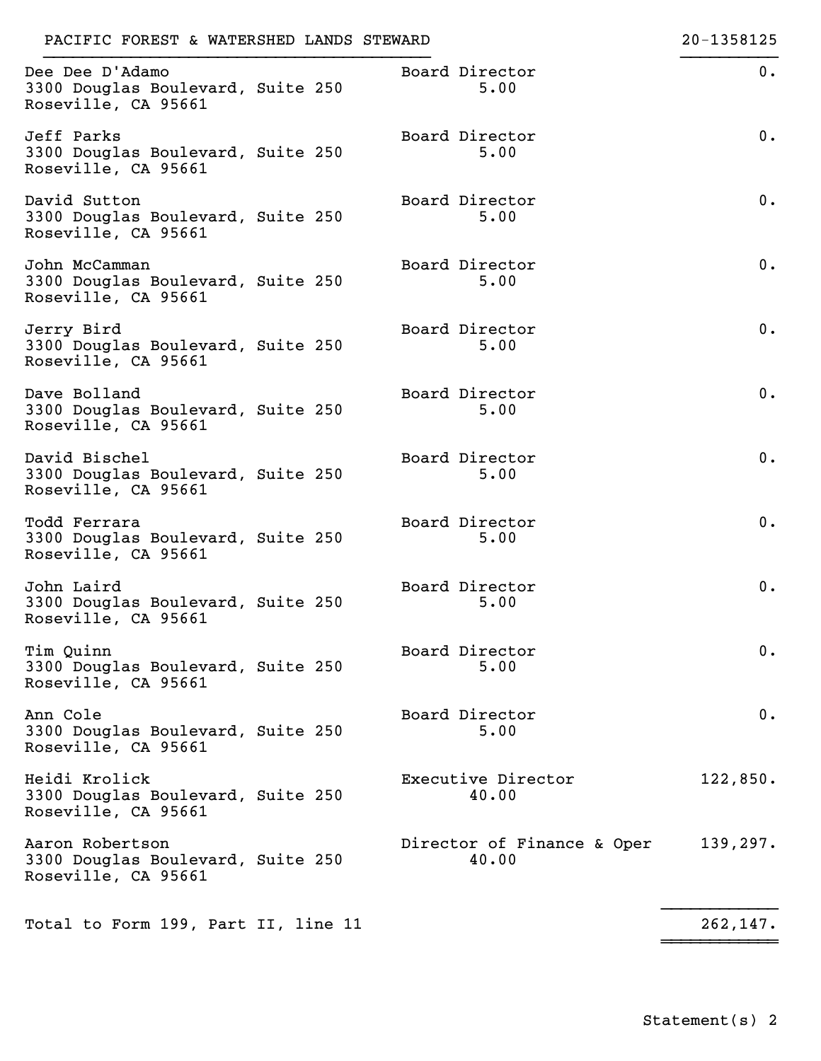| PACIFIC FOREST & WATERSHED LANDS STEWARD                                    |                                     | 20-1358125 |
|-----------------------------------------------------------------------------|-------------------------------------|------------|
| Dee Dee D'Adamo<br>3300 Douglas Boulevard, Suite 250<br>Roseville, CA 95661 | Board Director<br>5.00              | $0$ .      |
| Jeff Parks<br>3300 Douglas Boulevard, Suite 250<br>Roseville, CA 95661      | Board Director<br>5.00              | $0$ .      |
| David Sutton<br>3300 Douglas Boulevard, Suite 250<br>Roseville, CA 95661    | Board Director<br>5.00              | 0.         |
| John McCamman<br>3300 Douglas Boulevard, Suite 250<br>Roseville, CA 95661   | Board Director<br>5.00              | 0.         |
| Jerry Bird<br>3300 Douglas Boulevard, Suite 250<br>Roseville, CA 95661      | Board Director<br>5.00              | 0.         |
| Dave Bolland<br>3300 Douglas Boulevard, Suite 250<br>Roseville, CA 95661    | Board Director<br>5.00              | 0.         |
| David Bischel<br>3300 Douglas Boulevard, Suite 250<br>Roseville, CA 95661   | Board Director<br>5.00              | 0.         |
| Todd Ferrara<br>3300 Douglas Boulevard, Suite 250<br>Roseville, CA 95661    | Board Director<br>5.00              | 0.         |
| John Laird<br>3300 Douglas Boulevard, Suite 250<br>Roseville, CA 95661      | Board Director<br>5.00              | 0.         |
| Tim Quinn<br>3300 Douglas Boulevard, Suite 250<br>Roseville, CA 95661       | Board Director<br>5.00              | $0$ .      |
| Ann Cole<br>3300 Douglas Boulevard, Suite 250<br>Roseville, CA 95661        | Board Director<br>5.00              | $0$ .      |
| Heidi Krolick<br>3300 Douglas Boulevard, Suite 250<br>Roseville, CA 95661   | Executive Director<br>40.00         | 122,850.   |
| Aaron Robertson<br>3300 Douglas Boulevard, Suite 250<br>Roseville, CA 95661 | Director of Finance & Oper<br>40.00 | 139, 297.  |
| Total to Form 199, Part II, line 11                                         |                                     | 262, 147.  |

~~~~~~~~~~~~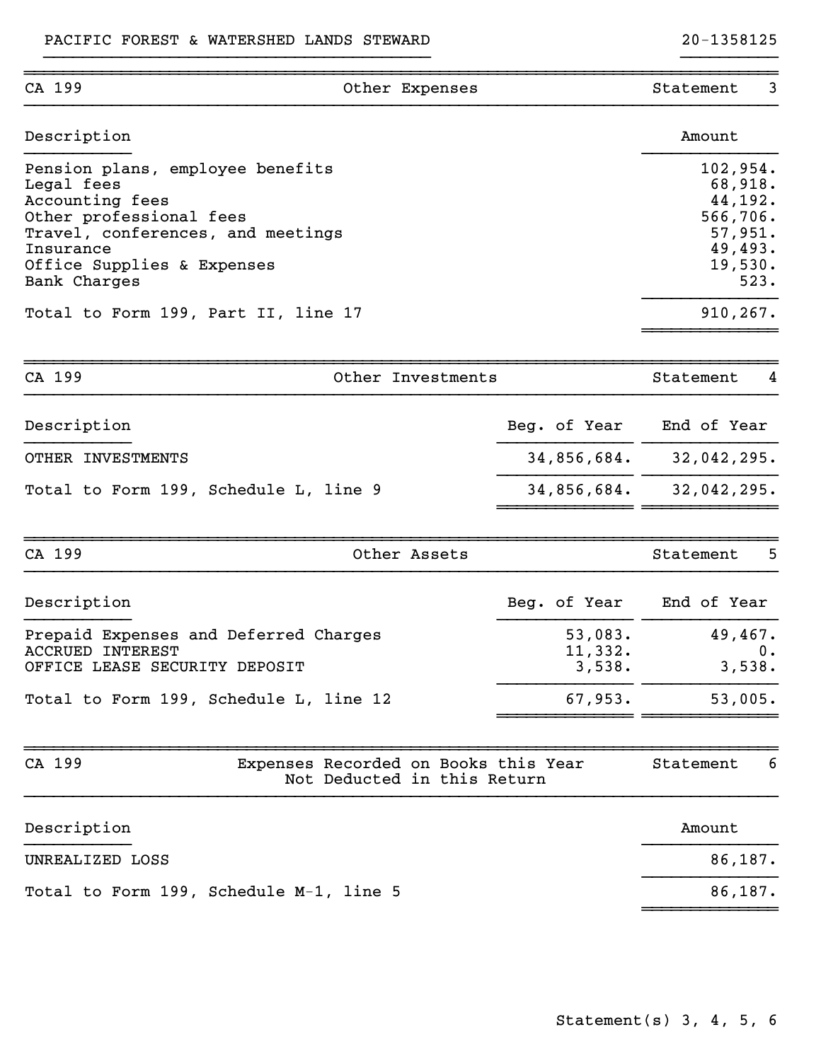| CA 199                                                                                                                                                                                                                              | Other Expenses                                                      |                              | 3<br>Statement                                                                                   |
|-------------------------------------------------------------------------------------------------------------------------------------------------------------------------------------------------------------------------------------|---------------------------------------------------------------------|------------------------------|--------------------------------------------------------------------------------------------------|
| Description                                                                                                                                                                                                                         |                                                                     |                              | Amount                                                                                           |
| Pension plans, employee benefits<br>Legal fees<br>Accounting fees<br>Other professional fees<br>Travel, conferences, and meetings<br>Insurance<br>Office Supplies & Expenses<br>Bank Charges<br>Total to Form 199, Part II, line 17 |                                                                     |                              | 102,954.<br>68,918.<br>44,192.<br>566,706.<br>57,951.<br>49,493.<br>19,530.<br>523.<br>910, 267. |
| CA 199                                                                                                                                                                                                                              | Other Investments                                                   |                              | Statement<br>4                                                                                   |
| Description                                                                                                                                                                                                                         |                                                                     | Beg. of Year                 | End of Year                                                                                      |
| OTHER INVESTMENTS                                                                                                                                                                                                                   |                                                                     | 34,856,684.                  | 32,042,295.                                                                                      |
| Total to Form 199, Schedule L, line 9                                                                                                                                                                                               |                                                                     | 34,856,684.                  | 32,042,295.                                                                                      |
| CA 199                                                                                                                                                                                                                              | Other Assets                                                        |                              | 5<br>Statement                                                                                   |
| Description                                                                                                                                                                                                                         |                                                                     | Beg. of Year                 | End of Year                                                                                      |
| Prepaid Expenses and Deferred Charges<br><b>ACCRUED INTEREST</b><br>OFFICE LEASE SECURITY DEPOSIT                                                                                                                                   |                                                                     | 53,083.<br>11,332.<br>3,538. | 49,467.<br>0.<br>3,538.                                                                          |
| Total to Form 199, Schedule L, line 12                                                                                                                                                                                              |                                                                     | 67,953.                      | 53,005.                                                                                          |
| CA 199                                                                                                                                                                                                                              | Expenses Recorded on Books this Year<br>Not Deducted in this Return |                              | Statement<br>6                                                                                   |
| Description                                                                                                                                                                                                                         |                                                                     |                              | Amount                                                                                           |
| UNREALIZED LOSS                                                                                                                                                                                                                     |                                                                     |                              | 86,187.                                                                                          |
| Total to Form 199, Schedule M-1, line 5                                                                                                                                                                                             |                                                                     |                              | 86,187.                                                                                          |
|                                                                                                                                                                                                                                     |                                                                     |                              |                                                                                                  |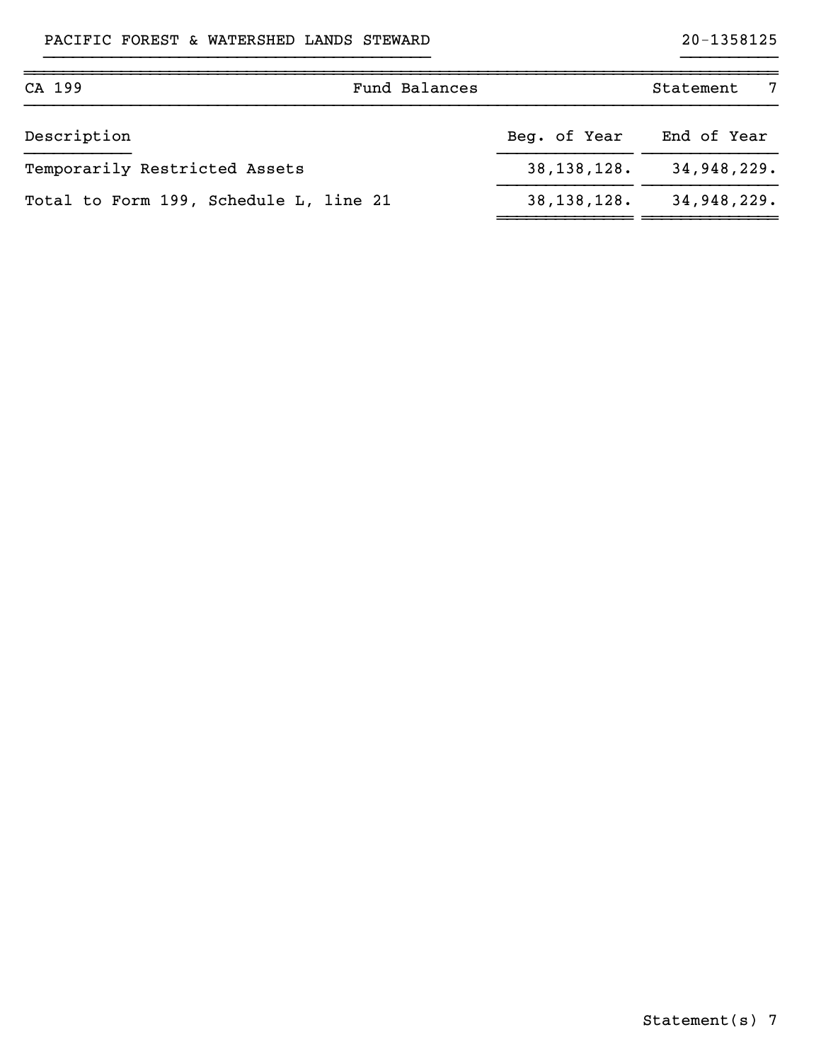| CA 199                                 | Fund Balances |               | Statement<br>- 7 |
|----------------------------------------|---------------|---------------|------------------|
| Description                            |               | Beg. of Year  | End of Year      |
| Temporarily Restricted Assets          |               | 38, 138, 128. | 34,948,229.      |
| Total to Form 199, Schedule L, line 21 |               | 38, 138, 128. | 34,948,229.      |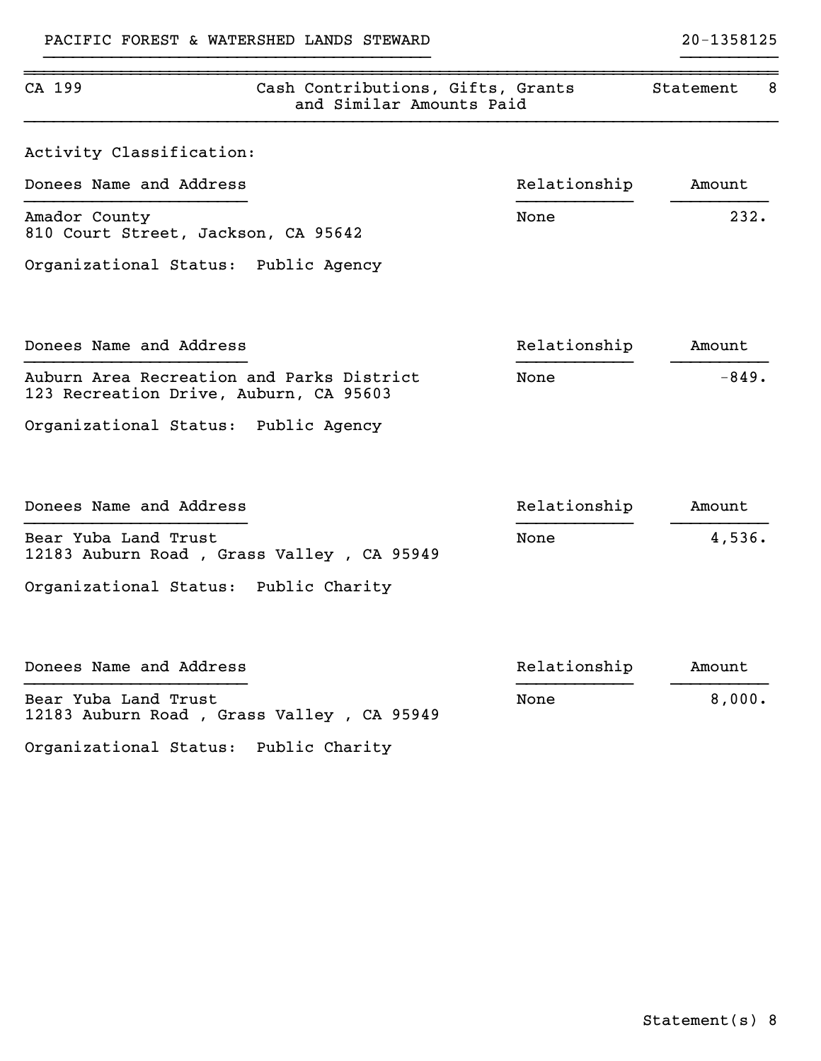| CA 199                                                                              | Cash Contributions, Gifts, Grants<br>and Similar Amounts Paid |              | Statement<br>8 |
|-------------------------------------------------------------------------------------|---------------------------------------------------------------|--------------|----------------|
| Activity Classification:                                                            |                                                               |              |                |
| Donees Name and Address                                                             |                                                               | Relationship | Amount         |
| Amador County<br>810 Court Street, Jackson, CA 95642                                |                                                               | None         | 232.           |
| Organizational Status: Public Agency                                                |                                                               |              |                |
| Donees Name and Address                                                             |                                                               | Relationship | Amount         |
| Auburn Area Recreation and Parks District<br>123 Recreation Drive, Auburn, CA 95603 |                                                               | None         | $-849.$        |
| Organizational Status: Public Agency                                                |                                                               |              |                |
| Donees Name and Address                                                             |                                                               | Relationship | Amount         |
| Bear Yuba Land Trust<br>12183 Auburn Road, Grass Valley, CA 95949                   |                                                               | None         | 4,536.         |
| Organizational Status: Public Charity                                               |                                                               |              |                |
| Donees Name and Address                                                             |                                                               | Relationship | Amount         |
| Bear Yuba Land Trust<br>12183 Auburn Road, Grass Valley, CA 95949                   |                                                               | None         | 8,000.         |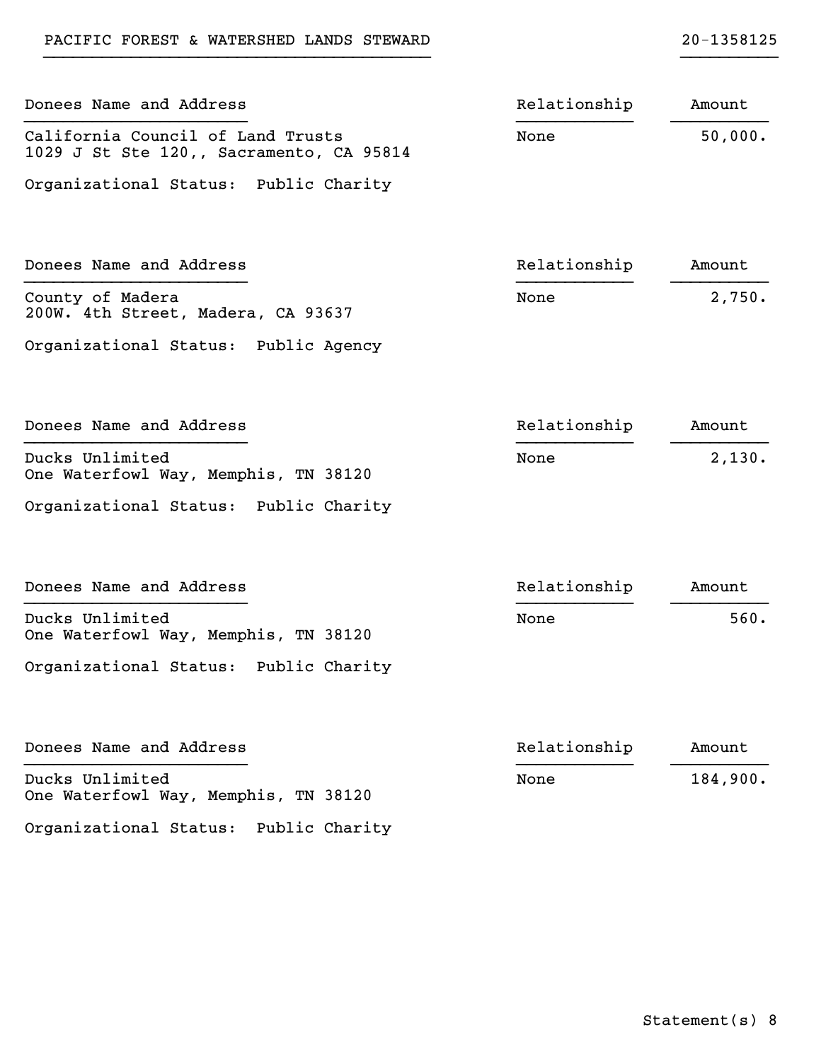| Donees Name and Address                                                       | Relationship | Amount   |
|-------------------------------------------------------------------------------|--------------|----------|
| California Council of Land Trusts<br>1029 J St Ste 120,, Sacramento, CA 95814 | None         | 50,000.  |
| Organizational Status: Public Charity                                         |              |          |
| Donees Name and Address                                                       | Relationship | Amount   |
| County of Madera<br>200W. 4th Street, Madera, CA 93637                        | None         | 2,750.   |
| Organizational Status: Public Agency                                          |              |          |
| Donees Name and Address                                                       | Relationship | Amount   |
| Ducks Unlimited<br>One Waterfowl Way, Memphis, TN 38120                       | None         | 2,130.   |
| Organizational Status: Public Charity                                         |              |          |
| Donees Name and Address                                                       | Relationship | Amount   |
| Ducks Unlimited<br>One Waterfowl Way, Memphis, TN 38120                       | None         | 560.     |
| Organizational Status: Public Charity                                         |              |          |
| Donees Name and Address                                                       | Relationship | Amount   |
| Ducks Unlimited<br>One Waterfowl Way, Memphis, TN 38120                       | None         | 184,900. |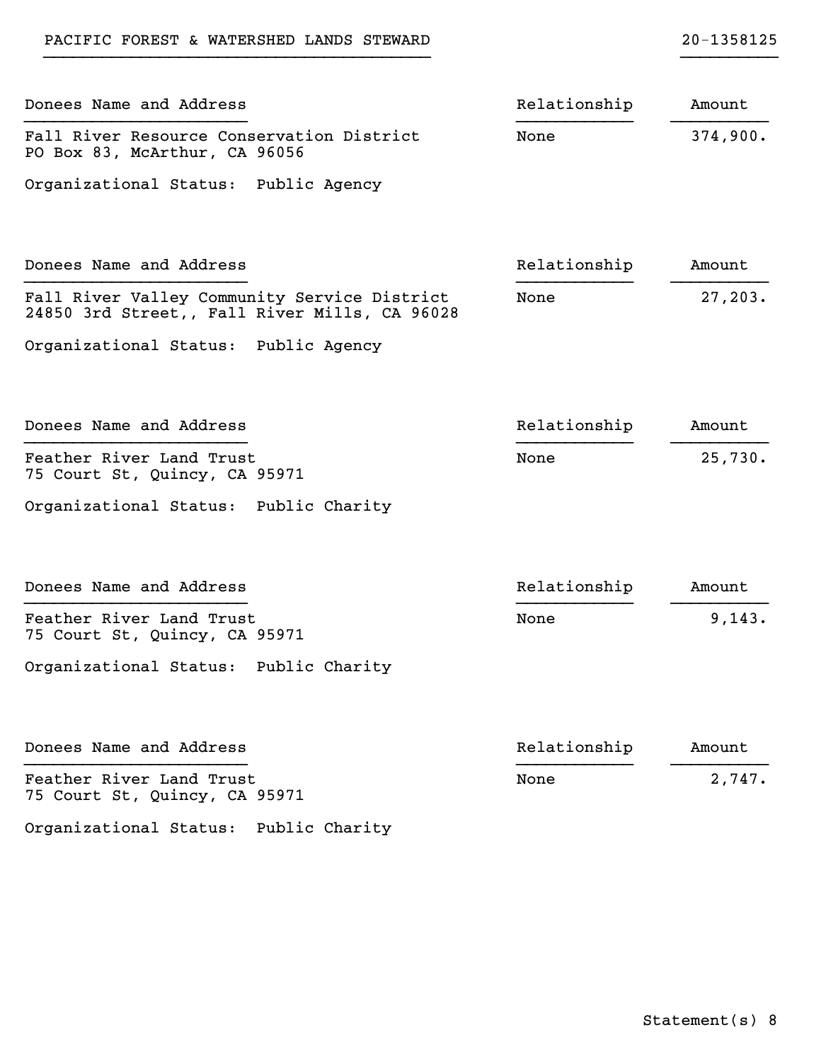| Donees Name and Address                                                                       | Relationship | Amount   |
|-----------------------------------------------------------------------------------------------|--------------|----------|
| Fall River Resource Conservation District<br>PO Box 83, McArthur, CA 96056                    | None         | 374,900. |
| Organizational Status: Public Agency                                                          |              |          |
| Donees Name and Address                                                                       | Relationship | Amount   |
| Fall River Valley Community Service District<br>24850 3rd Street,, Fall River Mills, CA 96028 | None         | 27, 203. |
| Organizational Status: Public Agency                                                          |              |          |
| Donees Name and Address                                                                       | Relationship | Amount   |
| Feather River Land Trust<br>75 Court St, Quincy, CA 95971                                     | None         | 25,730.  |
| Organizational Status: Public Charity                                                         |              |          |
| Donees Name and Address                                                                       | Relationship | Amount   |
| Feather River Land Trust<br>75 Court St, Quincy, CA 95971                                     | None         | 9,143.   |
| Organizational Status: Public Charity                                                         |              |          |
| Donees Name and Address                                                                       | Relationship | Amount   |
| Feather River Land Trust<br>75 Court St, Quincy, CA 95971                                     | None         | 2,747.   |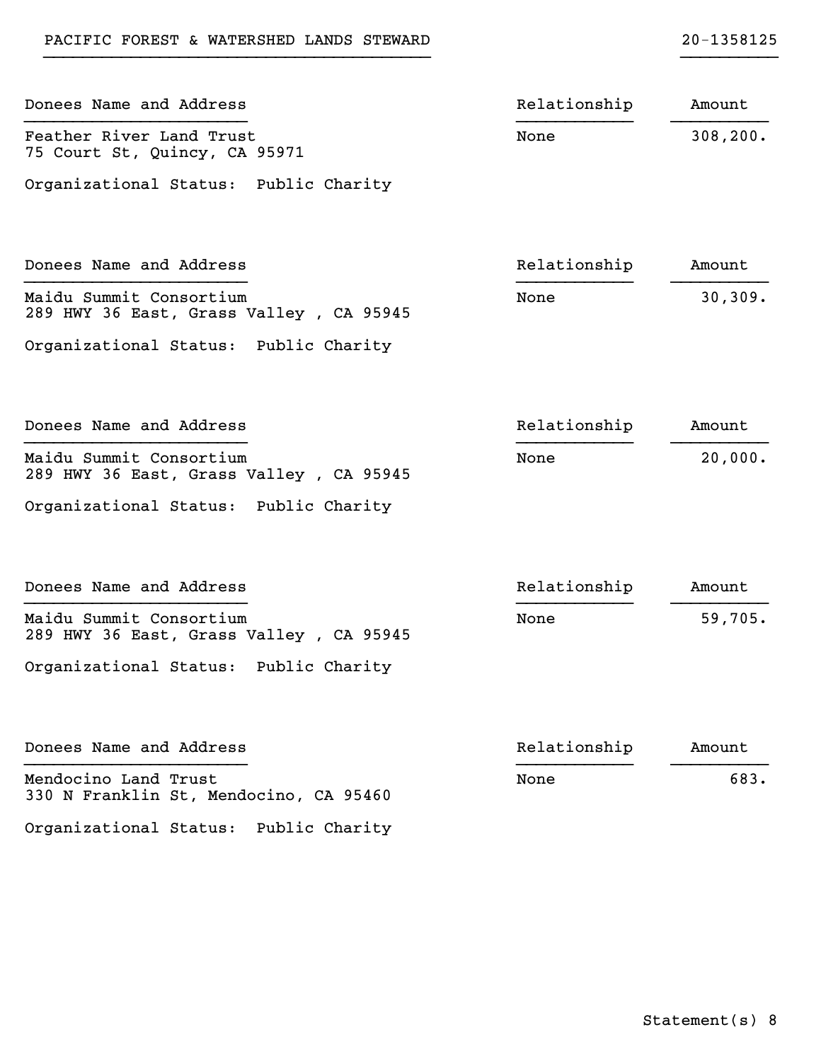| Donees Name and Address                                            | Relationship | Amount    |
|--------------------------------------------------------------------|--------------|-----------|
| Feather River Land Trust<br>75 Court St, Quincy, CA 95971          | None         | 308, 200. |
| Organizational Status: Public Charity                              |              |           |
| Donees Name and Address                                            | Relationship | Amount    |
| Maidu Summit Consortium<br>289 HWY 36 East, Grass Valley, CA 95945 | None         | 30,309.   |
| Organizational Status: Public Charity                              |              |           |
| Donees Name and Address                                            | Relationship | Amount    |
| Maidu Summit Consortium<br>289 HWY 36 East, Grass Valley, CA 95945 | None         | 20,000.   |
| Organizational Status: Public Charity                              |              |           |
| Donees Name and Address                                            | Relationship | Amount    |
| Maidu Summit Consortium<br>289 HWY 36 East, Grass Valley, CA 95945 | None         | 59,705.   |
| Organizational Status: Public Charity                              |              |           |
| Donees Name and Address                                            | Relationship | Amount    |
| Mendocino Land Trust<br>330 N Franklin St, Mendocino, CA 95460     | None         | 683.      |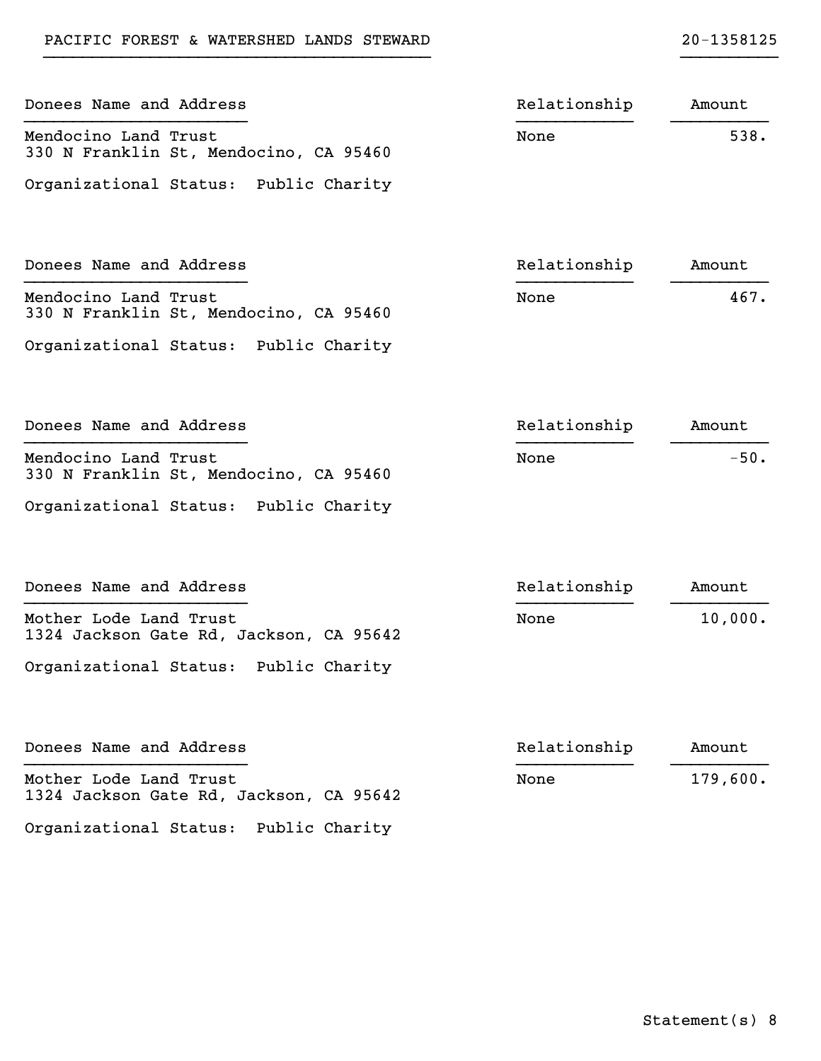| Donees Name and Address                                           | Relationship | Amount   |
|-------------------------------------------------------------------|--------------|----------|
| Mendocino Land Trust<br>330 N Franklin St, Mendocino, CA 95460    | None         | 538.     |
| Organizational Status: Public Charity                             |              |          |
| Donees Name and Address                                           | Relationship | Amount   |
| Mendocino Land Trust<br>330 N Franklin St, Mendocino, CA 95460    | None         | 467.     |
| Organizational Status: Public Charity                             |              |          |
| Donees Name and Address                                           | Relationship | Amount   |
| Mendocino Land Trust<br>330 N Franklin St, Mendocino, CA 95460    | None         | $-50.$   |
| Organizational Status: Public Charity                             |              |          |
| Donees Name and Address                                           | Relationship | Amount   |
| Mother Lode Land Trust<br>1324 Jackson Gate Rd, Jackson, CA 95642 | None         | 10,000.  |
| Organizational Status: Public Charity                             |              |          |
| Donees Name and Address                                           | Relationship | Amount   |
| Mother Lode Land Trust<br>1324 Jackson Gate Rd, Jackson, CA 95642 | None         | 179,600. |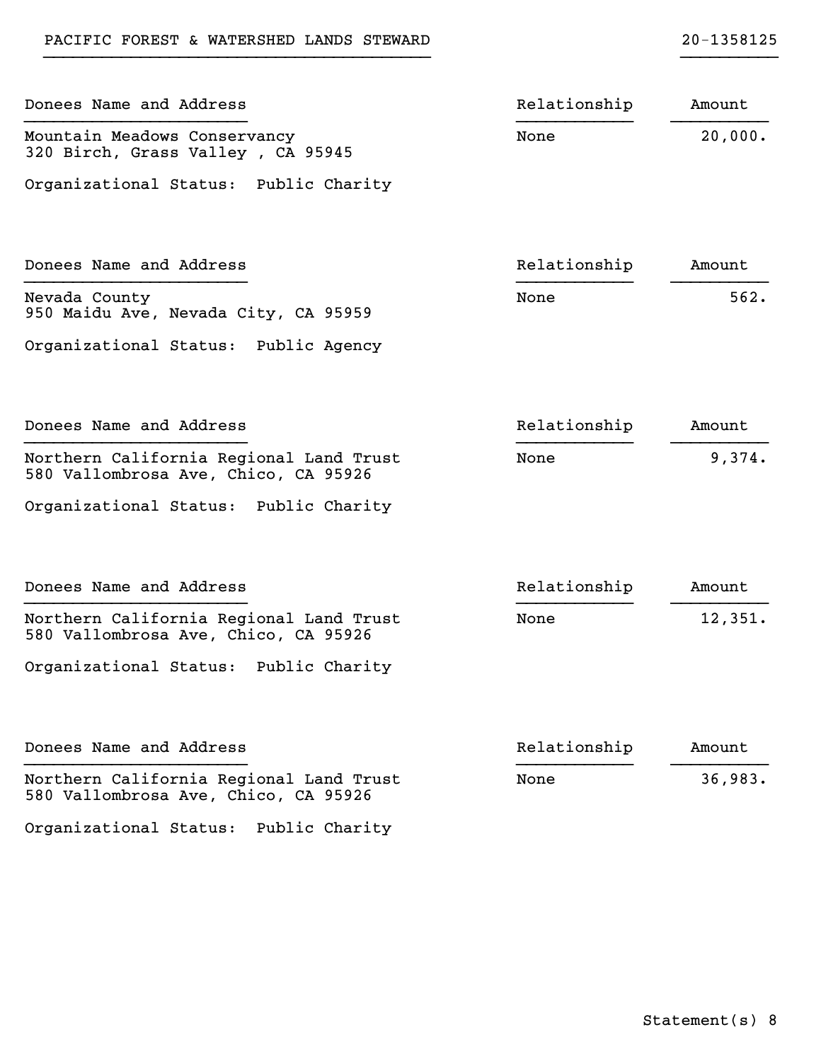| Donees Name and Address                                                         | Relationship | Amount  |
|---------------------------------------------------------------------------------|--------------|---------|
| Mountain Meadows Conservancy<br>320 Birch, Grass Valley, CA 95945               | None         | 20,000. |
| Organizational Status: Public Charity                                           |              |         |
| Donees Name and Address                                                         | Relationship | Amount  |
| Nevada County<br>950 Maidu Ave, Nevada City, CA 95959                           | None         | 562.    |
| Organizational Status: Public Agency                                            |              |         |
| Donees Name and Address                                                         | Relationship | Amount  |
| Northern California Regional Land Trust<br>580 Vallombrosa Ave, Chico, CA 95926 | None         | 9,374.  |
| Organizational Status: Public Charity                                           |              |         |
| Donees Name and Address                                                         | Relationship | Amount  |
| Northern California Regional Land Trust<br>580 Vallombrosa Ave, Chico, CA 95926 | None         | 12,351. |
| Organizational Status: Public Charity                                           |              |         |
| Donees Name and Address                                                         | Relationship | Amount  |
| Northern California Regional Land Trust<br>580 Vallombrosa Ave, Chico, CA 95926 | None         | 36,983. |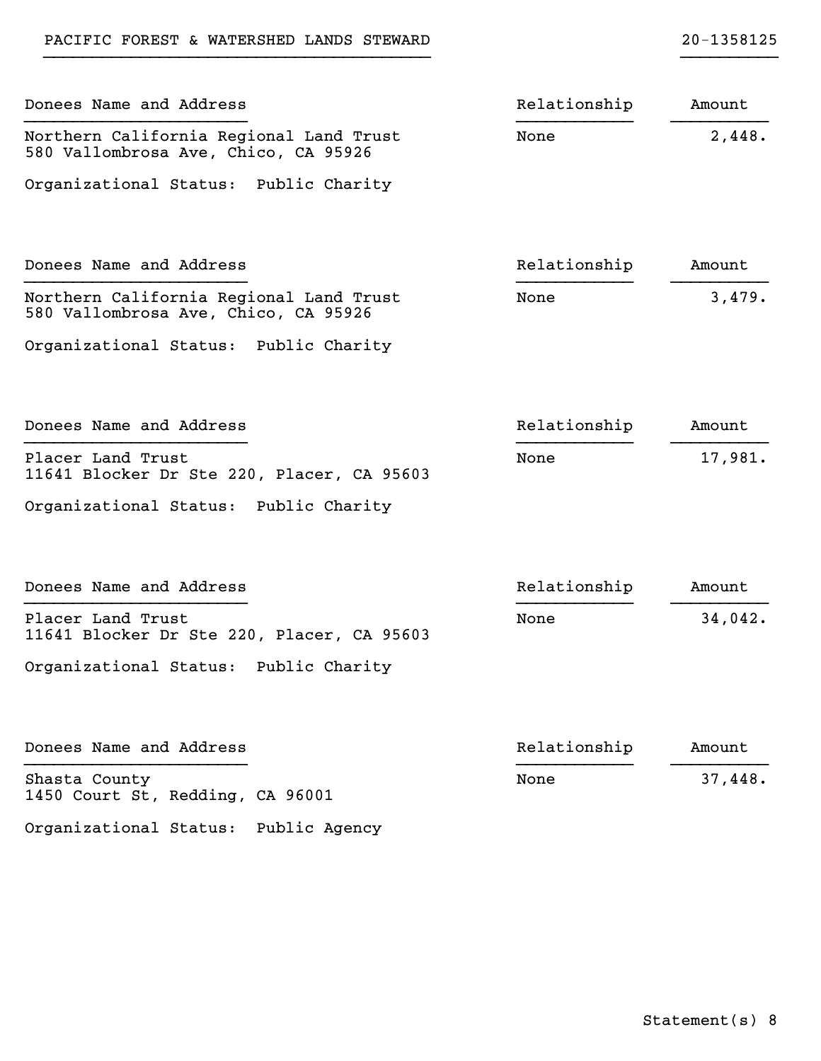| Donees Name and Address                                                         | Relationship | Amount  |
|---------------------------------------------------------------------------------|--------------|---------|
| Northern California Regional Land Trust<br>580 Vallombrosa Ave, Chico, CA 95926 | None         | 2,448.  |
| Organizational Status: Public Charity                                           |              |         |
| Donees Name and Address                                                         | Relationship | Amount  |
| Northern California Regional Land Trust<br>580 Vallombrosa Ave, Chico, CA 95926 | None         | 3,479.  |
| Organizational Status: Public Charity                                           |              |         |
| Donees Name and Address                                                         | Relationship | Amount  |
| Placer Land Trust<br>11641 Blocker Dr Ste 220, Placer, CA 95603                 | None         | 17,981. |
| Organizational Status: Public Charity                                           |              |         |
| Donees Name and Address                                                         | Relationship | Amount  |
| Placer Land Trust<br>11641 Blocker Dr Ste 220, Placer, CA 95603                 | None         | 34,042. |
| Organizational Status: Public Charity                                           |              |         |
| Donees Name and Address                                                         | Relationship | Amount  |
| Shasta County<br>1450 Court St, Redding, CA 96001                               | None         | 37,448. |

Organizational Status: Public Agency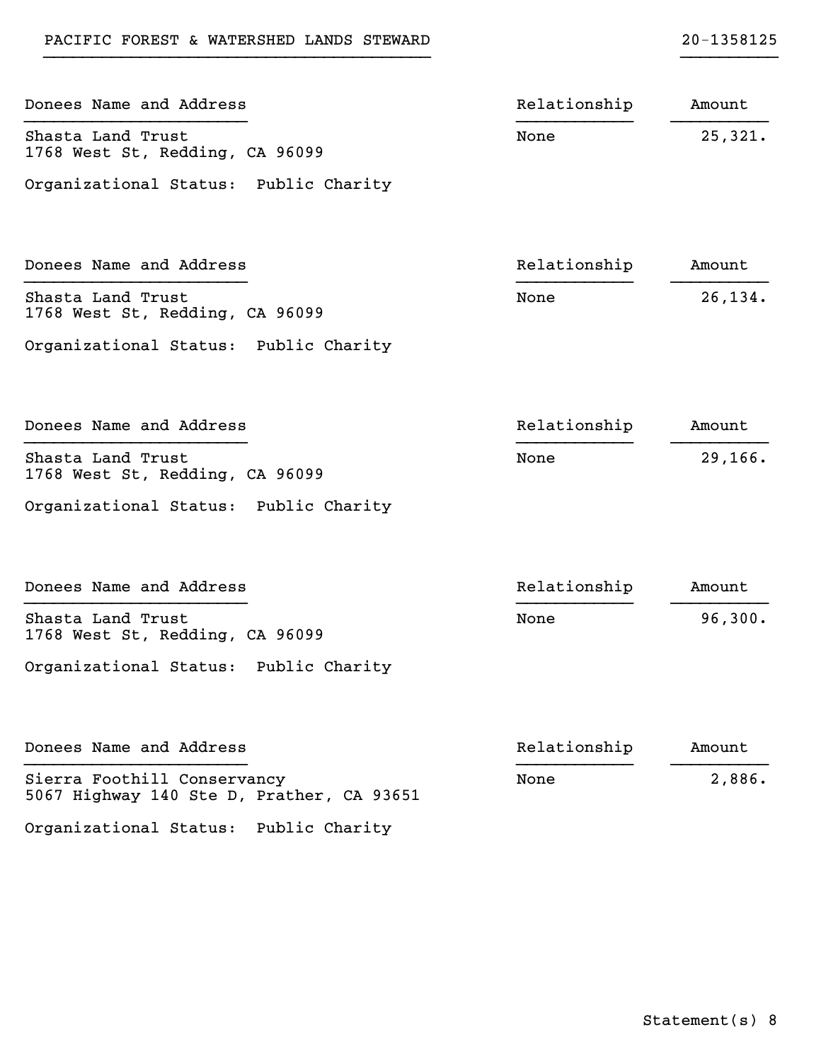| Donees Name and Address                                                  | Relationship | Amount   |
|--------------------------------------------------------------------------|--------------|----------|
| Shasta Land Trust<br>1768 West St, Redding, CA 96099                     | None         | 25,321.  |
| Organizational Status: Public Charity                                    |              |          |
| Donees Name and Address                                                  | Relationship | Amount   |
| Shasta Land Trust<br>1768 West St, Redding, CA 96099                     | None         | 26,134.  |
| Organizational Status: Public Charity                                    |              |          |
| Donees Name and Address                                                  | Relationship | Amount   |
| Shasta Land Trust<br>1768 West St, Redding, CA 96099                     | None         | 29, 166. |
| Organizational Status: Public Charity                                    |              |          |
| Donees Name and Address                                                  | Relationship | Amount   |
| Shasta Land Trust<br>1768 West St, Redding, CA 96099                     | None         | 96,300.  |
| Organizational Status: Public Charity                                    |              |          |
| Donees Name and Address                                                  | Relationship | Amount   |
| Sierra Foothill Conservancy<br>5067 Highway 140 Ste D, Prather, CA 93651 | None         | 2,886.   |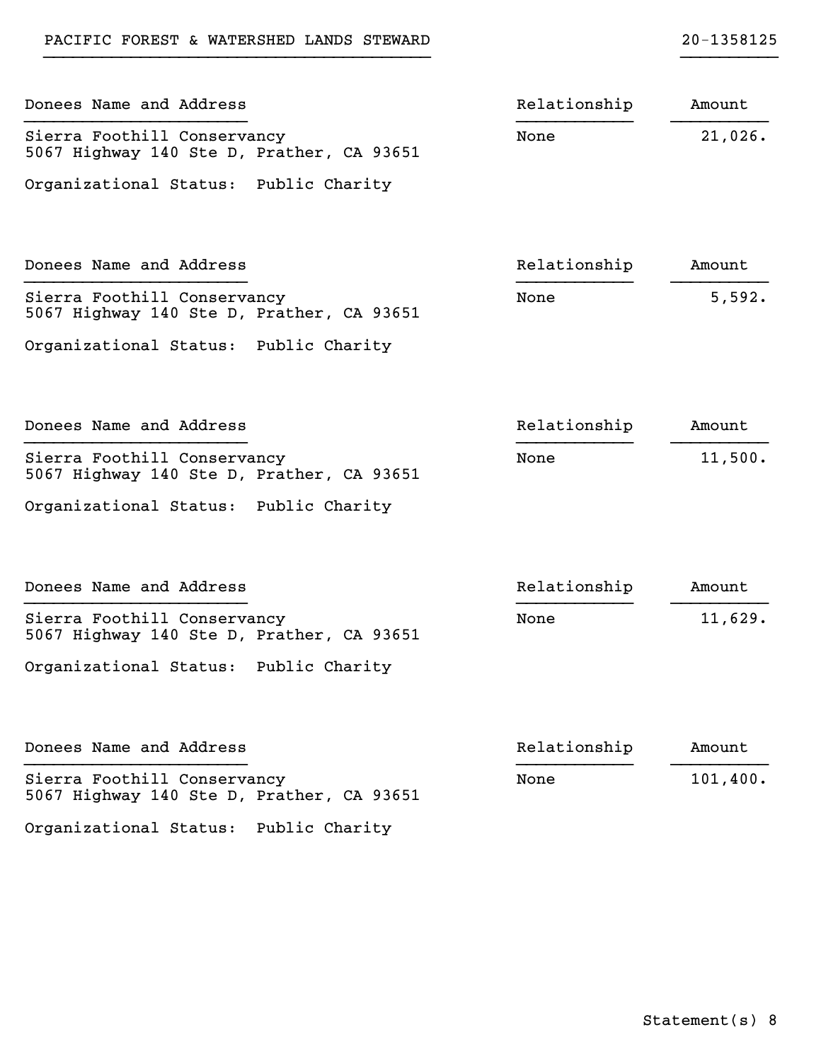| Donees Name and Address                                                  | Relationship | Amount   |
|--------------------------------------------------------------------------|--------------|----------|
| Sierra Foothill Conservancy<br>5067 Highway 140 Ste D, Prather, CA 93651 | None         | 21,026.  |
| Organizational Status: Public Charity                                    |              |          |
| Donees Name and Address                                                  | Relationship | Amount   |
| Sierra Foothill Conservancy<br>5067 Highway 140 Ste D, Prather, CA 93651 | None         | 5,592.   |
| Organizational Status: Public Charity                                    |              |          |
| Donees Name and Address                                                  | Relationship | Amount   |
| Sierra Foothill Conservancy<br>5067 Highway 140 Ste D, Prather, CA 93651 | None         | 11,500.  |
| Organizational Status: Public Charity                                    |              |          |
| Donees Name and Address                                                  | Relationship | Amount   |
| Sierra Foothill Conservancy<br>5067 Highway 140 Ste D, Prather, CA 93651 | None         | 11,629.  |
| Organizational Status: Public Charity                                    |              |          |
| Donees Name and Address                                                  | Relationship | Amount   |
| Sierra Foothill Conservancy<br>5067 Highway 140 Ste D, Prather, CA 93651 | None         | 101,400. |